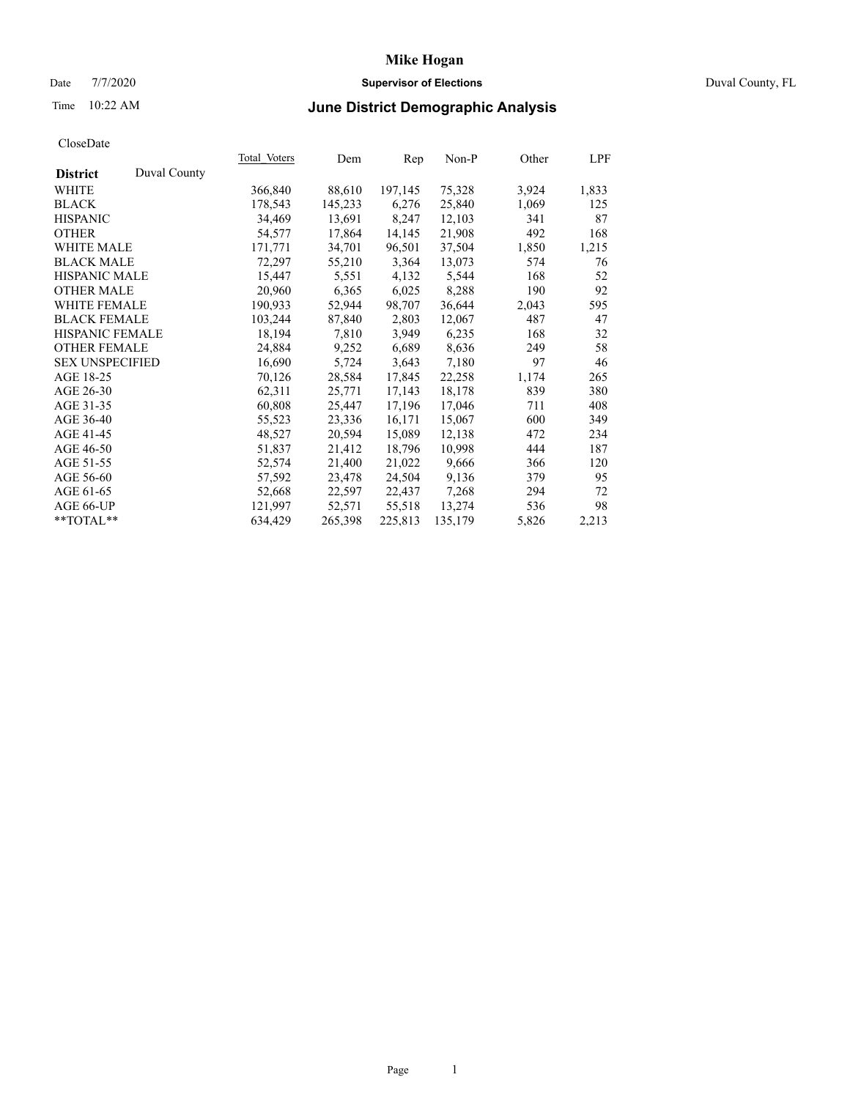# Date 7/7/2020 **Supervisor of Elections** Duval County, FL

# Time 10:22 AM **June District Demographic Analysis**

|                        |              | Total Voters | Dem     | Rep     | $Non-P$ | Other | LPF   |
|------------------------|--------------|--------------|---------|---------|---------|-------|-------|
| <b>District</b>        | Duval County |              |         |         |         |       |       |
| WHITE                  |              | 366,840      | 88,610  | 197,145 | 75,328  | 3,924 | 1,833 |
| <b>BLACK</b>           |              | 178,543      | 145,233 | 6,276   | 25,840  | 1,069 | 125   |
| <b>HISPANIC</b>        |              | 34,469       | 13,691  | 8,247   | 12,103  | 341   | 87    |
| <b>OTHER</b>           |              | 54,577       | 17,864  | 14,145  | 21,908  | 492   | 168   |
| <b>WHITE MALE</b>      |              | 171,771      | 34,701  | 96,501  | 37,504  | 1,850 | 1,215 |
| <b>BLACK MALE</b>      |              | 72,297       | 55,210  | 3,364   | 13,073  | 574   | 76    |
| <b>HISPANIC MALE</b>   |              | 15,447       | 5,551   | 4,132   | 5,544   | 168   | 52    |
| <b>OTHER MALE</b>      |              | 20,960       | 6,365   | 6,025   | 8,288   | 190   | 92    |
| <b>WHITE FEMALE</b>    |              | 190,933      | 52,944  | 98,707  | 36,644  | 2,043 | 595   |
| <b>BLACK FEMALE</b>    |              | 103,244      | 87,840  | 2,803   | 12,067  | 487   | 47    |
| HISPANIC FEMALE        |              | 18,194       | 7,810   | 3,949   | 6,235   | 168   | 32    |
| <b>OTHER FEMALE</b>    |              | 24,884       | 9,252   | 6,689   | 8,636   | 249   | 58    |
| <b>SEX UNSPECIFIED</b> |              | 16,690       | 5,724   | 3,643   | 7,180   | 97    | 46    |
| AGE 18-25              |              | 70,126       | 28,584  | 17,845  | 22,258  | 1,174 | 265   |
| AGE 26-30              |              | 62,311       | 25,771  | 17,143  | 18,178  | 839   | 380   |
| AGE 31-35              |              | 60,808       | 25,447  | 17,196  | 17,046  | 711   | 408   |
| AGE 36-40              |              | 55,523       | 23,336  | 16,171  | 15,067  | 600   | 349   |
| AGE 41-45              |              | 48,527       | 20,594  | 15,089  | 12,138  | 472   | 234   |
| AGE 46-50              |              | 51,837       | 21,412  | 18,796  | 10,998  | 444   | 187   |
| AGE 51-55              |              | 52,574       | 21,400  | 21,022  | 9,666   | 366   | 120   |
| AGE 56-60              |              | 57,592       | 23,478  | 24,504  | 9,136   | 379   | 95    |
| AGE 61-65              |              | 52,668       | 22,597  | 22,437  | 7,268   | 294   | 72    |
| AGE 66-UP              |              | 121,997      | 52,571  | 55,518  | 13,274  | 536   | 98    |
| **TOTAL**              |              | 634,429      | 265,398 | 225,813 | 135,179 | 5,826 | 2,213 |
|                        |              |              |         |         |         |       |       |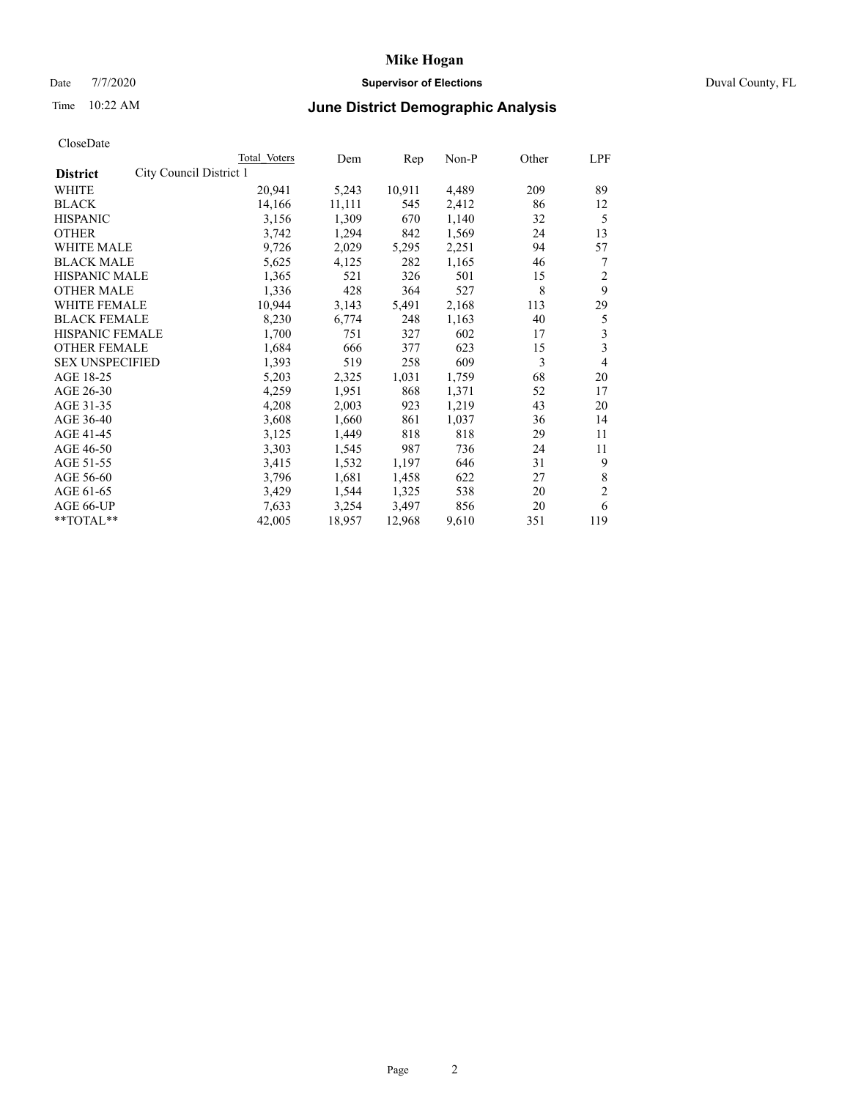# Date 7/7/2020 **Supervisor of Elections** Duval County, FL

# Time 10:22 AM **June District Demographic Analysis**

|                        |                         | Total Voters | Dem    | Rep    | Non-P | Other | LPF            |
|------------------------|-------------------------|--------------|--------|--------|-------|-------|----------------|
| <b>District</b>        | City Council District 1 |              |        |        |       |       |                |
| WHITE                  |                         | 20,941       | 5,243  | 10,911 | 4,489 | 209   | 89             |
| <b>BLACK</b>           |                         | 14,166       | 11,111 | 545    | 2,412 | 86    | 12             |
| <b>HISPANIC</b>        |                         | 3,156        | 1,309  | 670    | 1,140 | 32    | 5              |
| <b>OTHER</b>           |                         | 3,742        | 1,294  | 842    | 1,569 | 24    | 13             |
| WHITE MALE             |                         | 9,726        | 2,029  | 5,295  | 2,251 | 94    | 57             |
| <b>BLACK MALE</b>      |                         | 5,625        | 4,125  | 282    | 1,165 | 46    | 7              |
| <b>HISPANIC MALE</b>   |                         | 1,365        | 521    | 326    | 501   | 15    | 2              |
| <b>OTHER MALE</b>      |                         | 1,336        | 428    | 364    | 527   | 8     | 9              |
| WHITE FEMALE           |                         | 10,944       | 3,143  | 5,491  | 2,168 | 113   | 29             |
| <b>BLACK FEMALE</b>    |                         | 8,230        | 6,774  | 248    | 1,163 | 40    | 5              |
| HISPANIC FEMALE        |                         | 1,700        | 751    | 327    | 602   | 17    | 3              |
| <b>OTHER FEMALE</b>    |                         | 1,684        | 666    | 377    | 623   | 15    | 3              |
| <b>SEX UNSPECIFIED</b> |                         | 1,393        | 519    | 258    | 609   | 3     | 4              |
| AGE 18-25              |                         | 5,203        | 2,325  | 1,031  | 1,759 | 68    | 20             |
| AGE 26-30              |                         | 4,259        | 1,951  | 868    | 1,371 | 52    | 17             |
| AGE 31-35              |                         | 4,208        | 2,003  | 923    | 1,219 | 43    | 20             |
| AGE 36-40              |                         | 3,608        | 1,660  | 861    | 1,037 | 36    | 14             |
| AGE 41-45              |                         | 3,125        | 1,449  | 818    | 818   | 29    | 11             |
| AGE 46-50              |                         | 3,303        | 1,545  | 987    | 736   | 24    | 11             |
| AGE 51-55              |                         | 3,415        | 1,532  | 1,197  | 646   | 31    | 9              |
| AGE 56-60              |                         | 3,796        | 1,681  | 1,458  | 622   | 27    | 8              |
| AGE 61-65              |                         | 3,429        | 1,544  | 1,325  | 538   | 20    | $\mathfrak{2}$ |
| AGE 66-UP              |                         | 7,633        | 3,254  | 3,497  | 856   | 20    | 6              |
| **TOTAL**              |                         | 42,005       | 18,957 | 12,968 | 9,610 | 351   | 119            |
|                        |                         |              |        |        |       |       |                |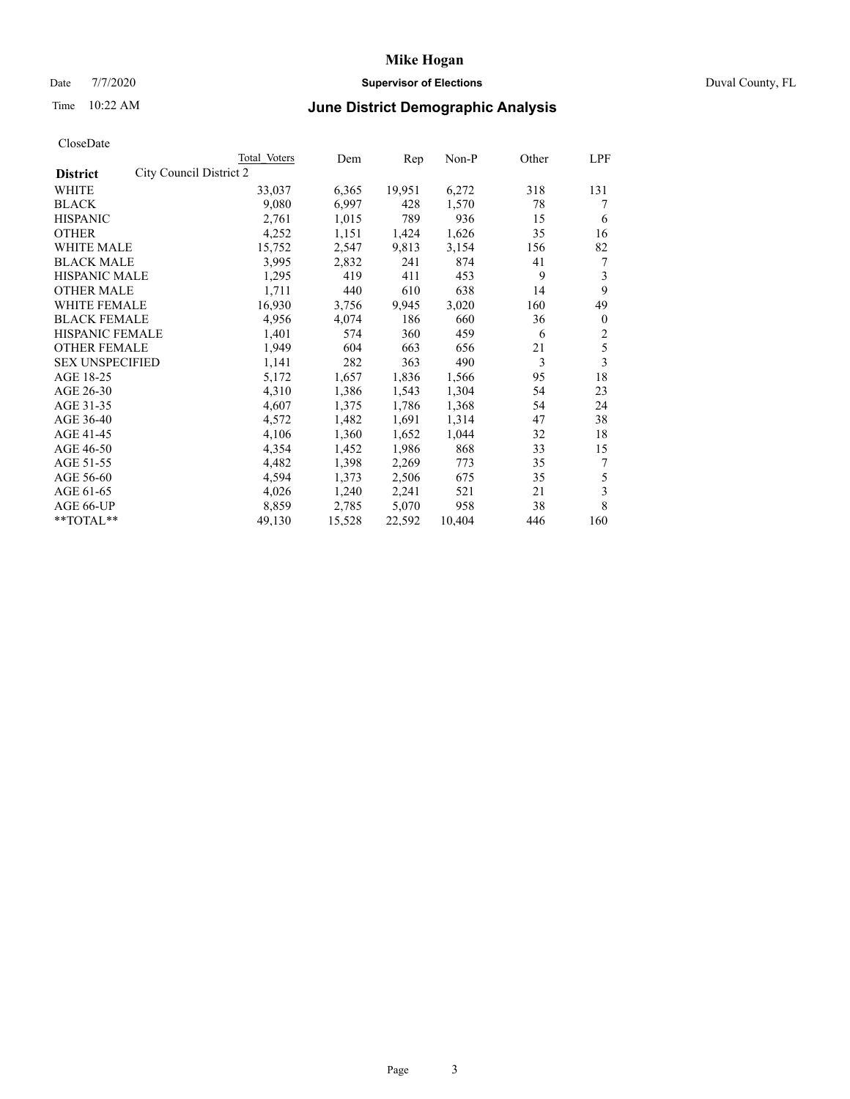# Date 7/7/2020 **Supervisor of Elections** Duval County, FL

# Time 10:22 AM **June District Demographic Analysis**

|                                            | <b>Total Voters</b> | Dem    | Rep    | $Non-P$ | Other | LPF            |
|--------------------------------------------|---------------------|--------|--------|---------|-------|----------------|
| City Council District 2<br><b>District</b> |                     |        |        |         |       |                |
| WHITE                                      | 33,037              | 6,365  | 19,951 | 6,272   | 318   | 131            |
| <b>BLACK</b>                               | 9,080               | 6,997  | 428    | 1,570   | 78    | 7              |
| <b>HISPANIC</b>                            | 2,761               | 1,015  | 789    | 936     | 15    | 6              |
| <b>OTHER</b>                               | 4,252               | 1,151  | 1,424  | 1,626   | 35    | 16             |
| <b>WHITE MALE</b>                          | 15,752              | 2,547  | 9,813  | 3,154   | 156   | 82             |
| <b>BLACK MALE</b>                          | 3,995               | 2,832  | 241    | 874     | 41    | 7              |
| <b>HISPANIC MALE</b>                       | 1,295               | 419    | 411    | 453     | 9     | 3              |
| <b>OTHER MALE</b>                          | 1,711               | 440    | 610    | 638     | 14    | 9              |
| WHITE FEMALE                               | 16,930              | 3,756  | 9,945  | 3,020   | 160   | 49             |
| <b>BLACK FEMALE</b>                        | 4,956               | 4,074  | 186    | 660     | 36    | $\mathbf{0}$   |
| HISPANIC FEMALE                            | 1,401               | 574    | 360    | 459     | 6     | $\overline{c}$ |
| <b>OTHER FEMALE</b>                        | 1,949               | 604    | 663    | 656     | 21    | 5              |
| <b>SEX UNSPECIFIED</b>                     | 1,141               | 282    | 363    | 490     | 3     | 3              |
| AGE 18-25                                  | 5,172               | 1,657  | 1,836  | 1,566   | 95    | 18             |
| AGE 26-30                                  | 4,310               | 1,386  | 1,543  | 1,304   | 54    | 23             |
| AGE 31-35                                  | 4,607               | 1,375  | 1,786  | 1,368   | 54    | 24             |
| AGE 36-40                                  | 4,572               | 1,482  | 1,691  | 1,314   | 47    | 38             |
| AGE 41-45                                  | 4,106               | 1,360  | 1,652  | 1,044   | 32    | 18             |
| AGE 46-50                                  | 4,354               | 1,452  | 1,986  | 868     | 33    | 15             |
| AGE 51-55                                  | 4,482               | 1,398  | 2,269  | 773     | 35    | 7              |
| AGE 56-60                                  | 4,594               | 1,373  | 2,506  | 675     | 35    | 5              |
| AGE 61-65                                  | 4,026               | 1,240  | 2,241  | 521     | 21    | 3              |
| AGE 66-UP                                  | 8,859               | 2,785  | 5,070  | 958     | 38    | 8              |
| $*$ $TOTAL**$                              | 49,130              | 15,528 | 22,592 | 10,404  | 446   | 160            |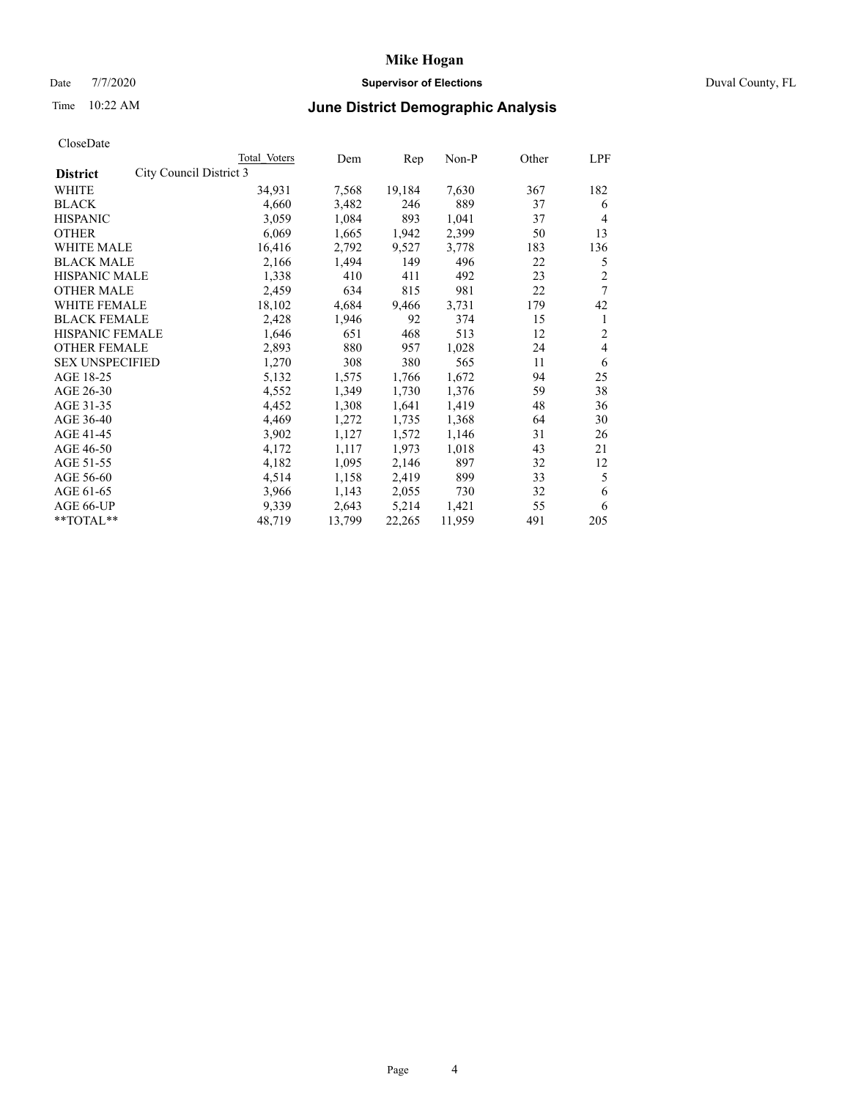# Date 7/7/2020 **Supervisor of Elections** Duval County, FL

# Time 10:22 AM **June District Demographic Analysis**

|                                            | Total Voters | Dem    | Rep    | $Non-P$ | Other | LPF            |
|--------------------------------------------|--------------|--------|--------|---------|-------|----------------|
| City Council District 3<br><b>District</b> |              |        |        |         |       |                |
| WHITE                                      | 34,931       | 7,568  | 19,184 | 7,630   | 367   | 182            |
| <b>BLACK</b>                               | 4,660        | 3,482  | 246    | 889     | 37    | 6              |
| <b>HISPANIC</b>                            | 3,059        | 1,084  | 893    | 1,041   | 37    | 4              |
| <b>OTHER</b>                               | 6,069        | 1,665  | 1,942  | 2,399   | 50    | 13             |
| <b>WHITE MALE</b>                          | 16,416       | 2,792  | 9,527  | 3,778   | 183   | 136            |
| <b>BLACK MALE</b>                          | 2,166        | 1,494  | 149    | 496     | 22    | 5              |
| <b>HISPANIC MALE</b>                       | 1,338        | 410    | 411    | 492     | 23    | $\overline{2}$ |
| <b>OTHER MALE</b>                          | 2,459        | 634    | 815    | 981     | 22    | 7              |
| WHITE FEMALE                               | 18,102       | 4,684  | 9,466  | 3,731   | 179   | 42             |
| <b>BLACK FEMALE</b>                        | 2,428        | 1,946  | 92     | 374     | 15    | 1              |
| <b>HISPANIC FEMALE</b>                     | 1,646        | 651    | 468    | 513     | 12    | 2              |
| <b>OTHER FEMALE</b>                        | 2,893        | 880    | 957    | 1,028   | 24    | 4              |
| <b>SEX UNSPECIFIED</b>                     | 1,270        | 308    | 380    | 565     | 11    | 6              |
| AGE 18-25                                  | 5,132        | 1,575  | 1,766  | 1,672   | 94    | 25             |
| AGE 26-30                                  | 4,552        | 1,349  | 1,730  | 1,376   | 59    | 38             |
| AGE 31-35                                  | 4,452        | 1,308  | 1,641  | 1,419   | 48    | 36             |
| AGE 36-40                                  | 4,469        | 1,272  | 1,735  | 1,368   | 64    | 30             |
| AGE 41-45                                  | 3,902        | 1,127  | 1,572  | 1,146   | 31    | 26             |
| AGE 46-50                                  | 4,172        | 1,117  | 1,973  | 1,018   | 43    | 21             |
| AGE 51-55                                  | 4,182        | 1,095  | 2,146  | 897     | 32    | 12             |
| AGE 56-60                                  | 4,514        | 1,158  | 2,419  | 899     | 33    | 5              |
| AGE 61-65                                  | 3,966        | 1,143  | 2,055  | 730     | 32    | 6              |
| AGE 66-UP                                  | 9,339        | 2,643  | 5,214  | 1,421   | 55    | 6              |
| $*$ $TOTAL**$                              | 48,719       | 13,799 | 22,265 | 11,959  | 491   | 205            |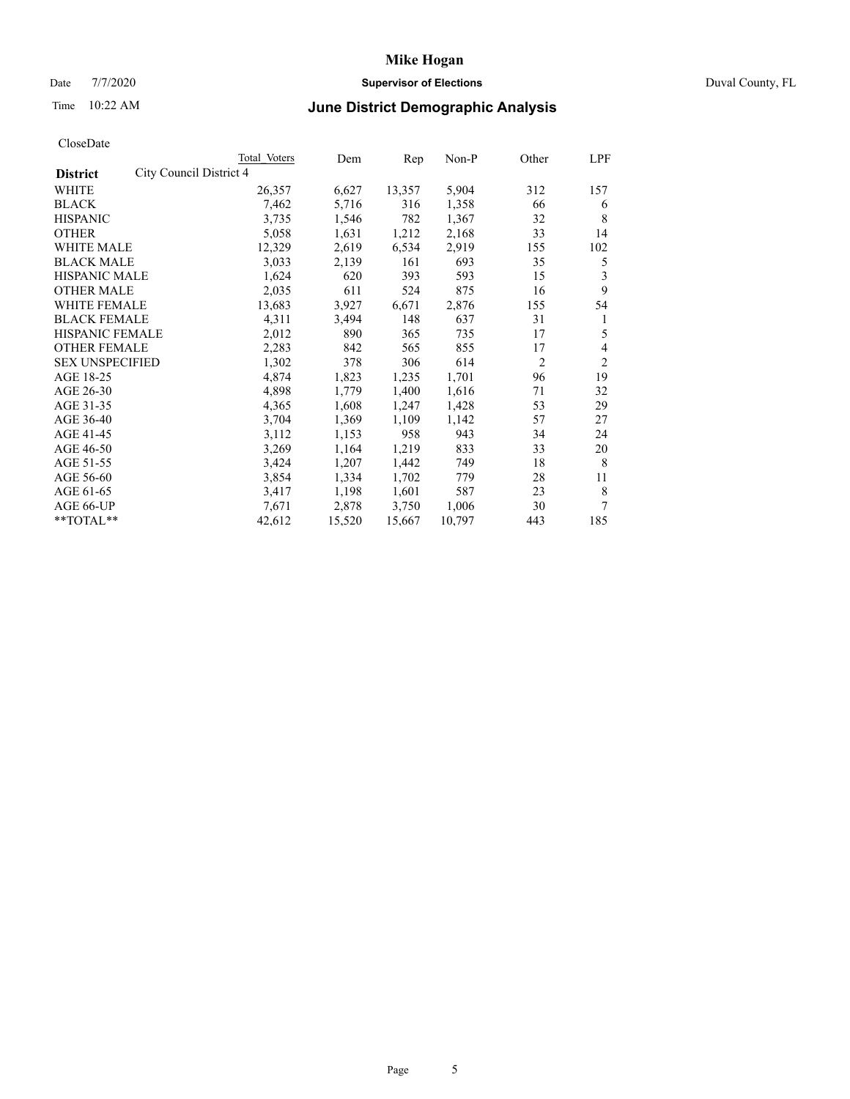# Date 7/7/2020 **Supervisor of Elections** Duval County, FL

# Time 10:22 AM **June District Demographic Analysis**

| Total Voters | Dem                     | Rep    | Non-P  | Other          | LPF            |
|--------------|-------------------------|--------|--------|----------------|----------------|
|              |                         |        |        |                |                |
| 26,357       | 6,627                   | 13,357 | 5,904  | 312            | 157            |
| 7,462        | 5,716                   | 316    | 1,358  | 66             | 6              |
| 3,735        | 1,546                   | 782    | 1,367  | 32             | 8              |
| 5,058        | 1,631                   | 1,212  | 2,168  | 33             | 14             |
| 12,329       | 2,619                   | 6,534  | 2,919  | 155            | 102            |
| 3,033        | 2,139                   | 161    | 693    | 35             | 5              |
| 1,624        | 620                     | 393    | 593    | 15             | 3              |
| 2,035        | 611                     | 524    | 875    | 16             | 9              |
| 13,683       | 3,927                   | 6,671  | 2,876  | 155            | 54             |
| 4,311        | 3,494                   | 148    | 637    | 31             | 1              |
| 2,012        | 890                     | 365    | 735    | 17             | 5              |
| 2,283        | 842                     | 565    | 855    | 17             | 4              |
| 1,302        | 378                     | 306    | 614    | $\overline{2}$ | $\overline{2}$ |
| 4,874        | 1,823                   | 1,235  | 1,701  | 96             | 19             |
| 4,898        | 1,779                   | 1,400  | 1,616  | 71             | 32             |
| 4,365        | 1,608                   | 1,247  | 1,428  | 53             | 29             |
| 3,704        | 1,369                   | 1,109  | 1,142  | 57             | 27             |
| 3,112        | 1,153                   | 958    | 943    | 34             | 24             |
| 3,269        | 1,164                   | 1,219  | 833    | 33             | 20             |
| 3,424        | 1,207                   | 1,442  | 749    | 18             | 8              |
| 3,854        | 1,334                   | 1,702  | 779    | 28             | 11             |
| 3,417        | 1,198                   | 1,601  | 587    | 23             | 8              |
| 7,671        | 2,878                   | 3,750  | 1,006  | 30             | 7              |
| 42,612       | 15,520                  | 15,667 | 10,797 | 443            | 185            |
|              | City Council District 4 |        |        |                |                |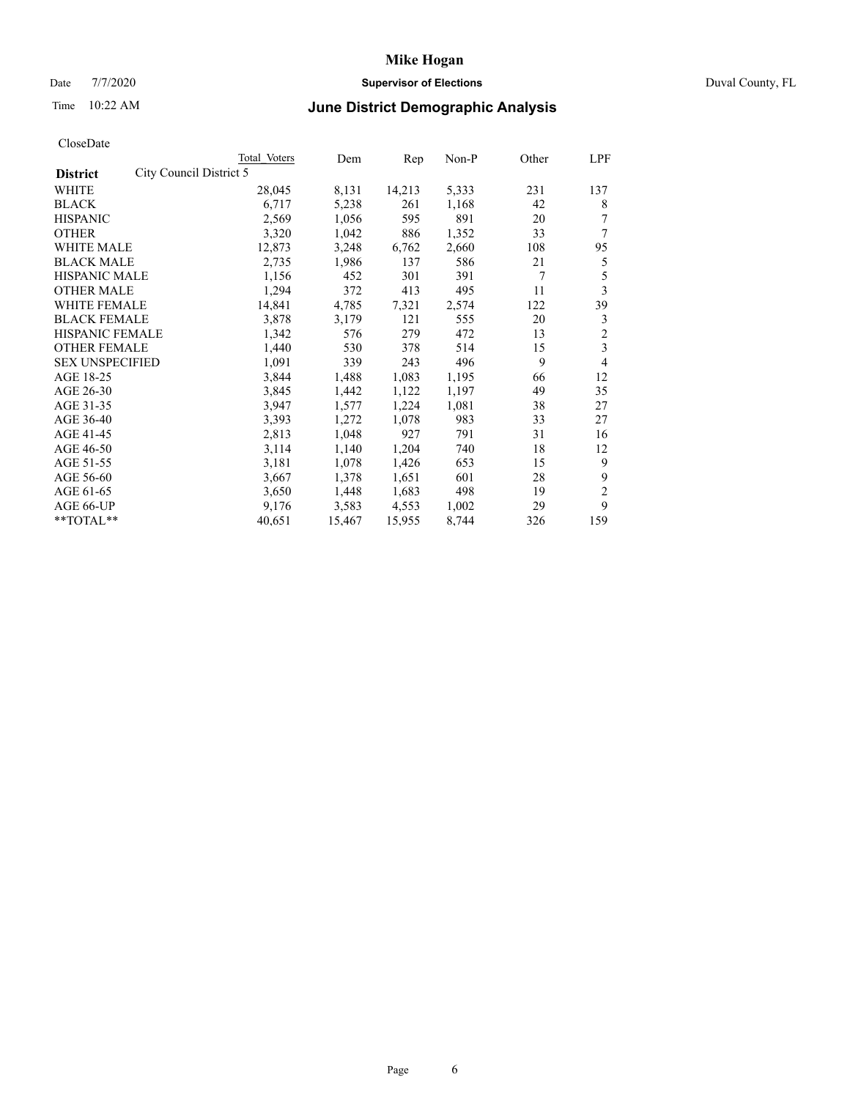# Date 7/7/2020 **Supervisor of Elections** Duval County, FL

# Time 10:22 AM **June District Demographic Analysis**

| Total Voters            | Dem    | Rep    | $Non-P$ | Other | LPF                     |
|-------------------------|--------|--------|---------|-------|-------------------------|
| City Council District 5 |        |        |         |       |                         |
| 28,045                  | 8,131  | 14,213 | 5,333   | 231   | 137                     |
| 6,717                   | 5,238  | 261    | 1,168   | 42    | 8                       |
| 2,569                   | 1,056  | 595    | 891     | 20    | 7                       |
| 3,320                   | 1,042  | 886    | 1,352   | 33    | 7                       |
| 12,873                  | 3,248  | 6,762  | 2,660   | 108   | 95                      |
| 2,735                   | 1,986  | 137    | 586     | 21    | 5                       |
| 1,156                   | 452    | 301    | 391     | 7     | 5                       |
| 1,294                   | 372    | 413    | 495     | 11    | 3                       |
| 14,841                  | 4,785  | 7,321  | 2,574   | 122   | 39                      |
| 3,878                   | 3,179  | 121    | 555     | 20    | 3                       |
| 1,342                   | 576    | 279    | 472     | 13    | $\overline{2}$          |
| 1,440                   | 530    | 378    | 514     | 15    | $\overline{\mathbf{3}}$ |
| 1,091                   | 339    | 243    | 496     | 9     | 4                       |
| 3,844                   | 1,488  | 1,083  | 1,195   | 66    | 12                      |
| 3,845                   | 1,442  | 1,122  | 1,197   | 49    | 35                      |
| 3,947                   | 1,577  | 1,224  | 1,081   | 38    | 27                      |
| 3,393                   | 1,272  | 1,078  | 983     | 33    | 27                      |
| 2,813                   | 1,048  | 927    | 791     | 31    | 16                      |
| 3,114                   | 1,140  | 1,204  | 740     | 18    | 12                      |
| 3,181                   | 1,078  | 1,426  | 653     | 15    | 9                       |
| 3,667                   | 1,378  | 1,651  | 601     | 28    | 9                       |
| 3,650                   | 1,448  | 1,683  | 498     | 19    | $\overline{2}$          |
| 9,176                   | 3,583  | 4,553  | 1,002   | 29    | 9                       |
| 40,651                  | 15,467 | 15,955 | 8,744   | 326   | 159                     |
|                         |        |        |         |       |                         |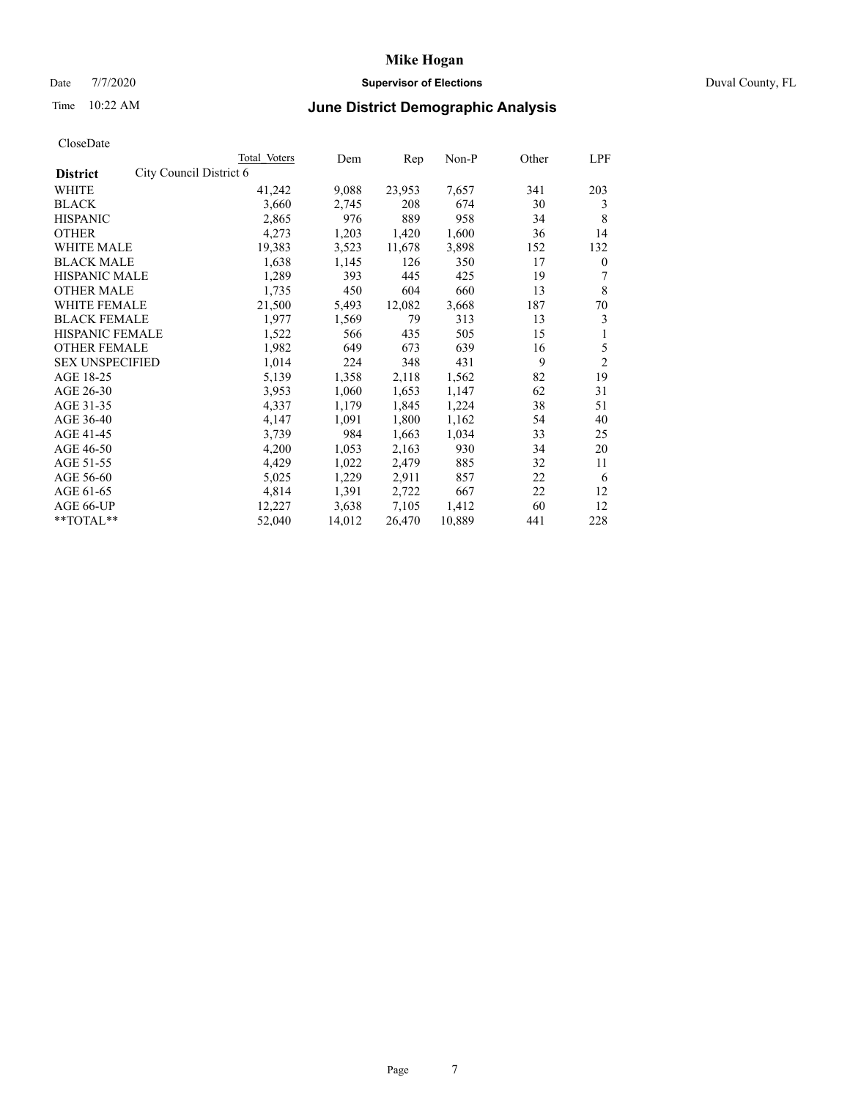# Date 7/7/2020 **Supervisor of Elections** Duval County, FL

# Time 10:22 AM **June District Demographic Analysis**

|                        |                         | Total Voters | Dem    | Rep    | Non-P  | Other | LPF            |
|------------------------|-------------------------|--------------|--------|--------|--------|-------|----------------|
| <b>District</b>        | City Council District 6 |              |        |        |        |       |                |
| WHITE                  |                         | 41,242       | 9,088  | 23,953 | 7,657  | 341   | 203            |
| <b>BLACK</b>           |                         | 3,660        | 2,745  | 208    | 674    | 30    | 3              |
| <b>HISPANIC</b>        |                         | 2,865        | 976    | 889    | 958    | 34    | 8              |
| <b>OTHER</b>           |                         | 4,273        | 1,203  | 1,420  | 1,600  | 36    | 14             |
| WHITE MALE             |                         | 19,383       | 3,523  | 11,678 | 3,898  | 152   | 132            |
| <b>BLACK MALE</b>      |                         | 1,638        | 1,145  | 126    | 350    | 17    | $\mathbf{0}$   |
| <b>HISPANIC MALE</b>   |                         | 1,289        | 393    | 445    | 425    | 19    | 7              |
| <b>OTHER MALE</b>      |                         | 1,735        | 450    | 604    | 660    | 13    | 8              |
| <b>WHITE FEMALE</b>    |                         | 21,500       | 5,493  | 12,082 | 3,668  | 187   | 70             |
| <b>BLACK FEMALE</b>    |                         | 1,977        | 1,569  | 79     | 313    | 13    | 3              |
| HISPANIC FEMALE        |                         | 1,522        | 566    | 435    | 505    | 15    | 1              |
| <b>OTHER FEMALE</b>    |                         | 1,982        | 649    | 673    | 639    | 16    | 5              |
| <b>SEX UNSPECIFIED</b> |                         | 1,014        | 224    | 348    | 431    | 9     | $\overline{2}$ |
| AGE 18-25              |                         | 5,139        | 1,358  | 2,118  | 1,562  | 82    | 19             |
| AGE 26-30              |                         | 3,953        | 1,060  | 1,653  | 1,147  | 62    | 31             |
| AGE 31-35              |                         | 4,337        | 1,179  | 1,845  | 1,224  | 38    | 51             |
| AGE 36-40              |                         | 4,147        | 1,091  | 1,800  | 1,162  | 54    | 40             |
| AGE 41-45              |                         | 3,739        | 984    | 1,663  | 1,034  | 33    | 25             |
| AGE 46-50              |                         | 4,200        | 1,053  | 2,163  | 930    | 34    | 20             |
| AGE 51-55              |                         | 4,429        | 1,022  | 2,479  | 885    | 32    | 11             |
| AGE 56-60              |                         | 5,025        | 1,229  | 2,911  | 857    | 22    | 6              |
| AGE 61-65              |                         | 4,814        | 1,391  | 2,722  | 667    | 22    | 12             |
| AGE 66-UP              |                         | 12,227       | 3,638  | 7,105  | 1,412  | 60    | 12             |
| **TOTAL**              |                         | 52,040       | 14,012 | 26,470 | 10,889 | 441   | 228            |
|                        |                         |              |        |        |        |       |                |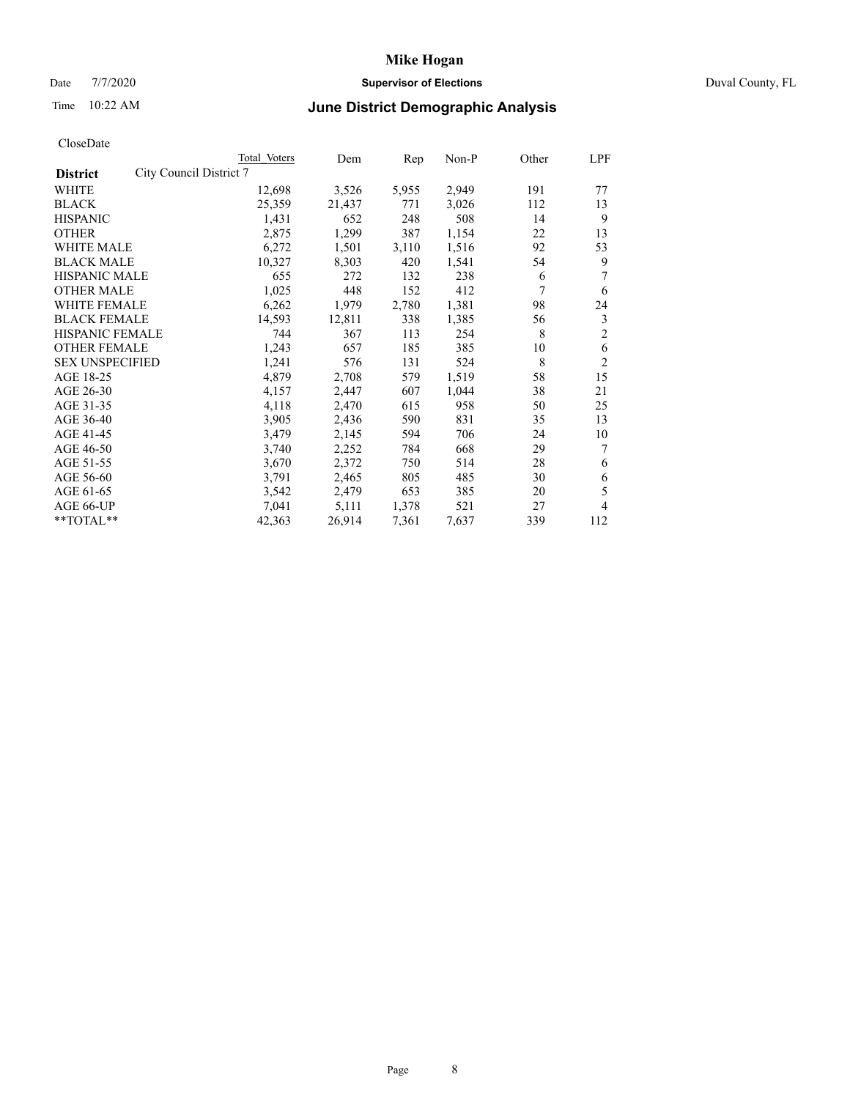# Date 7/7/2020 **Supervisor of Elections** Duval County, FL

# Time 10:22 AM **June District Demographic Analysis**

| <b>Total Voters</b> | Dem                     | Rep   | $Non-P$ | Other | LPF            |
|---------------------|-------------------------|-------|---------|-------|----------------|
|                     |                         |       |         |       |                |
| 12,698              | 3,526                   | 5,955 | 2,949   | 191   | 77             |
| 25,359              | 21,437                  | 771   | 3,026   | 112   | 13             |
| 1,431               | 652                     | 248   | 508     | 14    | 9              |
| 2,875               | 1,299                   | 387   | 1,154   | 22    | 13             |
| 6,272               | 1,501                   | 3,110 | 1,516   | 92    | 53             |
| 10,327              | 8,303                   | 420   | 1,541   | 54    | 9              |
| 655                 | 272                     | 132   | 238     | 6     | 7              |
| 1,025               | 448                     | 152   | 412     | 7     | 6              |
| 6,262               | 1,979                   | 2,780 | 1,381   | 98    | 24             |
| 14,593              | 12,811                  | 338   | 1,385   | 56    | 3              |
| 744                 | 367                     | 113   | 254     | 8     | $\overline{2}$ |
| 1,243               | 657                     | 185   | 385     | 10    | 6              |
| 1,241               | 576                     | 131   | 524     | 8     | $\overline{2}$ |
| 4,879               | 2,708                   | 579   | 1,519   | 58    | 15             |
| 4,157               | 2,447                   | 607   | 1,044   | 38    | 21             |
| 4,118               | 2,470                   | 615   | 958     | 50    | 25             |
| 3,905               | 2,436                   | 590   | 831     | 35    | 13             |
| 3,479               | 2,145                   | 594   | 706     | 24    | 10             |
| 3,740               | 2,252                   | 784   | 668     | 29    | 7              |
| 3,670               | 2,372                   | 750   | 514     | 28    | 6              |
| 3,791               | 2,465                   | 805   | 485     | 30    | 6              |
| 3,542               | 2,479                   | 653   | 385     | 20    | 5              |
| 7,041               | 5,111                   | 1,378 | 521     | 27    | 4              |
| 42,363              | 26,914                  | 7,361 | 7,637   | 339   | 112            |
|                     | City Council District 7 |       |         |       |                |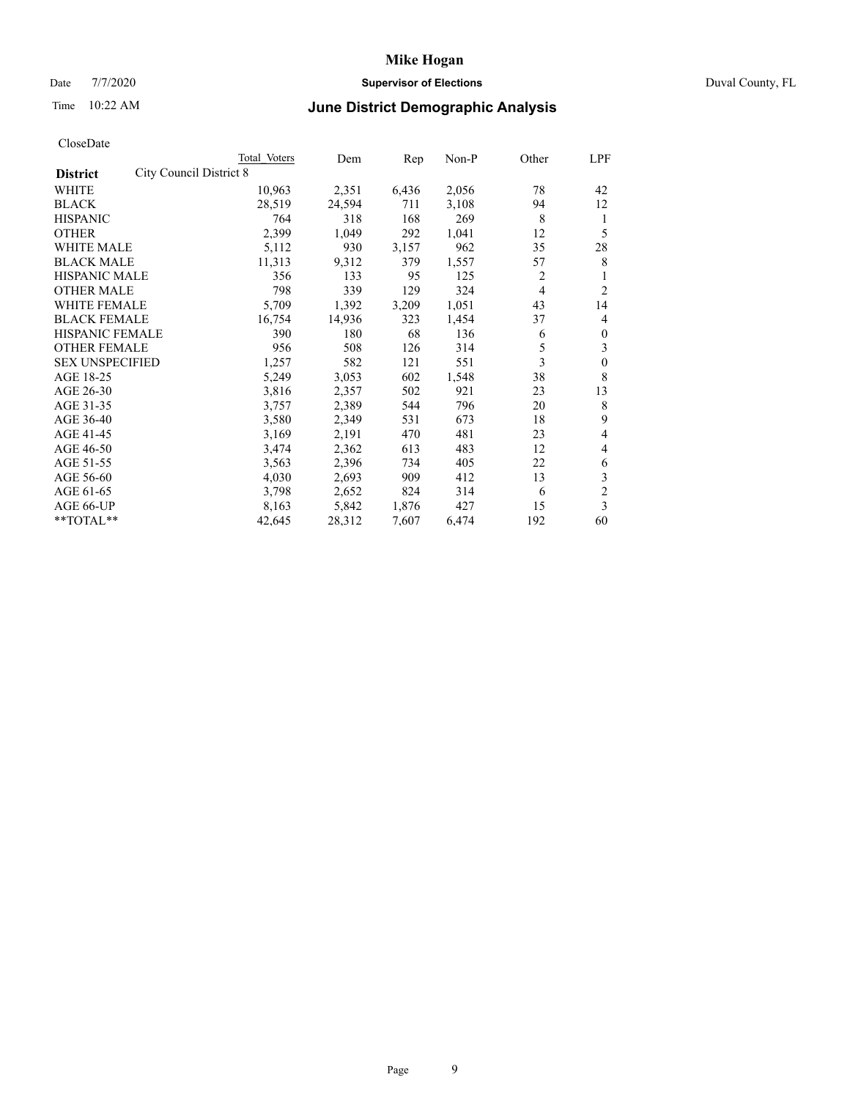# Date 7/7/2020 **Supervisor of Elections** Duval County, FL

# Time 10:22 AM **June District Demographic Analysis**

|                                                   | Total Voters | Dem    | Rep   | Non-P | Other | LPF            |
|---------------------------------------------------|--------------|--------|-------|-------|-------|----------------|
| <b>City Council District 8</b><br><b>District</b> |              |        |       |       |       |                |
| WHITE                                             | 10,963       | 2,351  | 6,436 | 2,056 | 78    | 42             |
| <b>BLACK</b>                                      | 28,519       | 24,594 | 711   | 3,108 | 94    | 12             |
| <b>HISPANIC</b>                                   | 764          | 318    | 168   | 269   | 8     | 1              |
| <b>OTHER</b>                                      | 2,399        | 1,049  | 292   | 1,041 | 12    | 5              |
| WHITE MALE                                        | 5,112        | 930    | 3,157 | 962   | 35    | 28             |
| <b>BLACK MALE</b>                                 | 11,313       | 9,312  | 379   | 1,557 | 57    | 8              |
| <b>HISPANIC MALE</b>                              | 356          | 133    | 95    | 125   | 2     | 1              |
| <b>OTHER MALE</b>                                 | 798          | 339    | 129   | 324   | 4     | 2              |
| WHITE FEMALE                                      | 5,709        | 1,392  | 3,209 | 1,051 | 43    | 14             |
| <b>BLACK FEMALE</b>                               | 16,754       | 14,936 | 323   | 1,454 | 37    | 4              |
| <b>HISPANIC FEMALE</b>                            | 390          | 180    | 68    | 136   | 6     | $\mathbf{0}$   |
| <b>OTHER FEMALE</b>                               | 956          | 508    | 126   | 314   | 5     | 3              |
| <b>SEX UNSPECIFIED</b>                            | 1,257        | 582    | 121   | 551   | 3     | $\mathbf{0}$   |
| AGE 18-25                                         | 5,249        | 3,053  | 602   | 1,548 | 38    | 8              |
| AGE 26-30                                         | 3,816        | 2,357  | 502   | 921   | 23    | 13             |
| AGE 31-35                                         | 3,757        | 2,389  | 544   | 796   | 20    | 8              |
| AGE 36-40                                         | 3,580        | 2,349  | 531   | 673   | 18    | 9              |
| AGE 41-45                                         | 3,169        | 2,191  | 470   | 481   | 23    | 4              |
| AGE 46-50                                         | 3,474        | 2,362  | 613   | 483   | 12    | 4              |
| AGE 51-55                                         | 3,563        | 2,396  | 734   | 405   | 22    | 6              |
| AGE 56-60                                         | 4,030        | 2,693  | 909   | 412   | 13    | 3              |
| AGE 61-65                                         | 3,798        | 2,652  | 824   | 314   | 6     | $\overline{2}$ |
| AGE 66-UP                                         | 8,163        | 5,842  | 1,876 | 427   | 15    | 3              |
| $*$ TOTAL $**$                                    | 42,645       | 28,312 | 7,607 | 6,474 | 192   | 60             |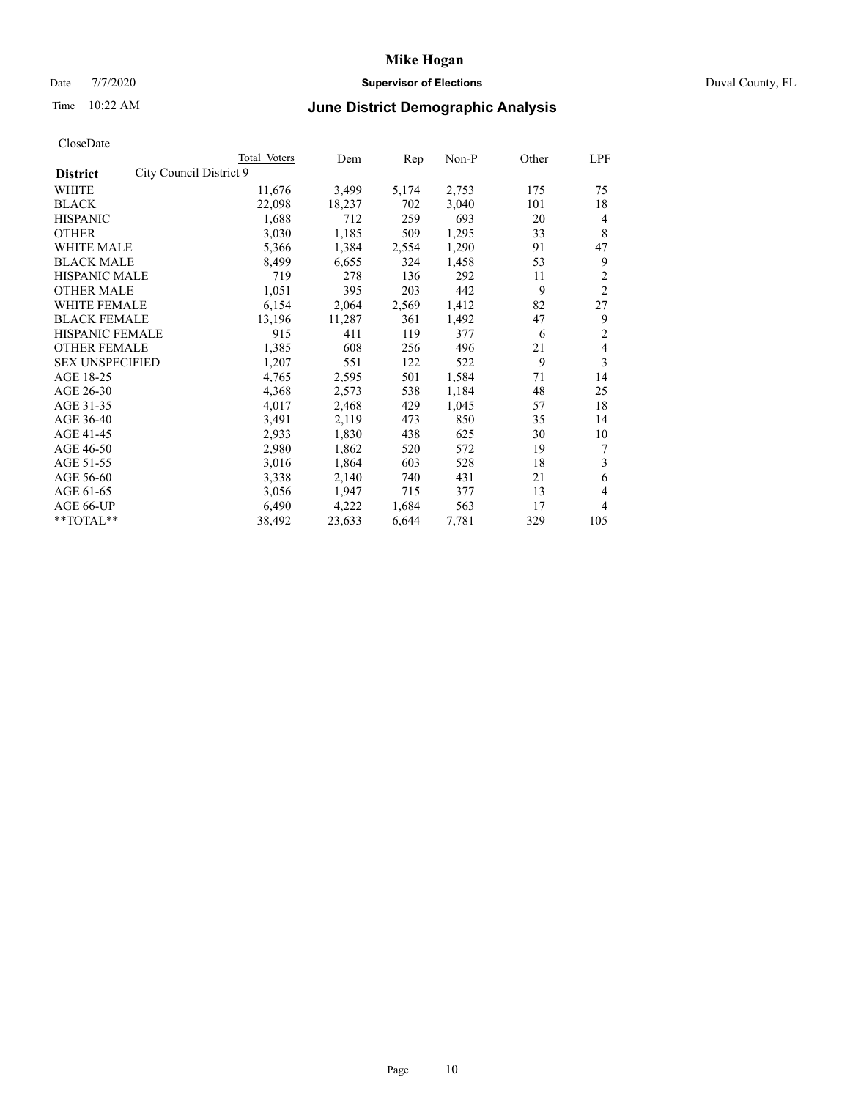# Date 7/7/2020 **Supervisor of Elections** Duval County, FL

# Time 10:22 AM **June District Demographic Analysis**

|                                            | Total Voters | Dem    | Rep   | Non-P | Other | LPF            |
|--------------------------------------------|--------------|--------|-------|-------|-------|----------------|
| City Council District 9<br><b>District</b> |              |        |       |       |       |                |
| WHITE                                      | 11,676       | 3,499  | 5,174 | 2,753 | 175   | 75             |
| <b>BLACK</b>                               | 22,098       | 18,237 | 702   | 3,040 | 101   | 18             |
| <b>HISPANIC</b>                            | 1,688        | 712    | 259   | 693   | 20    | $\overline{4}$ |
| <b>OTHER</b>                               | 3,030        | 1,185  | 509   | 1,295 | 33    | 8              |
| WHITE MALE                                 | 5,366        | 1,384  | 2,554 | 1,290 | 91    | 47             |
| <b>BLACK MALE</b>                          | 8,499        | 6,655  | 324   | 1,458 | 53    | 9              |
| <b>HISPANIC MALE</b>                       | 719          | 278    | 136   | 292   | 11    | 2              |
| <b>OTHER MALE</b>                          | 1,051        | 395    | 203   | 442   | 9     | $\overline{2}$ |
| WHITE FEMALE                               | 6,154        | 2,064  | 2,569 | 1,412 | 82    | 27             |
| <b>BLACK FEMALE</b>                        | 13,196       | 11,287 | 361   | 1,492 | 47    | 9              |
| <b>HISPANIC FEMALE</b>                     | 915          | 411    | 119   | 377   | 6     | $\overline{2}$ |
| <b>OTHER FEMALE</b>                        | 1,385        | 608    | 256   | 496   | 21    | 4              |
| <b>SEX UNSPECIFIED</b>                     | 1,207        | 551    | 122   | 522   | 9     | 3              |
| AGE 18-25                                  | 4,765        | 2,595  | 501   | 1,584 | 71    | 14             |
| AGE 26-30                                  | 4,368        | 2,573  | 538   | 1,184 | 48    | 25             |
| AGE 31-35                                  | 4,017        | 2,468  | 429   | 1,045 | 57    | 18             |
| AGE 36-40                                  | 3,491        | 2,119  | 473   | 850   | 35    | 14             |
| AGE 41-45                                  | 2,933        | 1,830  | 438   | 625   | 30    | 10             |
| AGE 46-50                                  | 2,980        | 1,862  | 520   | 572   | 19    | 7              |
| AGE 51-55                                  | 3,016        | 1,864  | 603   | 528   | 18    | 3              |
| AGE 56-60                                  | 3,338        | 2,140  | 740   | 431   | 21    | 6              |
| AGE 61-65                                  | 3,056        | 1,947  | 715   | 377   | 13    | 4              |
| AGE 66-UP                                  | 6,490        | 4,222  | 1,684 | 563   | 17    | 4              |
| $*$ TOTAL $**$                             | 38,492       | 23,633 | 6,644 | 7,781 | 329   | 105            |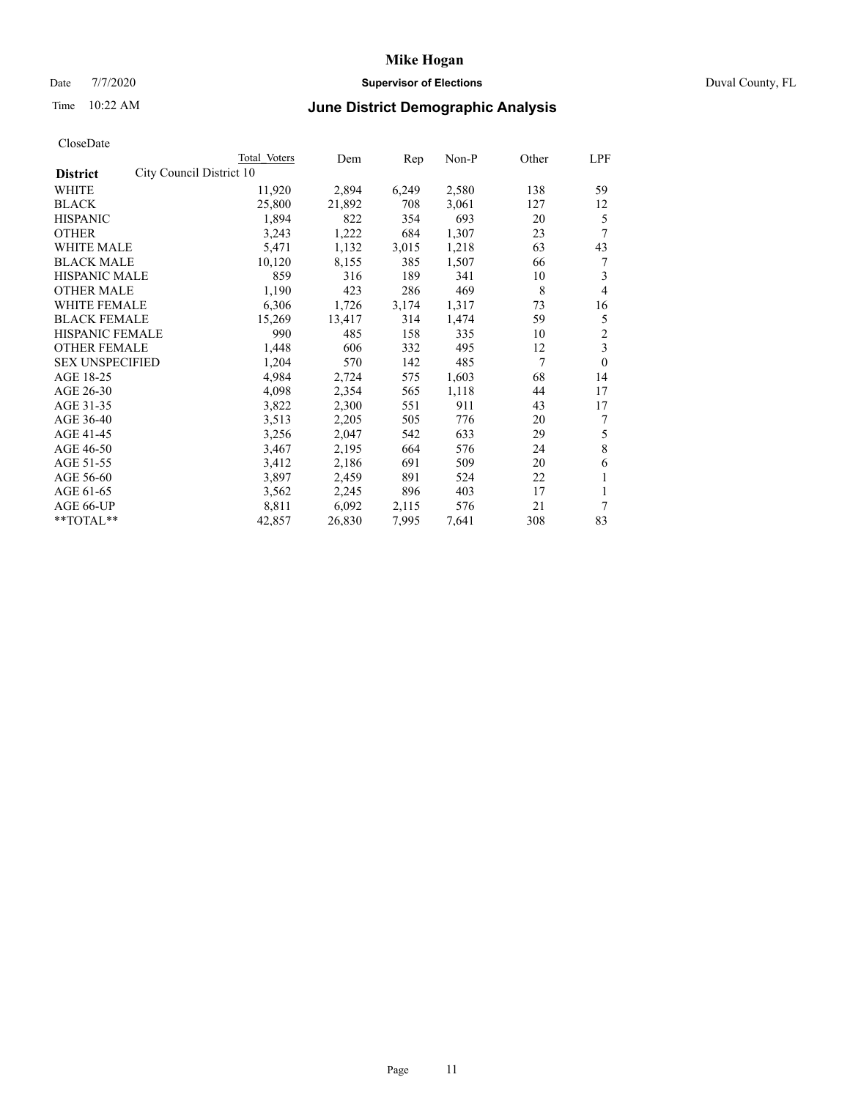# Date 7/7/2020 **Supervisor of Elections** Duval County, FL

# Time 10:22 AM **June District Demographic Analysis**

|                                             | Total Voters | Dem    | Rep   | $Non-P$ | Other | LPF                     |
|---------------------------------------------|--------------|--------|-------|---------|-------|-------------------------|
| City Council District 10<br><b>District</b> |              |        |       |         |       |                         |
| WHITE                                       | 11,920       | 2,894  | 6,249 | 2,580   | 138   | 59                      |
| <b>BLACK</b>                                | 25,800       | 21,892 | 708   | 3,061   | 127   | 12                      |
| <b>HISPANIC</b>                             | 1,894        | 822    | 354   | 693     | 20    | 5                       |
| <b>OTHER</b>                                | 3,243        | 1,222  | 684   | 1,307   | 23    | 7                       |
| <b>WHITE MALE</b>                           | 5,471        | 1,132  | 3,015 | 1,218   | 63    | 43                      |
| <b>BLACK MALE</b>                           | 10,120       | 8,155  | 385   | 1,507   | 66    | 7                       |
| <b>HISPANIC MALE</b>                        | 859          | 316    | 189   | 341     | 10    | 3                       |
| <b>OTHER MALE</b>                           | 1,190        | 423    | 286   | 469     | 8     | $\overline{4}$          |
| WHITE FEMALE                                | 6,306        | 1,726  | 3,174 | 1,317   | 73    | 16                      |
| <b>BLACK FEMALE</b>                         | 15,269       | 13,417 | 314   | 1,474   | 59    | 5                       |
| <b>HISPANIC FEMALE</b>                      | 990          | 485    | 158   | 335     | 10    | $\overline{2}$          |
| <b>OTHER FEMALE</b>                         | 1,448        | 606    | 332   | 495     | 12    | $\overline{\mathbf{3}}$ |
| <b>SEX UNSPECIFIED</b>                      | 1,204        | 570    | 142   | 485     | 7     | $\theta$                |
| AGE 18-25                                   | 4,984        | 2,724  | 575   | 1,603   | 68    | 14                      |
| AGE 26-30                                   | 4,098        | 2,354  | 565   | 1,118   | 44    | 17                      |
| AGE 31-35                                   | 3,822        | 2,300  | 551   | 911     | 43    | 17                      |
| AGE 36-40                                   | 3,513        | 2,205  | 505   | 776     | 20    | 7                       |
| AGE 41-45                                   | 3,256        | 2,047  | 542   | 633     | 29    | 5                       |
| AGE 46-50                                   | 3,467        | 2,195  | 664   | 576     | 24    | 8                       |
| AGE 51-55                                   | 3,412        | 2,186  | 691   | 509     | 20    | 6                       |
| AGE 56-60                                   | 3,897        | 2,459  | 891   | 524     | 22    | 1                       |
| AGE 61-65                                   | 3,562        | 2,245  | 896   | 403     | 17    | 1                       |
| AGE 66-UP                                   | 8,811        | 6,092  | 2,115 | 576     | 21    | 7                       |
| $*$ $TOTAL**$                               | 42,857       | 26,830 | 7,995 | 7,641   | 308   | 83                      |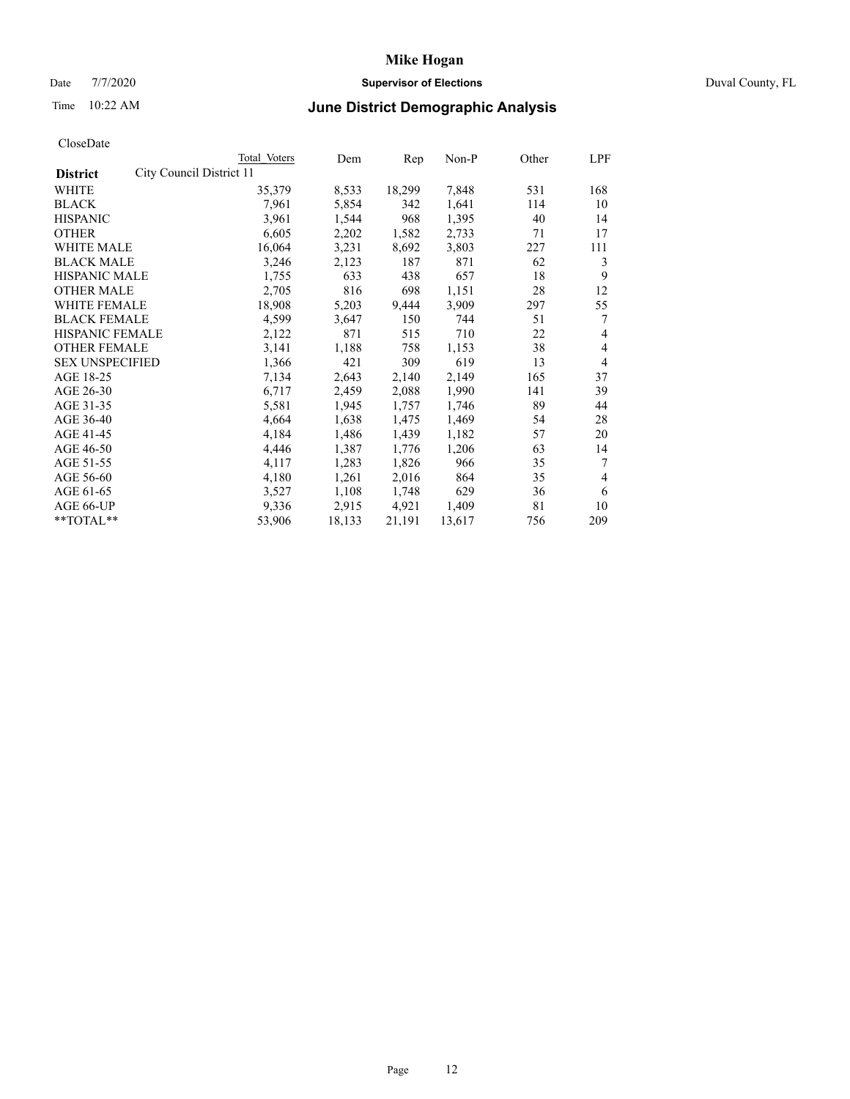# Date 7/7/2020 **Supervisor of Elections** Duval County, FL

# Time 10:22 AM **June District Demographic Analysis**

| Total Voters             | Dem    | Rep    | $Non-P$ | Other | LPF            |
|--------------------------|--------|--------|---------|-------|----------------|
| City Council District 11 |        |        |         |       |                |
| 35,379                   | 8,533  | 18,299 | 7,848   | 531   | 168            |
| 7,961                    | 5,854  | 342    | 1,641   | 114   | 10             |
| 3,961                    | 1,544  | 968    | 1,395   | 40    | 14             |
| 6,605                    | 2,202  | 1,582  | 2,733   | 71    | 17             |
| 16,064                   | 3,231  | 8,692  | 3,803   | 227   | 111            |
| 3,246                    | 2,123  | 187    | 871     | 62    | 3              |
| 1,755                    | 633    | 438    | 657     | 18    | 9              |
| 2,705                    | 816    | 698    | 1,151   | 28    | 12             |
| 18,908                   | 5,203  | 9,444  | 3,909   | 297   | 55             |
| 4,599                    | 3,647  | 150    | 744     | 51    | 7              |
| 2,122                    | 871    | 515    | 710     | 22    | 4              |
| 3,141                    | 1,188  | 758    | 1,153   | 38    | 4              |
| 1,366                    | 421    | 309    | 619     | 13    | 4              |
| 7,134                    | 2,643  | 2,140  | 2,149   | 165   | 37             |
| 6,717                    | 2,459  | 2,088  | 1,990   | 141   | 39             |
| 5,581                    | 1,945  | 1,757  | 1,746   | 89    | 44             |
| 4,664                    | 1,638  | 1,475  | 1,469   | 54    | 28             |
| 4,184                    | 1,486  | 1,439  | 1,182   | 57    | 20             |
| 4,446                    | 1,387  | 1,776  | 1,206   | 63    | 14             |
| 4,117                    | 1,283  | 1,826  | 966     | 35    | 7              |
| 4,180                    | 1,261  | 2,016  | 864     | 35    | $\overline{4}$ |
| 3,527                    | 1,108  | 1,748  | 629     | 36    | 6              |
| 9,336                    | 2,915  | 4,921  | 1,409   | 81    | 10             |
| 53,906                   | 18,133 | 21,191 | 13,617  | 756   | 209            |
|                          |        |        |         |       |                |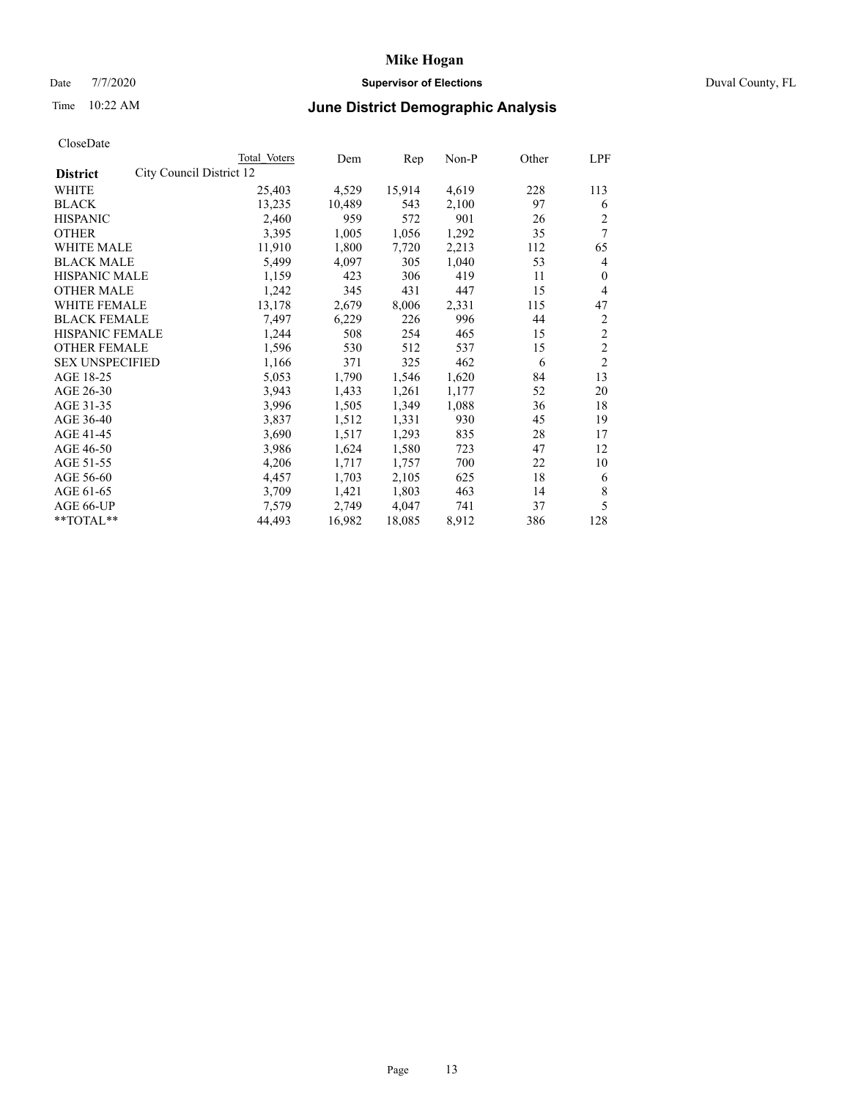# Date 7/7/2020 **Supervisor of Elections** Duval County, FL

# Time 10:22 AM **June District Demographic Analysis**

|                                             | Total Voters | Dem    | Rep    | Non-P | Other | LPF            |
|---------------------------------------------|--------------|--------|--------|-------|-------|----------------|
| City Council District 12<br><b>District</b> |              |        |        |       |       |                |
| WHITE                                       | 25,403       | 4,529  | 15,914 | 4,619 | 228   | 113            |
| <b>BLACK</b>                                | 13,235       | 10,489 | 543    | 2,100 | 97    | 6              |
| <b>HISPANIC</b>                             | 2,460        | 959    | 572    | 901   | 26    | $\overline{2}$ |
| <b>OTHER</b>                                | 3,395        | 1,005  | 1,056  | 1,292 | 35    | $\tau$         |
| WHITE MALE                                  | 11,910       | 1,800  | 7,720  | 2,213 | 112   | 65             |
| <b>BLACK MALE</b>                           | 5,499        | 4,097  | 305    | 1,040 | 53    | 4              |
| <b>HISPANIC MALE</b>                        | 1,159        | 423    | 306    | 419   | 11    | $\mathbf{0}$   |
| <b>OTHER MALE</b>                           | 1,242        | 345    | 431    | 447   | 15    | 4              |
| WHITE FEMALE                                | 13,178       | 2,679  | 8,006  | 2,331 | 115   | 47             |
| <b>BLACK FEMALE</b>                         | 7,497        | 6,229  | 226    | 996   | 44    | $\overline{2}$ |
| HISPANIC FEMALE                             | 1,244        | 508    | 254    | 465   | 15    | $\overline{2}$ |
| <b>OTHER FEMALE</b>                         | 1,596        | 530    | 512    | 537   | 15    | $\mathfrak{2}$ |
| <b>SEX UNSPECIFIED</b>                      | 1,166        | 371    | 325    | 462   | 6     | $\overline{2}$ |
| AGE 18-25                                   | 5,053        | 1,790  | 1,546  | 1,620 | 84    | 13             |
| AGE 26-30                                   | 3,943        | 1,433  | 1,261  | 1,177 | 52    | 20             |
| AGE 31-35                                   | 3,996        | 1,505  | 1,349  | 1,088 | 36    | 18             |
| AGE 36-40                                   | 3,837        | 1,512  | 1,331  | 930   | 45    | 19             |
| AGE 41-45                                   | 3,690        | 1,517  | 1,293  | 835   | 28    | 17             |
| AGE 46-50                                   | 3,986        | 1,624  | 1,580  | 723   | 47    | 12             |
| AGE 51-55                                   | 4,206        | 1,717  | 1,757  | 700   | 22    | 10             |
| AGE 56-60                                   | 4,457        | 1,703  | 2,105  | 625   | 18    | 6              |
| AGE 61-65                                   | 3,709        | 1,421  | 1,803  | 463   | 14    | 8              |
| AGE 66-UP                                   | 7,579        | 2,749  | 4,047  | 741   | 37    | 5              |
| **TOTAL**                                   | 44,493       | 16,982 | 18,085 | 8,912 | 386   | 128            |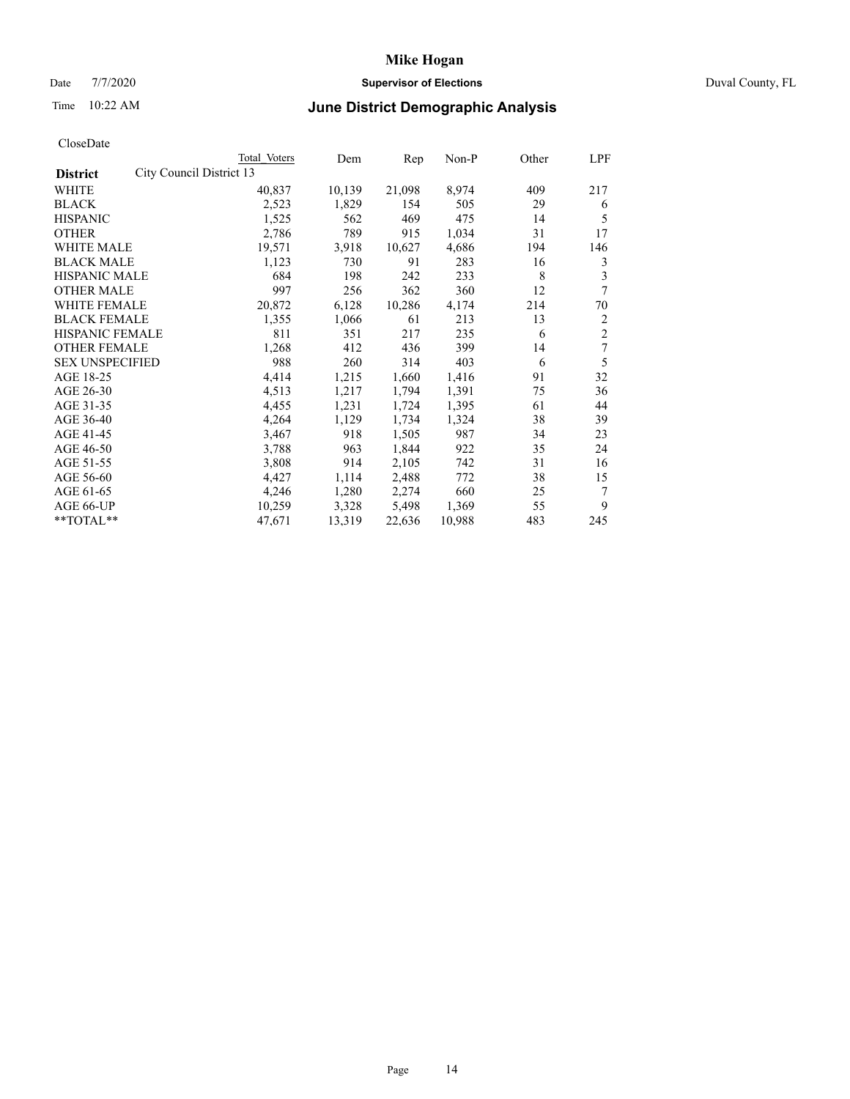# Date 7/7/2020 **Supervisor of Elections** Duval County, FL

# Time 10:22 AM **June District Demographic Analysis**

|                        |                          | Total Voters | Dem    | Rep    | Non-P  | Other | LPF            |
|------------------------|--------------------------|--------------|--------|--------|--------|-------|----------------|
| <b>District</b>        | City Council District 13 |              |        |        |        |       |                |
| WHITE                  |                          | 40,837       | 10,139 | 21,098 | 8,974  | 409   | 217            |
| <b>BLACK</b>           |                          | 2,523        | 1,829  | 154    | 505    | 29    | 6              |
| <b>HISPANIC</b>        |                          | 1,525        | 562    | 469    | 475    | 14    | 5              |
| <b>OTHER</b>           |                          | 2,786        | 789    | 915    | 1,034  | 31    | 17             |
| WHITE MALE             |                          | 19,571       | 3,918  | 10,627 | 4,686  | 194   | 146            |
| <b>BLACK MALE</b>      |                          | 1,123        | 730    | 91     | 283    | 16    | 3              |
| <b>HISPANIC MALE</b>   |                          | 684          | 198    | 242    | 233    | 8     | 3              |
| <b>OTHER MALE</b>      |                          | 997          | 256    | 362    | 360    | 12    | 7              |
| WHITE FEMALE           |                          | 20,872       | 6,128  | 10,286 | 4,174  | 214   | 70             |
| <b>BLACK FEMALE</b>    |                          | 1,355        | 1,066  | 61     | 213    | 13    | 2              |
| HISPANIC FEMALE        |                          | 811          | 351    | 217    | 235    | 6     | $\overline{c}$ |
| <b>OTHER FEMALE</b>    |                          | 1,268        | 412    | 436    | 399    | 14    | 7              |
| <b>SEX UNSPECIFIED</b> |                          | 988          | 260    | 314    | 403    | 6     | 5              |
| AGE 18-25              |                          | 4,414        | 1,215  | 1,660  | 1,416  | 91    | 32             |
| AGE 26-30              |                          | 4,513        | 1,217  | 1,794  | 1,391  | 75    | 36             |
| AGE 31-35              |                          | 4,455        | 1,231  | 1,724  | 1,395  | 61    | 44             |
| AGE 36-40              |                          | 4,264        | 1,129  | 1,734  | 1,324  | 38    | 39             |
| AGE 41-45              |                          | 3,467        | 918    | 1,505  | 987    | 34    | 23             |
| AGE 46-50              |                          | 3,788        | 963    | 1,844  | 922    | 35    | 24             |
| AGE 51-55              |                          | 3,808        | 914    | 2,105  | 742    | 31    | 16             |
| AGE 56-60              |                          | 4,427        | 1,114  | 2,488  | 772    | 38    | 15             |
| AGE 61-65              |                          | 4,246        | 1,280  | 2,274  | 660    | 25    | 7              |
| AGE 66-UP              |                          | 10,259       | 3,328  | 5,498  | 1,369  | 55    | 9              |
| **TOTAL**              |                          | 47,671       | 13,319 | 22,636 | 10,988 | 483   | 245            |
|                        |                          |              |        |        |        |       |                |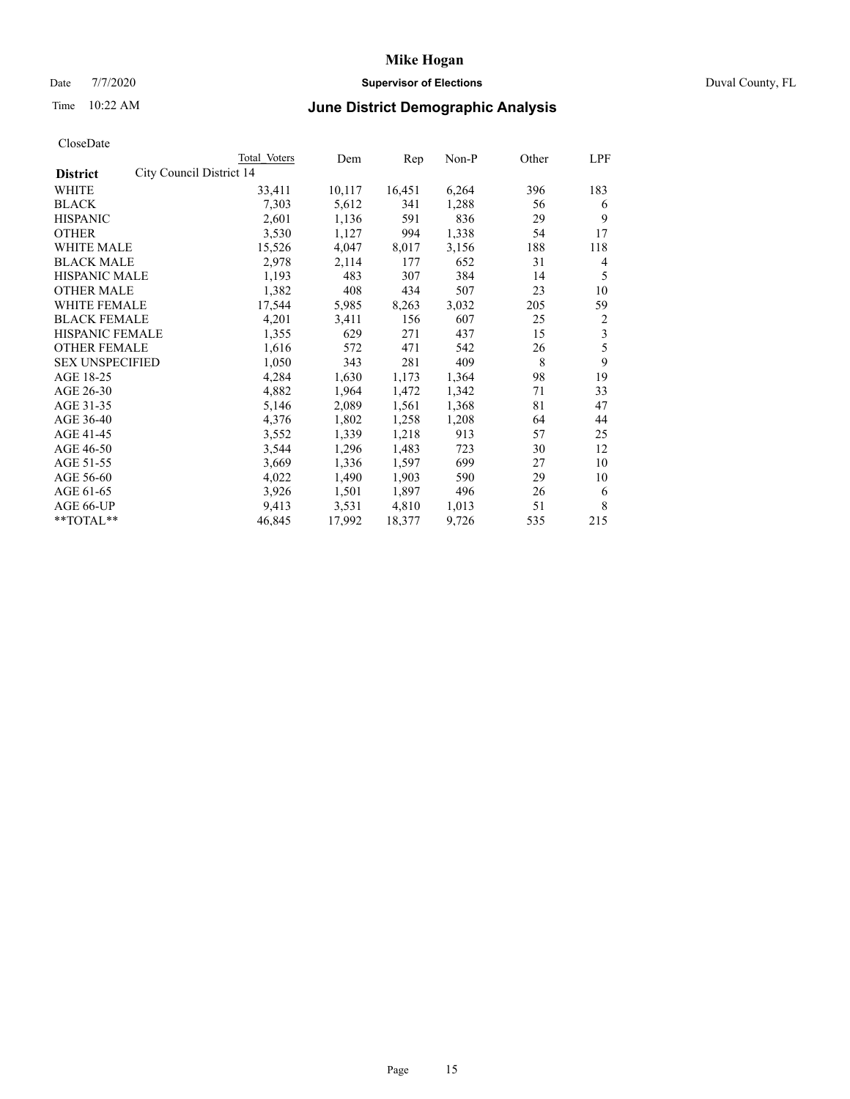# Date 7/7/2020 **Supervisor of Elections** Duval County, FL

# Time 10:22 AM **June District Demographic Analysis**

|                                             | Total Voters | Dem    | Rep    | Non-P | Other | LPF            |
|---------------------------------------------|--------------|--------|--------|-------|-------|----------------|
| City Council District 14<br><b>District</b> |              |        |        |       |       |                |
| WHITE                                       | 33,411       | 10,117 | 16,451 | 6,264 | 396   | 183            |
| <b>BLACK</b>                                | 7,303        | 5,612  | 341    | 1,288 | 56    | 6              |
| <b>HISPANIC</b>                             | 2,601        | 1,136  | 591    | 836   | 29    | 9              |
| <b>OTHER</b>                                | 3,530        | 1,127  | 994    | 1,338 | 54    | 17             |
| WHITE MALE                                  | 15,526       | 4,047  | 8,017  | 3,156 | 188   | 118            |
| <b>BLACK MALE</b>                           | 2,978        | 2,114  | 177    | 652   | 31    | 4              |
| <b>HISPANIC MALE</b>                        | 1,193        | 483    | 307    | 384   | 14    | 5              |
| <b>OTHER MALE</b>                           | 1,382        | 408    | 434    | 507   | 23    | 10             |
| WHITE FEMALE                                | 17,544       | 5,985  | 8,263  | 3,032 | 205   | 59             |
| <b>BLACK FEMALE</b>                         | 4,201        | 3,411  | 156    | 607   | 25    | $\overline{2}$ |
| HISPANIC FEMALE                             | 1,355        | 629    | 271    | 437   | 15    | 3              |
| <b>OTHER FEMALE</b>                         | 1,616        | 572    | 471    | 542   | 26    | 5              |
| <b>SEX UNSPECIFIED</b>                      | 1,050        | 343    | 281    | 409   | 8     | 9              |
| AGE 18-25                                   | 4,284        | 1,630  | 1,173  | 1,364 | 98    | 19             |
| AGE 26-30                                   | 4,882        | 1,964  | 1,472  | 1,342 | 71    | 33             |
| AGE 31-35                                   | 5,146        | 2,089  | 1,561  | 1,368 | 81    | 47             |
| AGE 36-40                                   | 4,376        | 1,802  | 1,258  | 1,208 | 64    | 44             |
| AGE 41-45                                   | 3,552        | 1,339  | 1,218  | 913   | 57    | 25             |
| AGE 46-50                                   | 3,544        | 1,296  | 1,483  | 723   | 30    | 12             |
| AGE 51-55                                   | 3,669        | 1,336  | 1,597  | 699   | 27    | 10             |
| AGE 56-60                                   | 4,022        | 1,490  | 1,903  | 590   | 29    | 10             |
| AGE 61-65                                   | 3,926        | 1,501  | 1,897  | 496   | 26    | 6              |
| AGE 66-UP                                   | 9,413        | 3,531  | 4,810  | 1,013 | 51    | 8              |
| **TOTAL**                                   | 46,845       | 17,992 | 18,377 | 9,726 | 535   | 215            |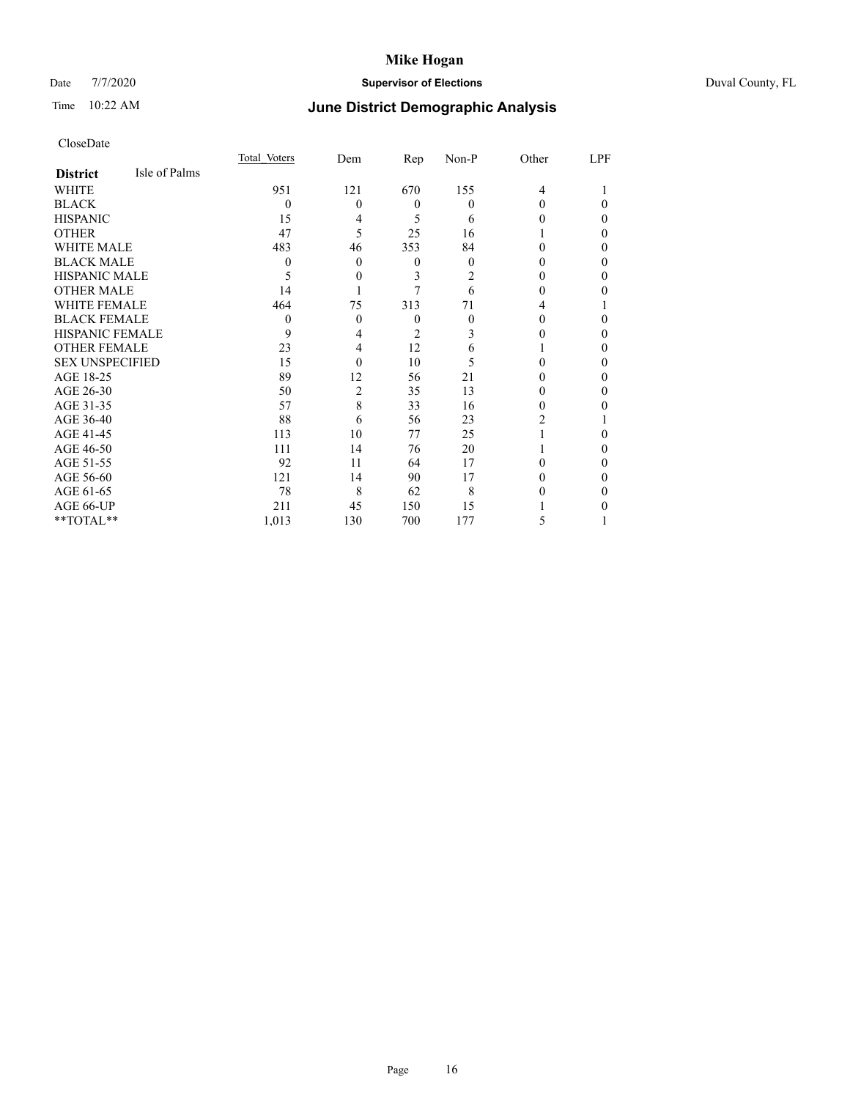# Date 7/7/2020 **Supervisor of Elections** Duval County, FL

# Time 10:22 AM **June District Demographic Analysis**

|                        |               | Total Voters | Dem      | Rep            | Non-P    | Other | LPF |
|------------------------|---------------|--------------|----------|----------------|----------|-------|-----|
| <b>District</b>        | Isle of Palms |              |          |                |          |       |     |
| WHITE                  |               | 951          | 121      | 670            | 155      | 4     |     |
| <b>BLACK</b>           |               | $\theta$     | 0        | $\Omega$       | $\theta$ | 0     | 0   |
| <b>HISPANIC</b>        |               | 15           | 4        | 5              | 6        | 0     | 0   |
| <b>OTHER</b>           |               | 47           | 5        | 25             | 16       |       | 0   |
| WHITE MALE             |               | 483          | 46       | 353            | 84       | 0     | 0   |
| <b>BLACK MALE</b>      |               | $\theta$     | $\theta$ | $\theta$       | $\theta$ | 0     | 0   |
| <b>HISPANIC MALE</b>   |               | 5            | 0        | 3              | 2        | 0     | 0   |
| <b>OTHER MALE</b>      |               | 14           |          |                | 6        | 0     | 0   |
| WHITE FEMALE           |               | 464          | 75       | 313            | 71       | 4     |     |
| <b>BLACK FEMALE</b>    |               | $\Omega$     | 0        | $\theta$       | $\theta$ | 0     | 0   |
| <b>HISPANIC FEMALE</b> |               | 9            | 4        | $\overline{c}$ | 3        |       | 0   |
| <b>OTHER FEMALE</b>    |               | 23           | 4        | 12             | 6        |       | 0   |
| <b>SEX UNSPECIFIED</b> |               | 15           | $\theta$ | 10             | 5        | 0     | 0   |
| AGE 18-25              |               | 89           | 12       | 56             | 21       | 0     | 0   |
| AGE 26-30              |               | 50           | 2        | 35             | 13       | 0     | 0   |
| AGE 31-35              |               | 57           | 8        | 33             | 16       | 0     | 0   |
| AGE 36-40              |               | 88           | 6        | 56             | 23       | 2     |     |
| AGE 41-45              |               | 113          | 10       | 77             | 25       |       | 0   |
| AGE 46-50              |               | 111          | 14       | 76             | 20       |       | 0   |
| AGE 51-55              |               | 92           | 11       | 64             | 17       | 0     | 0   |
| AGE 56-60              |               | 121          | 14       | 90             | 17       |       | 0   |
| AGE 61-65              |               | 78           | 8        | 62             | 8        |       | 0   |
| AGE 66-UP              |               | 211          | 45       | 150            | 15       |       |     |
| **TOTAL**              |               | 1,013        | 130      | 700            | 177      | 5     |     |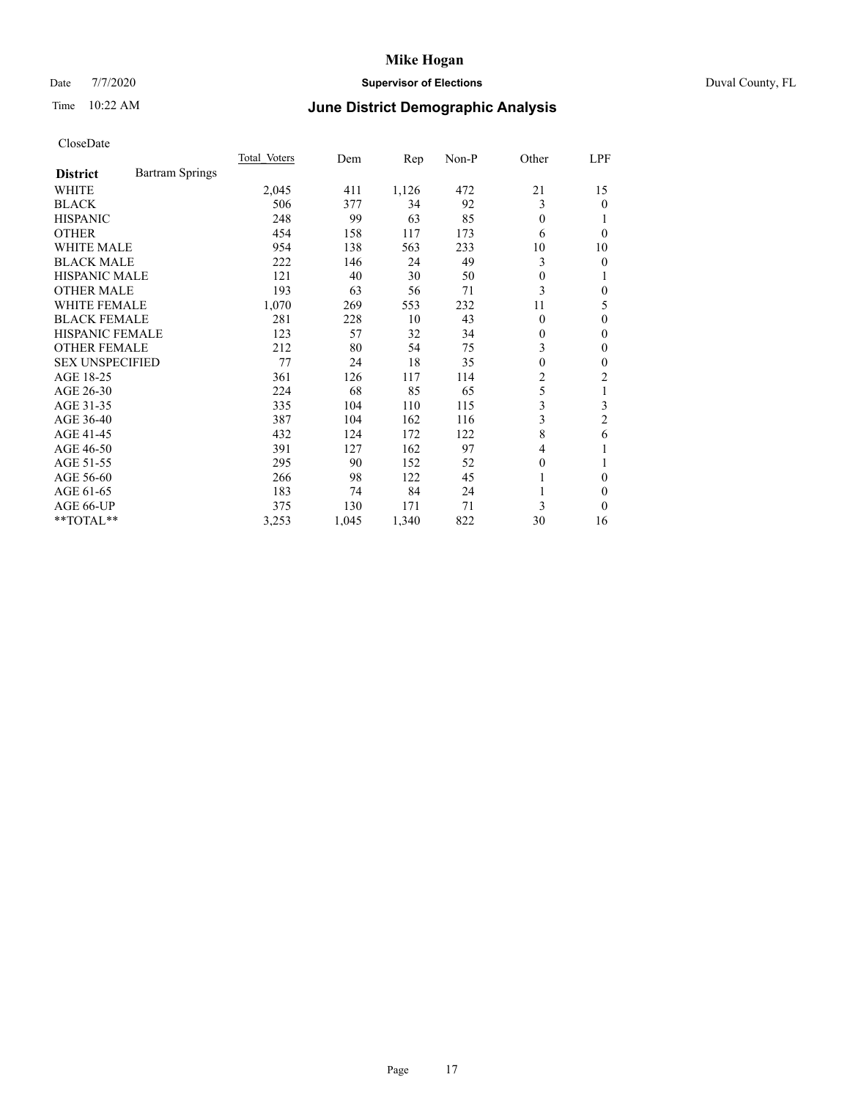# Date 7/7/2020 **Supervisor of Elections** Duval County, FL

# Time 10:22 AM **June District Demographic Analysis**

|                        |                        | Total Voters | Dem   | Rep   | Non-P | Other    | LPF      |
|------------------------|------------------------|--------------|-------|-------|-------|----------|----------|
| <b>District</b>        | <b>Bartram Springs</b> |              |       |       |       |          |          |
| WHITE                  |                        | 2,045        | 411   | 1,126 | 472   | 21       | 15       |
| <b>BLACK</b>           |                        | 506          | 377   | 34    | 92    | 3        | 0        |
| <b>HISPANIC</b>        |                        | 248          | 99    | 63    | 85    | $\Omega$ |          |
| <b>OTHER</b>           |                        | 454          | 158   | 117   | 173   | 6        | $\Omega$ |
| WHITE MALE             |                        | 954          | 138   | 563   | 233   | 10       | 10       |
| <b>BLACK MALE</b>      |                        | 222          | 146   | 24    | 49    | 3        | 0        |
| <b>HISPANIC MALE</b>   |                        | 121          | 40    | 30    | 50    | 0        |          |
| <b>OTHER MALE</b>      |                        | 193          | 63    | 56    | 71    | 3        | 0        |
| <b>WHITE FEMALE</b>    |                        | 1,070        | 269   | 553   | 232   | 11       | 5        |
| <b>BLACK FEMALE</b>    |                        | 281          | 228   | 10    | 43    | $\Omega$ | 0        |
| <b>HISPANIC FEMALE</b> |                        | 123          | 57    | 32    | 34    | 0        | 0        |
| <b>OTHER FEMALE</b>    |                        | 212          | 80    | 54    | 75    | 3        | 0        |
| <b>SEX UNSPECIFIED</b> |                        | 77           | 24    | 18    | 35    | $\theta$ | 0        |
| AGE 18-25              |                        | 361          | 126   | 117   | 114   | 2        | 2        |
| AGE 26-30              |                        | 224          | 68    | 85    | 65    | 5        | 1        |
| AGE 31-35              |                        | 335          | 104   | 110   | 115   | 3        | 3        |
| AGE 36-40              |                        | 387          | 104   | 162   | 116   | 3        | 2        |
| AGE 41-45              |                        | 432          | 124   | 172   | 122   | 8        | 6        |
| AGE 46-50              |                        | 391          | 127   | 162   | 97    | 4        |          |
| AGE 51-55              |                        | 295          | 90    | 152   | 52    | 0        |          |
| AGE 56-60              |                        | 266          | 98    | 122   | 45    |          | 0        |
| AGE 61-65              |                        | 183          | 74    | 84    | 24    | 1        | 0        |
| AGE 66-UP              |                        | 375          | 130   | 171   | 71    | 3        | 0        |
| **TOTAL**              |                        | 3,253        | 1,045 | 1,340 | 822   | 30       | 16       |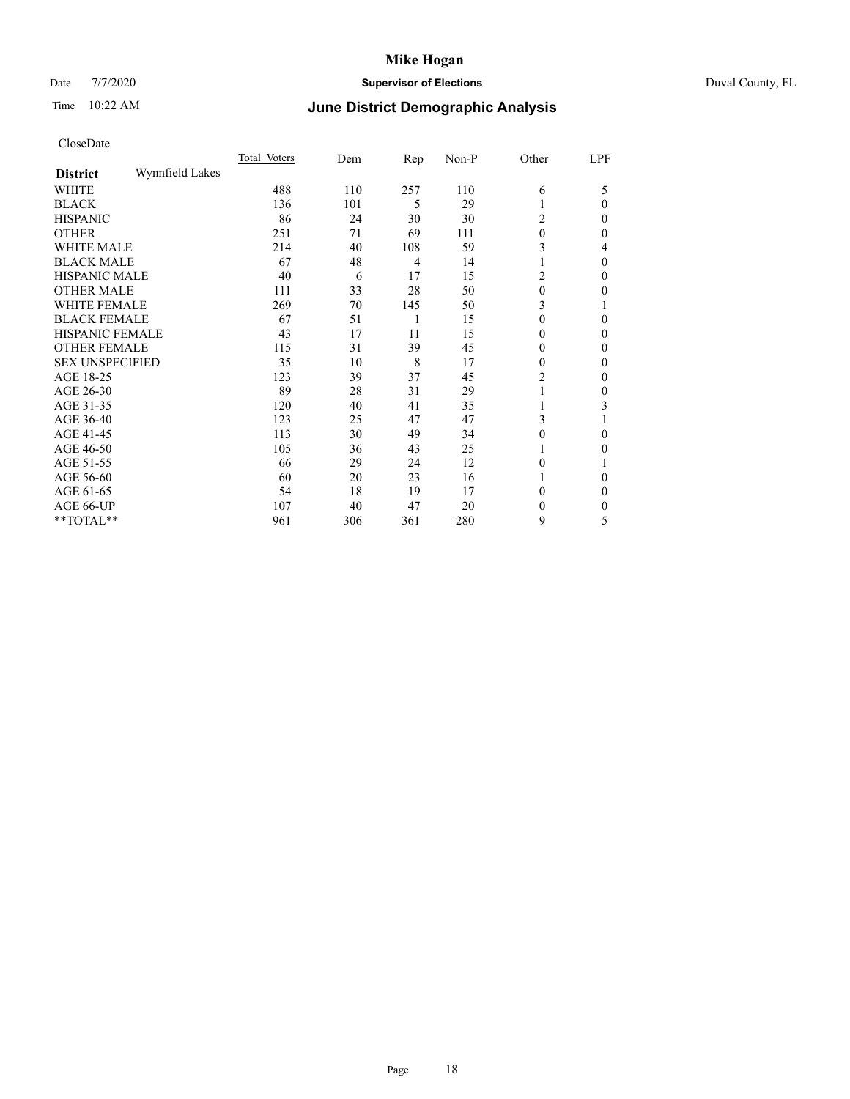# Date 7/7/2020 **Supervisor of Elections** Duval County, FL

# Time 10:22 AM **June District Demographic Analysis**

|                        |                 | Total Voters | Dem | Rep            | Non-P | Other        | LPF          |
|------------------------|-----------------|--------------|-----|----------------|-------|--------------|--------------|
| <b>District</b>        | Wynnfield Lakes |              |     |                |       |              |              |
| WHITE                  |                 | 488          | 110 | 257            | 110   | 6            | 5            |
| <b>BLACK</b>           |                 | 136          | 101 | 5              | 29    |              | $\Omega$     |
| <b>HISPANIC</b>        |                 | 86           | 24  | 30             | 30    | 2            | $\Omega$     |
| <b>OTHER</b>           |                 | 251          | 71  | 69             | 111   | $\theta$     | 0            |
| WHITE MALE             |                 | 214          | 40  | 108            | 59    | 3            | 4            |
| <b>BLACK MALE</b>      |                 | 67           | 48  | $\overline{4}$ | 14    |              | $\theta$     |
| <b>HISPANIC MALE</b>   |                 | 40           | 6   | 17             | 15    | 2            | $\theta$     |
| <b>OTHER MALE</b>      |                 | 111          | 33  | 28             | 50    | 0            | 0            |
| WHITE FEMALE           |                 | 269          | 70  | 145            | 50    | 3            |              |
| <b>BLACK FEMALE</b>    |                 | 67           | 51  | 1              | 15    | $\theta$     | $\Omega$     |
| <b>HISPANIC FEMALE</b> |                 | 43           | 17  | 11             | 15    | 0            | $\Omega$     |
| <b>OTHER FEMALE</b>    |                 | 115          | 31  | 39             | 45    | $\theta$     | $\Omega$     |
| <b>SEX UNSPECIFIED</b> |                 | 35           | 10  | 8              | 17    | $\theta$     | $\Omega$     |
| AGE 18-25              |                 | 123          | 39  | 37             | 45    | 2            | 0            |
| AGE 26-30              |                 | 89           | 28  | 31             | 29    |              | $\mathbf{0}$ |
| AGE 31-35              |                 | 120          | 40  | 41             | 35    |              | 3            |
| AGE 36-40              |                 | 123          | 25  | 47             | 47    | 3            |              |
| AGE 41-45              |                 | 113          | 30  | 49             | 34    | 0            | $\Omega$     |
| AGE 46-50              |                 | 105          | 36  | 43             | 25    |              | $\Omega$     |
| AGE 51-55              |                 | 66           | 29  | 24             | 12    | $\theta$     |              |
| AGE 56-60              |                 | 60           | 20  | 23             | 16    |              | 0            |
| AGE 61-65              |                 | 54           | 18  | 19             | 17    | 0            | $\theta$     |
| AGE 66-UP              |                 | 107          | 40  | 47             | 20    | $\mathbf{0}$ | $\Omega$     |
| **TOTAL**              |                 | 961          | 306 | 361            | 280   | 9            | 5            |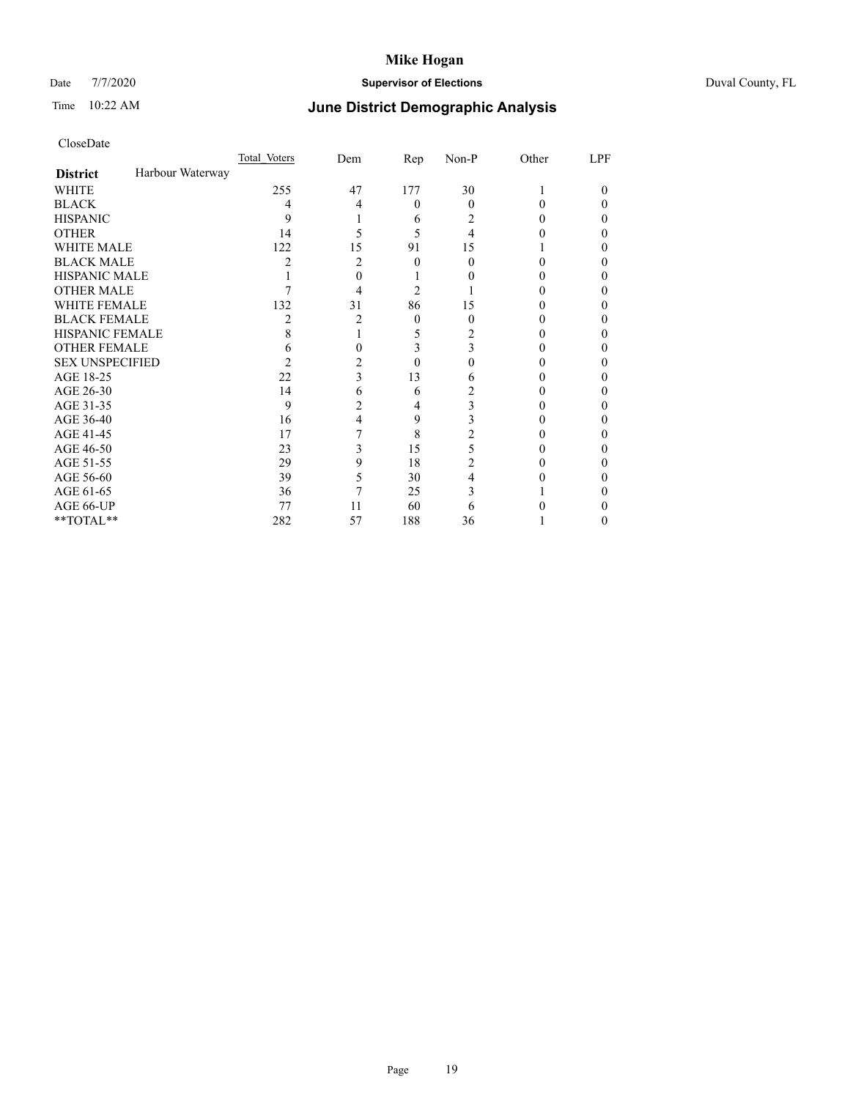# Date 7/7/2020 **Supervisor of Elections** Duval County, FL

# Time 10:22 AM **June District Demographic Analysis**

|                        |                  | Total Voters | Dem | Rep      | Non-P    | Other | LPF |
|------------------------|------------------|--------------|-----|----------|----------|-------|-----|
| <b>District</b>        | Harbour Waterway |              |     |          |          |       |     |
| WHITE                  |                  | 255          | 47  | 177      | 30       |       | 0   |
| <b>BLACK</b>           |                  | 4            | 4   | $\theta$ | $\Omega$ | 0     | 0   |
| <b>HISPANIC</b>        |                  | 9            |     | 6        | 2        | 0     | 0   |
| <b>OTHER</b>           |                  | 14           |     | 5        | 4        |       |     |
| <b>WHITE MALE</b>      |                  | 122          | 15  | 91       | 15       |       |     |
| <b>BLACK MALE</b>      |                  | 2            | 2   | $\Omega$ | 0        | 0     |     |
| <b>HISPANIC MALE</b>   |                  |              | 0   |          |          |       |     |
| <b>OTHER MALE</b>      |                  |              | 4   | 2        |          |       | 0   |
| WHITE FEMALE           |                  | 132          | 31  | 86       | 15       |       |     |
| <b>BLACK FEMALE</b>    |                  | 2            | 2   | $\theta$ | 0        | 0     | 0   |
| <b>HISPANIC FEMALE</b> |                  | 8            |     | 5        | 2        |       |     |
| <b>OTHER FEMALE</b>    |                  | h            |     | 3        | 3        |       | 0   |
| <b>SEX UNSPECIFIED</b> |                  | 2            | 2   | 0        |          |       |     |
| AGE 18-25              |                  | 22           | 3   | 13       | 6        |       |     |
| AGE 26-30              |                  | 14           | 6   | 6        | 2        |       |     |
| AGE 31-35              |                  | 9            | 2   | 4        | 3        |       | 0   |
| AGE 36-40              |                  | 16           | 4   | 9        | 3        |       | 0   |
| AGE 41-45              |                  | 17           |     | 8        |          |       |     |
| AGE 46-50              |                  | 23           | 3   | 15       | 5        | 0     |     |
| AGE 51-55              |                  | 29           | 9   | 18       | 2        |       |     |
| AGE 56-60              |                  | 39           | 5   | 30       | 4        |       |     |
| AGE 61-65              |                  | 36           | 7   | 25       | 3        |       |     |
| AGE 66-UP              |                  | 77           | 11  | 60       | 6        |       |     |
| **TOTAL**              |                  | 282          | 57  | 188      | 36       |       | 0   |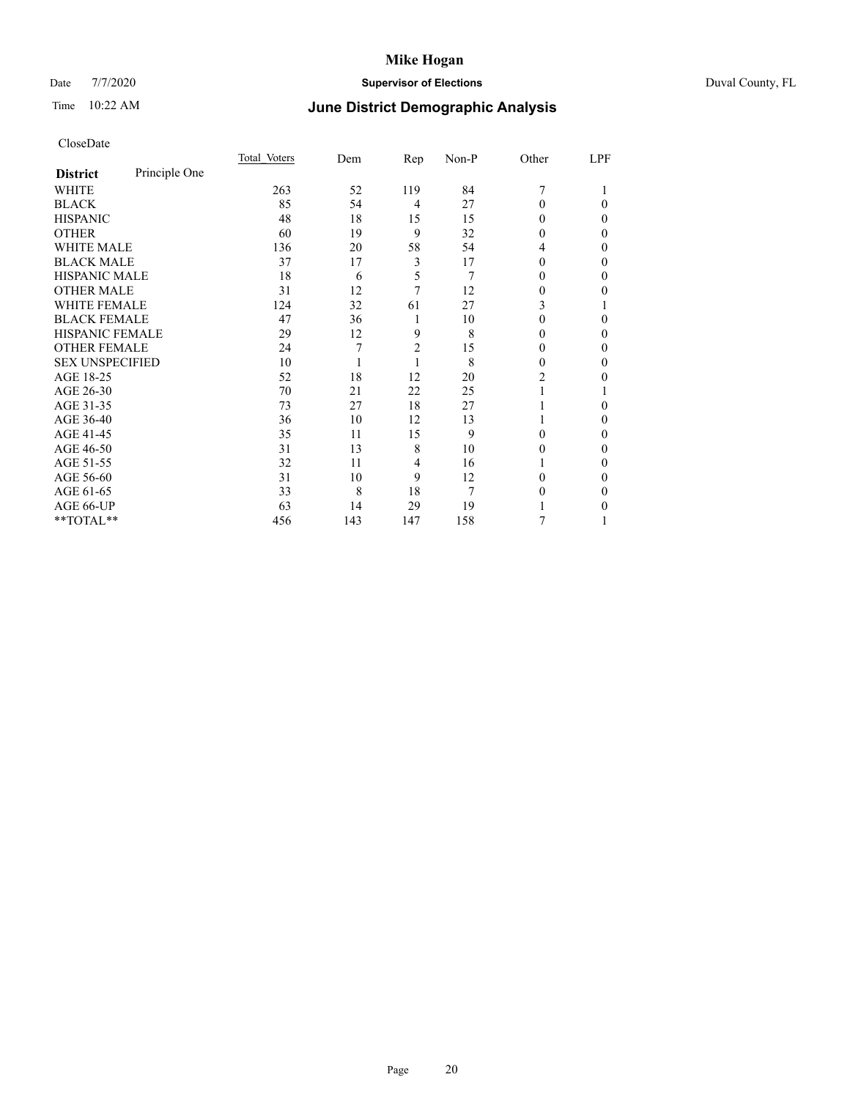# Date 7/7/2020 **Supervisor of Elections** Duval County, FL

# Time 10:22 AM **June District Demographic Analysis**

|                        |               | Total Voters | Dem | Rep            | Non-P | Other | LPF |
|------------------------|---------------|--------------|-----|----------------|-------|-------|-----|
| <b>District</b>        | Principle One |              |     |                |       |       |     |
| WHITE                  |               | 263          | 52  | 119            | 84    | 7     |     |
| <b>BLACK</b>           |               | 85           | 54  | $\overline{4}$ | 27    | 0     | 0   |
| <b>HISPANIC</b>        |               | 48           | 18  | 15             | 15    | 0     | 0   |
| <b>OTHER</b>           |               | 60           | 19  | 9              | 32    | 0     | 0   |
| WHITE MALE             |               | 136          | 20  | 58             | 54    | 4     | 0   |
| <b>BLACK MALE</b>      |               | 37           | 17  | 3              | 17    | 0     | 0   |
| <b>HISPANIC MALE</b>   |               | 18           | 6   | 5              | 7     | 0     | 0   |
| <b>OTHER MALE</b>      |               | 31           | 12  | 7              | 12    | 0     | 0   |
| WHITE FEMALE           |               | 124          | 32  | 61             | 27    | 3     |     |
| <b>BLACK FEMALE</b>    |               | 47           | 36  | 1              | 10    | 0     | 0   |
| <b>HISPANIC FEMALE</b> |               | 29           | 12  | 9              | 8     | 0     | 0   |
| <b>OTHER FEMALE</b>    |               | 24           | 7   | $\overline{c}$ | 15    | 0     | 0   |
| <b>SEX UNSPECIFIED</b> |               | 10           |     | 1              | 8     | 0     | 0   |
| AGE 18-25              |               | 52           | 18  | 12             | 20    | 2     | 0   |
| AGE 26-30              |               | 70           | 21  | 22             | 25    |       |     |
| AGE 31-35              |               | 73           | 27  | 18             | 27    |       | 0   |
| AGE 36-40              |               | 36           | 10  | 12             | 13    |       | 0   |
| AGE 41-45              |               | 35           | 11  | 15             | 9     | 0     | 0   |
| AGE 46-50              |               | 31           | 13  | 8              | 10    | 0     | 0   |
| AGE 51-55              |               | 32           | 11  | $\overline{4}$ | 16    |       | 0   |
| AGE 56-60              |               | 31           | 10  | 9              | 12    | 0     | 0   |
| AGE 61-65              |               | 33           | 8   | 18             | 7     | 0     | 0   |
| AGE 66-UP              |               | 63           | 14  | 29             | 19    |       | 0   |
| **TOTAL**              |               | 456          | 143 | 147            | 158   | 7     |     |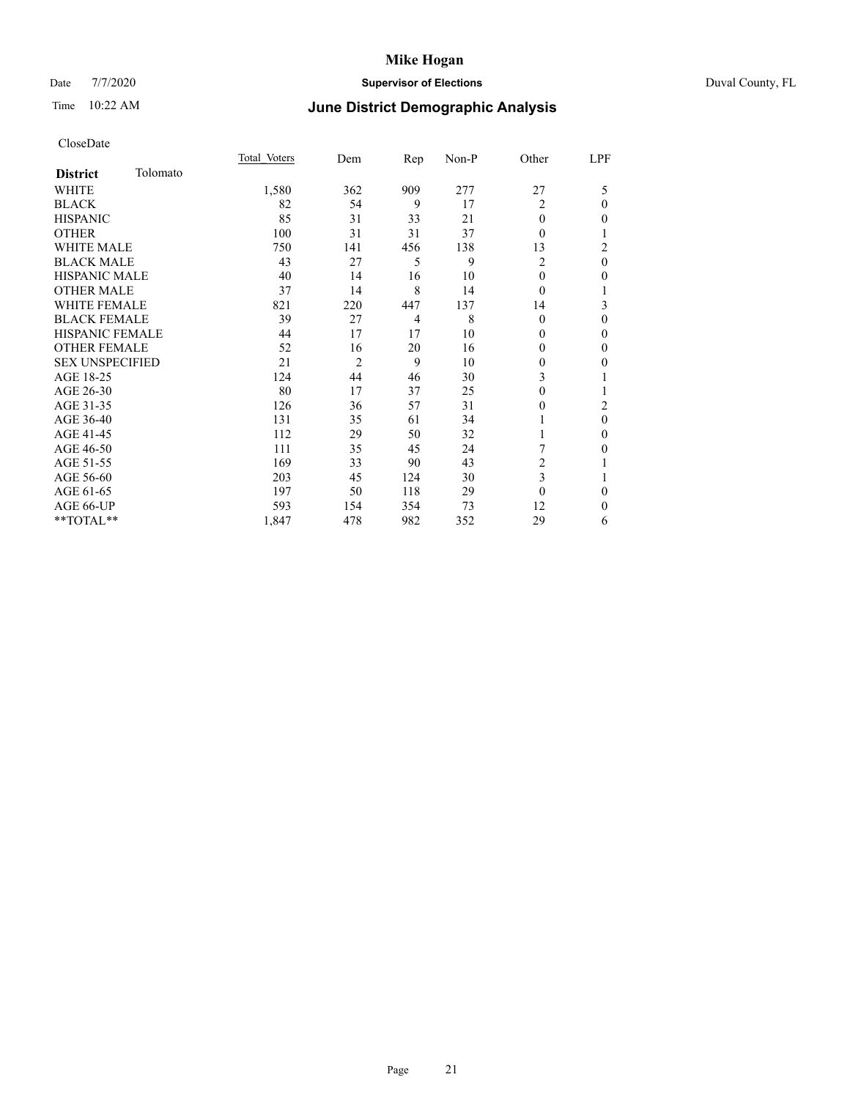# Date 7/7/2020 **Supervisor of Elections** Duval County, FL

# Time 10:22 AM **June District Demographic Analysis**

|                        |          | Total Voters | Dem | Rep            | Non-P | Other          | LPF      |
|------------------------|----------|--------------|-----|----------------|-------|----------------|----------|
| <b>District</b>        | Tolomato |              |     |                |       |                |          |
| WHITE                  |          | 1,580        | 362 | 909            | 277   | 27             | 5        |
| <b>BLACK</b>           |          | 82           | 54  | 9              | 17    | 2              | 0        |
| <b>HISPANIC</b>        |          | 85           | 31  | 33             | 21    | $\theta$       | 0        |
| <b>OTHER</b>           |          | 100          | 31  | 31             | 37    | $\Omega$       |          |
| <b>WHITE MALE</b>      |          | 750          | 141 | 456            | 138   | 13             | 2        |
| <b>BLACK MALE</b>      |          | 43           | 27  | 5              | 9     | $\overline{c}$ | $\theta$ |
| <b>HISPANIC MALE</b>   |          | 40           | 14  | 16             | 10    | $\Omega$       | 0        |
| <b>OTHER MALE</b>      |          | 37           | 14  | 8              | 14    | $\Omega$       | 1        |
| WHITE FEMALE           |          | 821          | 220 | 447            | 137   | 14             | 3        |
| <b>BLACK FEMALE</b>    |          | 39           | 27  | $\overline{4}$ | 8     | $\Omega$       | 0        |
| <b>HISPANIC FEMALE</b> |          | 44           | 17  | 17             | 10    | $\Omega$       | 0        |
| <b>OTHER FEMALE</b>    |          | 52           | 16  | 20             | 16    | $\Omega$       | 0        |
| <b>SEX UNSPECIFIED</b> |          | 21           | 2   | 9              | 10    | $\Omega$       | 0        |
| AGE 18-25              |          | 124          | 44  | 46             | 30    | 3              |          |
| AGE 26-30              |          | 80           | 17  | 37             | 25    | $\overline{0}$ |          |
| AGE 31-35              |          | 126          | 36  | 57             | 31    | 0              | 2        |
| AGE 36-40              |          | 131          | 35  | 61             | 34    | 1              | $\theta$ |
| AGE 41-45              |          | 112          | 29  | 50             | 32    |                | 0        |
| AGE 46-50              |          | 111          | 35  | 45             | 24    |                | 0        |
| AGE 51-55              |          | 169          | 33  | 90             | 43    | 2              |          |
| AGE 56-60              |          | 203          | 45  | 124            | 30    | 3              |          |
| AGE 61-65              |          | 197          | 50  | 118            | 29    | $\theta$       | 0        |
| AGE 66-UP              |          | 593          | 154 | 354            | 73    | 12             | 0        |
| **TOTAL**              |          | 1,847        | 478 | 982            | 352   | 29             | 6        |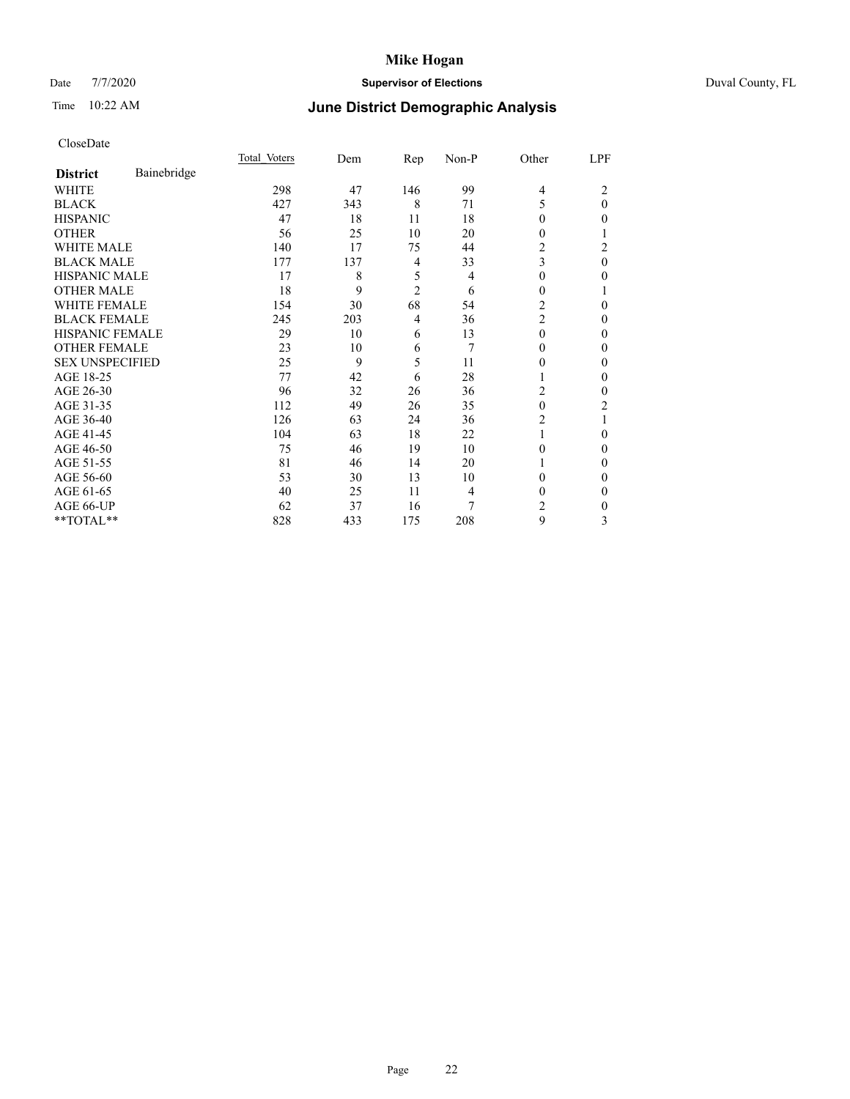# Date 7/7/2020 **Supervisor of Elections** Duval County, FL

# Time 10:22 AM **June District Demographic Analysis**

|                        |             | Total Voters | Dem | Rep            | Non-P | Other          | LPF      |
|------------------------|-------------|--------------|-----|----------------|-------|----------------|----------|
| <b>District</b>        | Bainebridge |              |     |                |       |                |          |
| WHITE                  |             | 298          | 47  | 146            | 99    | $\overline{4}$ | 2        |
| <b>BLACK</b>           |             | 427          | 343 | 8              | 71    | 5              | $\theta$ |
| <b>HISPANIC</b>        |             | 47           | 18  | 11             | 18    | 0              | 0        |
| <b>OTHER</b>           |             | 56           | 25  | 10             | 20    | 0              |          |
| WHITE MALE             |             | 140          | 17  | 75             | 44    | 2              | 2        |
| <b>BLACK MALE</b>      |             | 177          | 137 | 4              | 33    | 3              | $\theta$ |
| <b>HISPANIC MALE</b>   |             | 17           | 8   | 5              | 4     | 0              | 0        |
| <b>OTHER MALE</b>      |             | 18           | 9   | $\overline{2}$ | 6     | 0              |          |
| <b>WHITE FEMALE</b>    |             | 154          | 30  | 68             | 54    | 2              | 0        |
| <b>BLACK FEMALE</b>    |             | 245          | 203 | $\overline{4}$ | 36    | 2              | 0        |
| <b>HISPANIC FEMALE</b> |             | 29           | 10  | 6              | 13    | $\Omega$       | 0        |
| <b>OTHER FEMALE</b>    |             | 23           | 10  | 6              | 7     | 0              | 0        |
| <b>SEX UNSPECIFIED</b> |             | 25           | 9   | 5              | 11    | 0              | 0        |
| AGE 18-25              |             | 77           | 42  | 6              | 28    |                | 0        |
| AGE 26-30              |             | 96           | 32  | 26             | 36    | 2              | 0        |
| AGE 31-35              |             | 112          | 49  | 26             | 35    | 0              | 2        |
| AGE 36-40              |             | 126          | 63  | 24             | 36    | 2              |          |
| AGE 41-45              |             | 104          | 63  | 18             | 22    |                | 0        |
| AGE 46-50              |             | 75           | 46  | 19             | 10    | 0              | 0        |
| AGE 51-55              |             | 81           | 46  | 14             | 20    |                | 0        |
| AGE 56-60              |             | 53           | 30  | 13             | 10    | 0              | 0        |
| AGE 61-65              |             | 40           | 25  | 11             | 4     | 0              | 0        |
| AGE 66-UP              |             | 62           | 37  | 16             | 7     | 2              | 0        |
| **TOTAL**              |             | 828          | 433 | 175            | 208   | 9              | 3        |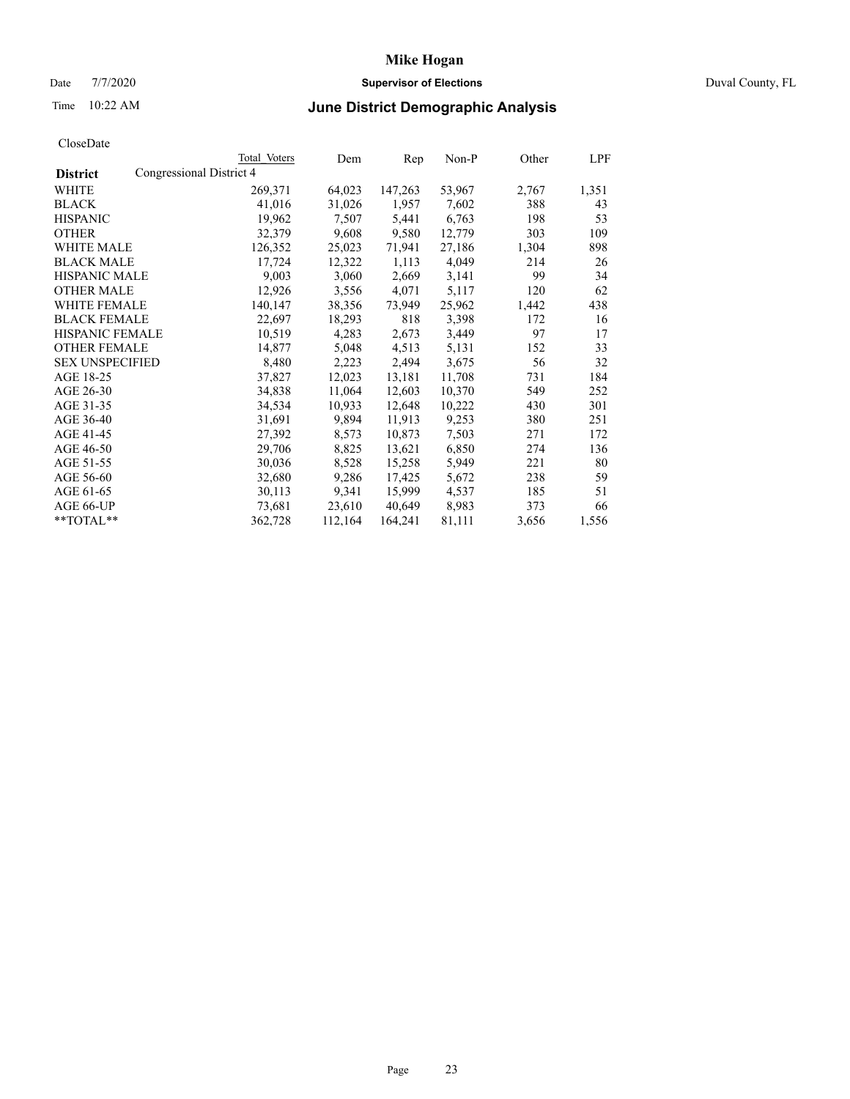# Date 7/7/2020 **Supervisor of Elections** Duval County, FL

# Time 10:22 AM **June District Demographic Analysis**

|                        |                          | Total Voters | Dem     | Rep     | Non-P  | Other | LPF   |
|------------------------|--------------------------|--------------|---------|---------|--------|-------|-------|
| <b>District</b>        | Congressional District 4 |              |         |         |        |       |       |
| WHITE                  |                          | 269,371      | 64,023  | 147,263 | 53,967 | 2,767 | 1,351 |
| <b>BLACK</b>           |                          | 41,016       | 31,026  | 1,957   | 7,602  | 388   | 43    |
| <b>HISPANIC</b>        |                          | 19,962       | 7,507   | 5,441   | 6,763  | 198   | 53    |
| <b>OTHER</b>           |                          | 32,379       | 9,608   | 9,580   | 12,779 | 303   | 109   |
| WHITE MALE             |                          | 126,352      | 25,023  | 71,941  | 27,186 | 1,304 | 898   |
| <b>BLACK MALE</b>      |                          | 17,724       | 12,322  | 1,113   | 4,049  | 214   | 26    |
| <b>HISPANIC MALE</b>   |                          | 9,003        | 3,060   | 2,669   | 3,141  | 99    | 34    |
| <b>OTHER MALE</b>      |                          | 12,926       | 3,556   | 4,071   | 5,117  | 120   | 62    |
| <b>WHITE FEMALE</b>    |                          | 140,147      | 38,356  | 73,949  | 25,962 | 1,442 | 438   |
| <b>BLACK FEMALE</b>    |                          | 22,697       | 18,293  | 818     | 3,398  | 172   | 16    |
| <b>HISPANIC FEMALE</b> |                          | 10,519       | 4,283   | 2,673   | 3,449  | 97    | 17    |
| <b>OTHER FEMALE</b>    |                          | 14,877       | 5,048   | 4,513   | 5,131  | 152   | 33    |
| <b>SEX UNSPECIFIED</b> |                          | 8,480        | 2,223   | 2,494   | 3,675  | 56    | 32    |
| AGE 18-25              |                          | 37,827       | 12,023  | 13,181  | 11,708 | 731   | 184   |
| AGE 26-30              |                          | 34,838       | 11,064  | 12,603  | 10,370 | 549   | 252   |
| AGE 31-35              |                          | 34,534       | 10,933  | 12,648  | 10,222 | 430   | 301   |
| AGE 36-40              |                          | 31,691       | 9,894   | 11,913  | 9,253  | 380   | 251   |
| AGE 41-45              |                          | 27,392       | 8,573   | 10,873  | 7,503  | 271   | 172   |
| AGE 46-50              |                          | 29,706       | 8,825   | 13,621  | 6,850  | 274   | 136   |
| AGE 51-55              |                          | 30,036       | 8,528   | 15,258  | 5,949  | 221   | 80    |
| AGE 56-60              |                          | 32,680       | 9,286   | 17,425  | 5,672  | 238   | 59    |
| AGE 61-65              |                          | 30,113       | 9,341   | 15,999  | 4,537  | 185   | 51    |
| AGE 66-UP              |                          | 73,681       | 23,610  | 40,649  | 8,983  | 373   | 66    |
| $*$ $TOTAL**$          |                          | 362,728      | 112,164 | 164,241 | 81,111 | 3,656 | 1,556 |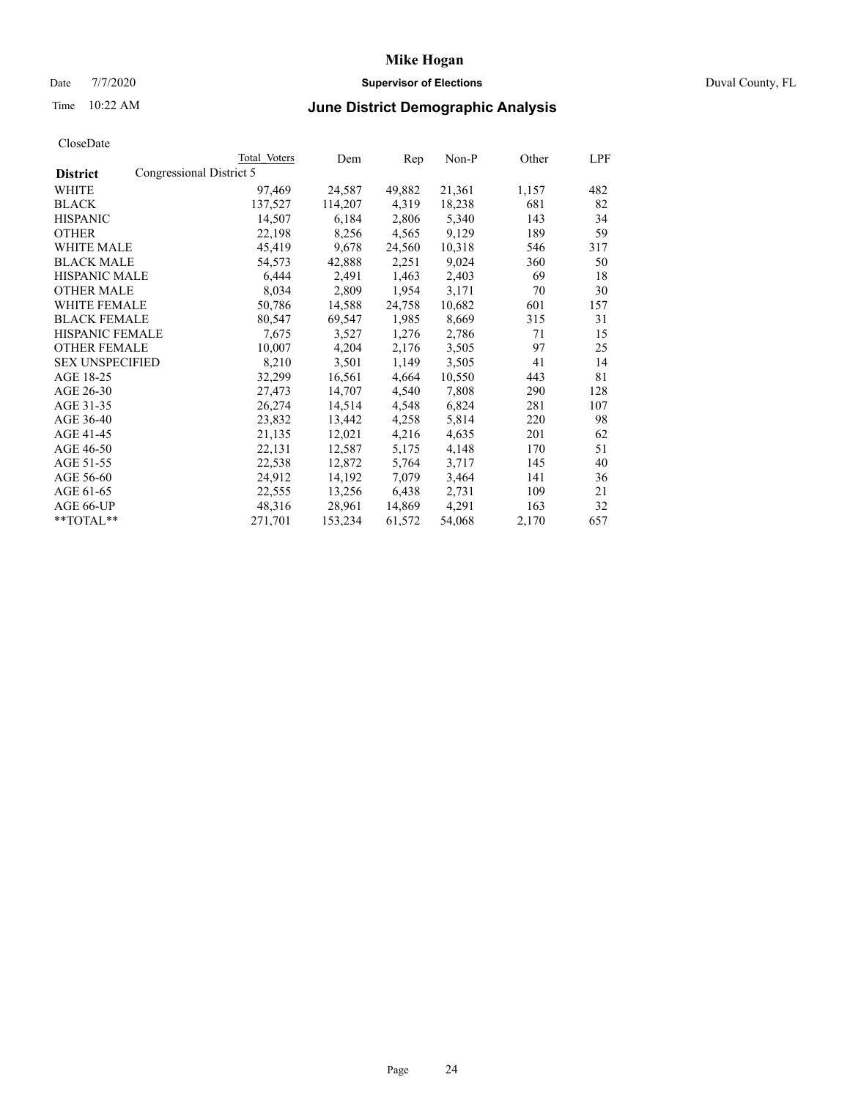# Date 7/7/2020 **Supervisor of Elections** Duval County, FL

# Time 10:22 AM **June District Demographic Analysis**

|                        |                          | Total Voters | Dem     | Rep    | Non-P  | Other | LPF |
|------------------------|--------------------------|--------------|---------|--------|--------|-------|-----|
| <b>District</b>        | Congressional District 5 |              |         |        |        |       |     |
| WHITE                  |                          | 97,469       | 24,587  | 49,882 | 21,361 | 1,157 | 482 |
| <b>BLACK</b>           |                          | 137,527      | 114,207 | 4,319  | 18,238 | 681   | 82  |
| <b>HISPANIC</b>        |                          | 14,507       | 6,184   | 2,806  | 5,340  | 143   | 34  |
| <b>OTHER</b>           |                          | 22,198       | 8,256   | 4,565  | 9,129  | 189   | 59  |
| WHITE MALE             |                          | 45,419       | 9,678   | 24,560 | 10,318 | 546   | 317 |
| <b>BLACK MALE</b>      |                          | 54,573       | 42,888  | 2,251  | 9,024  | 360   | 50  |
| <b>HISPANIC MALE</b>   |                          | 6,444        | 2,491   | 1,463  | 2,403  | 69    | 18  |
| <b>OTHER MALE</b>      |                          | 8,034        | 2,809   | 1,954  | 3,171  | 70    | 30  |
| <b>WHITE FEMALE</b>    |                          | 50,786       | 14,588  | 24,758 | 10,682 | 601   | 157 |
| <b>BLACK FEMALE</b>    |                          | 80,547       | 69,547  | 1,985  | 8,669  | 315   | 31  |
| <b>HISPANIC FEMALE</b> |                          | 7,675        | 3,527   | 1,276  | 2,786  | 71    | 15  |
| <b>OTHER FEMALE</b>    |                          | 10,007       | 4,204   | 2,176  | 3,505  | 97    | 25  |
| <b>SEX UNSPECIFIED</b> |                          | 8,210        | 3,501   | 1,149  | 3,505  | 41    | 14  |
| AGE 18-25              |                          | 32,299       | 16,561  | 4,664  | 10,550 | 443   | 81  |
| AGE 26-30              |                          | 27,473       | 14,707  | 4,540  | 7,808  | 290   | 128 |
| AGE 31-35              |                          | 26,274       | 14,514  | 4,548  | 6,824  | 281   | 107 |
| AGE 36-40              |                          | 23,832       | 13,442  | 4,258  | 5,814  | 220   | 98  |
| AGE 41-45              |                          | 21,135       | 12,021  | 4,216  | 4,635  | 201   | 62  |
| AGE 46-50              |                          | 22,131       | 12,587  | 5,175  | 4,148  | 170   | 51  |
| AGE 51-55              |                          | 22,538       | 12,872  | 5,764  | 3,717  | 145   | 40  |
| AGE 56-60              |                          | 24,912       | 14,192  | 7,079  | 3,464  | 141   | 36  |
| AGE 61-65              |                          | 22,555       | 13,256  | 6,438  | 2,731  | 109   | 21  |
| AGE 66-UP              |                          | 48,316       | 28,961  | 14,869 | 4,291  | 163   | 32  |
| $*$ TOTAL $*$          |                          | 271,701      | 153,234 | 61,572 | 54,068 | 2,170 | 657 |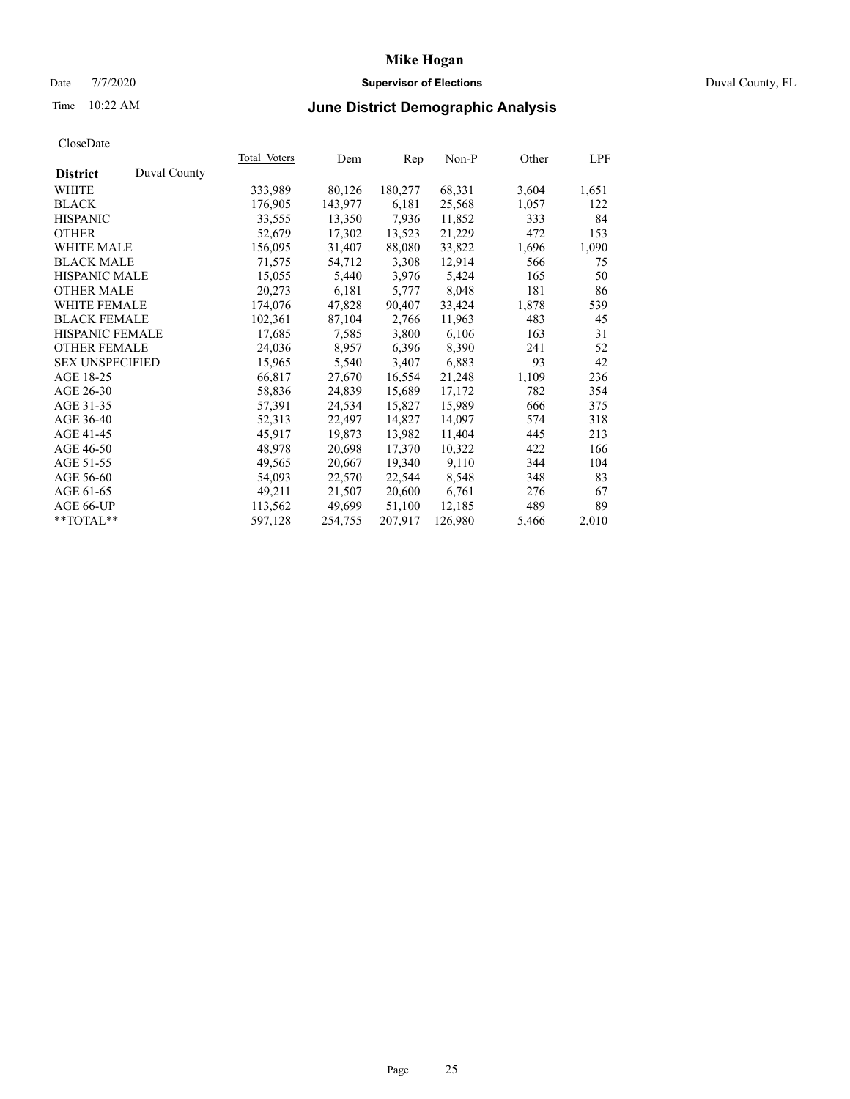# Date 7/7/2020 **Supervisor of Elections** Duval County, FL

# Time 10:22 AM **June District Demographic Analysis**

| Total Voters | Dem     | Rep     | Non-P   | Other | LPF   |
|--------------|---------|---------|---------|-------|-------|
|              |         |         |         |       |       |
| 333,989      | 80,126  | 180,277 | 68,331  | 3,604 | 1,651 |
| 176,905      | 143,977 | 6,181   | 25,568  | 1,057 | 122   |
| 33,555       | 13,350  | 7,936   | 11,852  | 333   | 84    |
| 52,679       | 17,302  | 13,523  | 21,229  | 472   | 153   |
| 156,095      | 31,407  | 88,080  | 33,822  | 1,696 | 1,090 |
| 71,575       | 54,712  | 3,308   | 12,914  | 566   | 75    |
| 15,055       | 5,440   | 3,976   | 5,424   | 165   | 50    |
| 20,273       | 6,181   | 5,777   | 8,048   | 181   | 86    |
| 174,076      | 47,828  | 90,407  | 33,424  | 1,878 | 539   |
| 102,361      | 87,104  | 2,766   | 11,963  | 483   | 45    |
| 17,685       | 7,585   | 3,800   | 6,106   | 163   | 31    |
| 24,036       | 8,957   | 6,396   | 8,390   | 241   | 52    |
| 15,965       | 5,540   | 3,407   | 6,883   | 93    | 42    |
| 66,817       | 27,670  | 16,554  | 21,248  | 1,109 | 236   |
| 58,836       | 24,839  | 15,689  | 17,172  | 782   | 354   |
| 57,391       | 24,534  | 15,827  | 15,989  | 666   | 375   |
| 52,313       | 22,497  | 14,827  | 14,097  | 574   | 318   |
| 45,917       | 19,873  | 13,982  | 11,404  | 445   | 213   |
| 48,978       |         | 17,370  | 10,322  | 422   | 166   |
| 49,565       | 20,667  | 19,340  | 9,110   | 344   | 104   |
| 54,093       | 22,570  | 22,544  | 8,548   | 348   | 83    |
| 49,211       | 21,507  | 20,600  | 6,761   | 276   | 67    |
| 113,562      | 49,699  | 51,100  | 12,185  | 489   | 89    |
| 597,128      | 254,755 | 207,917 | 126,980 | 5,466 | 2,010 |
|              |         | 20,698  |         |       |       |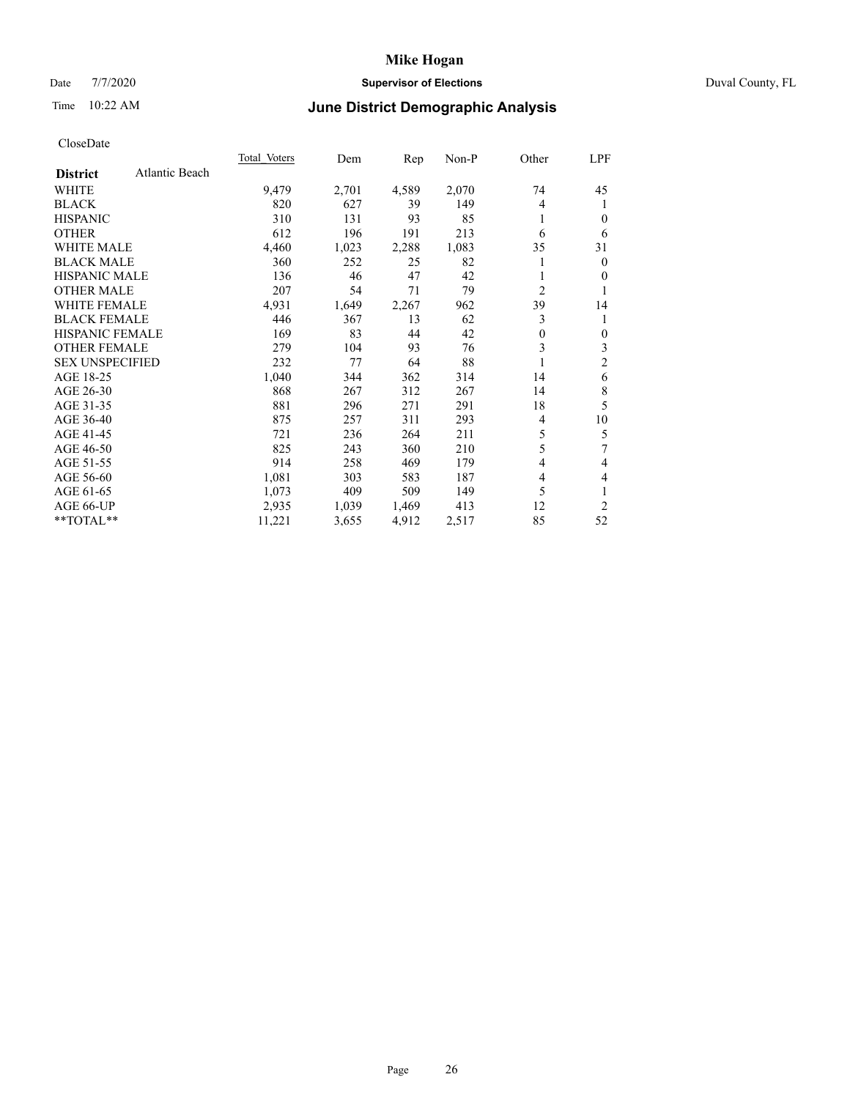# Date 7/7/2020 **Supervisor of Elections** Duval County, FL

# Time 10:22 AM **June District Demographic Analysis**

| Atlantic Beach<br><b>District</b><br>4,589<br>2,070<br>WHITE<br>9,479<br>2,701<br>74<br>820<br>39<br><b>BLACK</b><br>627<br>149<br>4<br>310<br>93<br>85<br><b>HISPANIC</b><br>131<br>1<br>612<br><b>OTHER</b><br>196<br>213<br>191<br>6<br><b>WHITE MALE</b><br>4,460<br>1,083<br>1,023<br>2,288<br>35<br><b>BLACK MALE</b><br>360<br>252<br>25<br>82<br><b>HISPANIC MALE</b><br>136<br>46<br>47<br>42<br>$\overline{2}$<br><b>OTHER MALE</b><br>207<br>54<br>79<br>71<br>39<br><b>WHITE FEMALE</b><br>4,931<br>1,649<br>2,267<br>962<br>3<br><b>BLACK FEMALE</b><br>13<br>446<br>367<br>62<br><b>HISPANIC FEMALE</b><br>169<br>83<br>44<br>42<br>$\theta$<br>3<br><b>OTHER FEMALE</b><br>279<br>104<br>93<br>76<br><b>SEX UNSPECIFIED</b><br>232<br>77<br>64<br>88<br>AGE 18-25<br>1,040<br>362<br>344<br>314<br>14 | 45<br>1<br>0<br>6<br>31<br>$\overline{0}$ |
|----------------------------------------------------------------------------------------------------------------------------------------------------------------------------------------------------------------------------------------------------------------------------------------------------------------------------------------------------------------------------------------------------------------------------------------------------------------------------------------------------------------------------------------------------------------------------------------------------------------------------------------------------------------------------------------------------------------------------------------------------------------------------------------------------------------------|-------------------------------------------|
|                                                                                                                                                                                                                                                                                                                                                                                                                                                                                                                                                                                                                                                                                                                                                                                                                      |                                           |
|                                                                                                                                                                                                                                                                                                                                                                                                                                                                                                                                                                                                                                                                                                                                                                                                                      |                                           |
|                                                                                                                                                                                                                                                                                                                                                                                                                                                                                                                                                                                                                                                                                                                                                                                                                      |                                           |
|                                                                                                                                                                                                                                                                                                                                                                                                                                                                                                                                                                                                                                                                                                                                                                                                                      |                                           |
|                                                                                                                                                                                                                                                                                                                                                                                                                                                                                                                                                                                                                                                                                                                                                                                                                      |                                           |
|                                                                                                                                                                                                                                                                                                                                                                                                                                                                                                                                                                                                                                                                                                                                                                                                                      |                                           |
|                                                                                                                                                                                                                                                                                                                                                                                                                                                                                                                                                                                                                                                                                                                                                                                                                      |                                           |
|                                                                                                                                                                                                                                                                                                                                                                                                                                                                                                                                                                                                                                                                                                                                                                                                                      | 0                                         |
|                                                                                                                                                                                                                                                                                                                                                                                                                                                                                                                                                                                                                                                                                                                                                                                                                      | 1                                         |
|                                                                                                                                                                                                                                                                                                                                                                                                                                                                                                                                                                                                                                                                                                                                                                                                                      | 14                                        |
|                                                                                                                                                                                                                                                                                                                                                                                                                                                                                                                                                                                                                                                                                                                                                                                                                      | 1                                         |
|                                                                                                                                                                                                                                                                                                                                                                                                                                                                                                                                                                                                                                                                                                                                                                                                                      | $\mathbf{0}$                              |
|                                                                                                                                                                                                                                                                                                                                                                                                                                                                                                                                                                                                                                                                                                                                                                                                                      | 3                                         |
|                                                                                                                                                                                                                                                                                                                                                                                                                                                                                                                                                                                                                                                                                                                                                                                                                      | $\mathfrak{2}$                            |
|                                                                                                                                                                                                                                                                                                                                                                                                                                                                                                                                                                                                                                                                                                                                                                                                                      | 6                                         |
| AGE 26-30<br>868<br>267<br>312<br>267<br>14                                                                                                                                                                                                                                                                                                                                                                                                                                                                                                                                                                                                                                                                                                                                                                          | 8                                         |
| 881<br>18<br>AGE 31-35<br>296<br>271<br>291                                                                                                                                                                                                                                                                                                                                                                                                                                                                                                                                                                                                                                                                                                                                                                          | 5                                         |
| 875<br>AGE 36-40<br>311<br>293<br>257<br>4                                                                                                                                                                                                                                                                                                                                                                                                                                                                                                                                                                                                                                                                                                                                                                           | 10                                        |
| 5<br>AGE 41-45<br>721<br>236<br>211<br>264                                                                                                                                                                                                                                                                                                                                                                                                                                                                                                                                                                                                                                                                                                                                                                           | 5                                         |
| 5<br>AGE 46-50<br>825<br>243<br>360<br>210                                                                                                                                                                                                                                                                                                                                                                                                                                                                                                                                                                                                                                                                                                                                                                           | 7                                         |
| AGE 51-55<br>914<br>258<br>469<br>179<br>4                                                                                                                                                                                                                                                                                                                                                                                                                                                                                                                                                                                                                                                                                                                                                                           | 4                                         |
| 1,081<br>303<br>AGE 56-60<br>583<br>187<br>4                                                                                                                                                                                                                                                                                                                                                                                                                                                                                                                                                                                                                                                                                                                                                                         | 4                                         |
| 5<br>AGE 61-65<br>409<br>1,073<br>509<br>149                                                                                                                                                                                                                                                                                                                                                                                                                                                                                                                                                                                                                                                                                                                                                                         | 1                                         |
| AGE 66-UP<br>12<br>2,935<br>1,039<br>1,469<br>413                                                                                                                                                                                                                                                                                                                                                                                                                                                                                                                                                                                                                                                                                                                                                                    | $\overline{2}$                            |
| **TOTAL**<br>85<br>11,221<br>4,912<br>2,517<br>3,655                                                                                                                                                                                                                                                                                                                                                                                                                                                                                                                                                                                                                                                                                                                                                                 | 52                                        |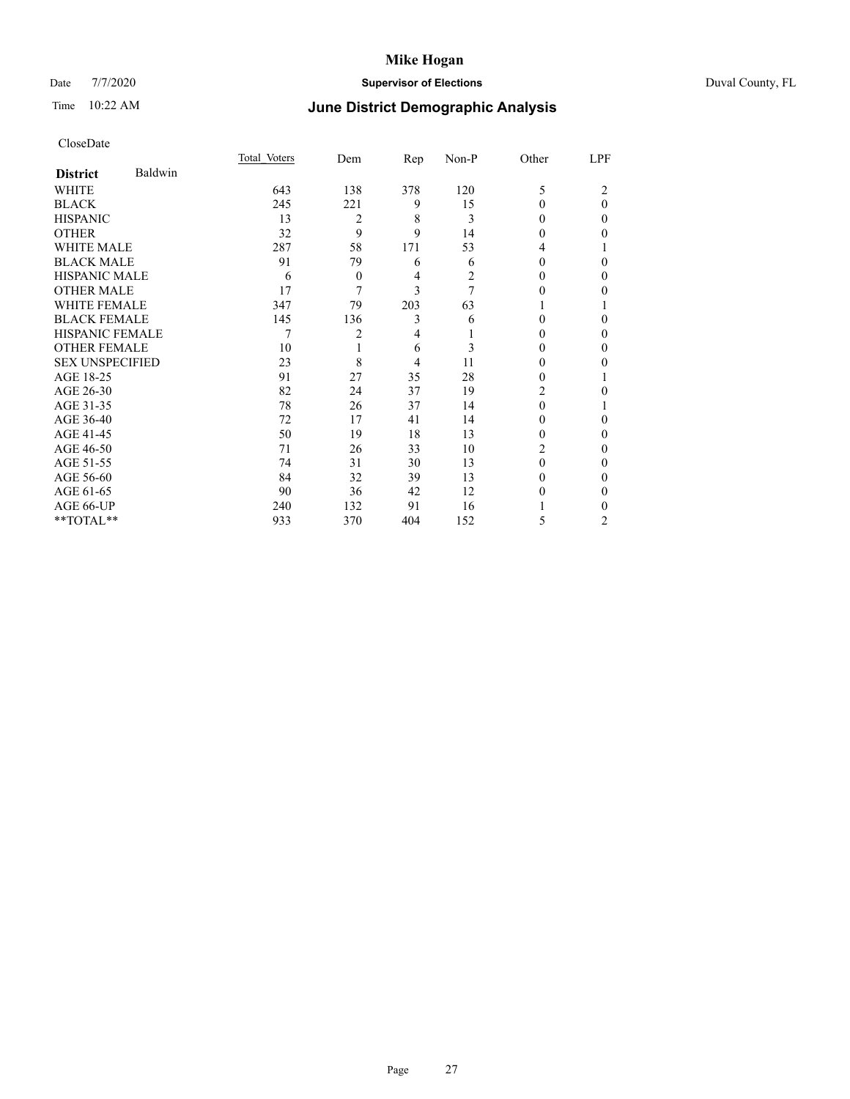# Date 7/7/2020 **Supervisor of Elections** Duval County, FL

# Time 10:22 AM **June District Demographic Analysis**

|                        |         | Total Voters | Dem            | Rep | $Non-P$ | Other    | LPF            |
|------------------------|---------|--------------|----------------|-----|---------|----------|----------------|
| <b>District</b>        | Baldwin |              |                |     |         |          |                |
| WHITE                  |         | 643          | 138            | 378 | 120     | 5        | 2              |
| <b>BLACK</b>           |         | 245          | 221            | 9   | 15      | $\Omega$ | $\theta$       |
| <b>HISPANIC</b>        |         | 13           | 2              | 8   | 3       | $\Omega$ | $\Omega$       |
| <b>OTHER</b>           |         | 32           | 9              | 9   | 14      | 0        | 0              |
| WHITE MALE             |         | 287          | 58             | 171 | 53      | 4        |                |
| <b>BLACK MALE</b>      |         | 91           | 79             | 6   | 6       | $\Omega$ | 0              |
| <b>HISPANIC MALE</b>   |         | 6            | $\overline{0}$ | 4   | 2       | $_{0}$   | 0              |
| <b>OTHER MALE</b>      |         | 17           | 7              | 3   | 7       | 0        | 0              |
| WHITE FEMALE           |         | 347          | 79             | 203 | 63      |          |                |
| <b>BLACK FEMALE</b>    |         | 145          | 136            | 3   | 6       | $\Omega$ | 0              |
| <b>HISPANIC FEMALE</b> |         | 7            | 2              | 4   |         | 0        | 0              |
| <b>OTHER FEMALE</b>    |         | 10           |                | 6   | 3       | $\Omega$ | 0              |
| <b>SEX UNSPECIFIED</b> |         | 23           | 8              | 4   | 11      | 0        | 0              |
| AGE 18-25              |         | 91           | 27             | 35  | 28      | 0        |                |
| AGE 26-30              |         | 82           | 24             | 37  | 19      | 2        | 0              |
| AGE 31-35              |         | 78           | 26             | 37  | 14      | $\Omega$ |                |
| AGE 36-40              |         | 72           | 17             | 41  | 14      | 0        | 0              |
| AGE 41-45              |         | 50           | 19             | 18  | 13      | 0        | 0              |
| AGE 46-50              |         | 71           | 26             | 33  | 10      | 2        | 0              |
| AGE 51-55              |         | 74           | 31             | 30  | 13      | $\Omega$ | 0              |
| AGE 56-60              |         | 84           | 32             | 39  | 13      | 0        | 0              |
| AGE 61-65              |         | 90           | 36             | 42  | 12      | 0        | 0              |
| AGE 66-UP              |         | 240          | 132            | 91  | 16      |          | 0              |
| **TOTAL**              |         | 933          | 370            | 404 | 152     | 5        | $\overline{c}$ |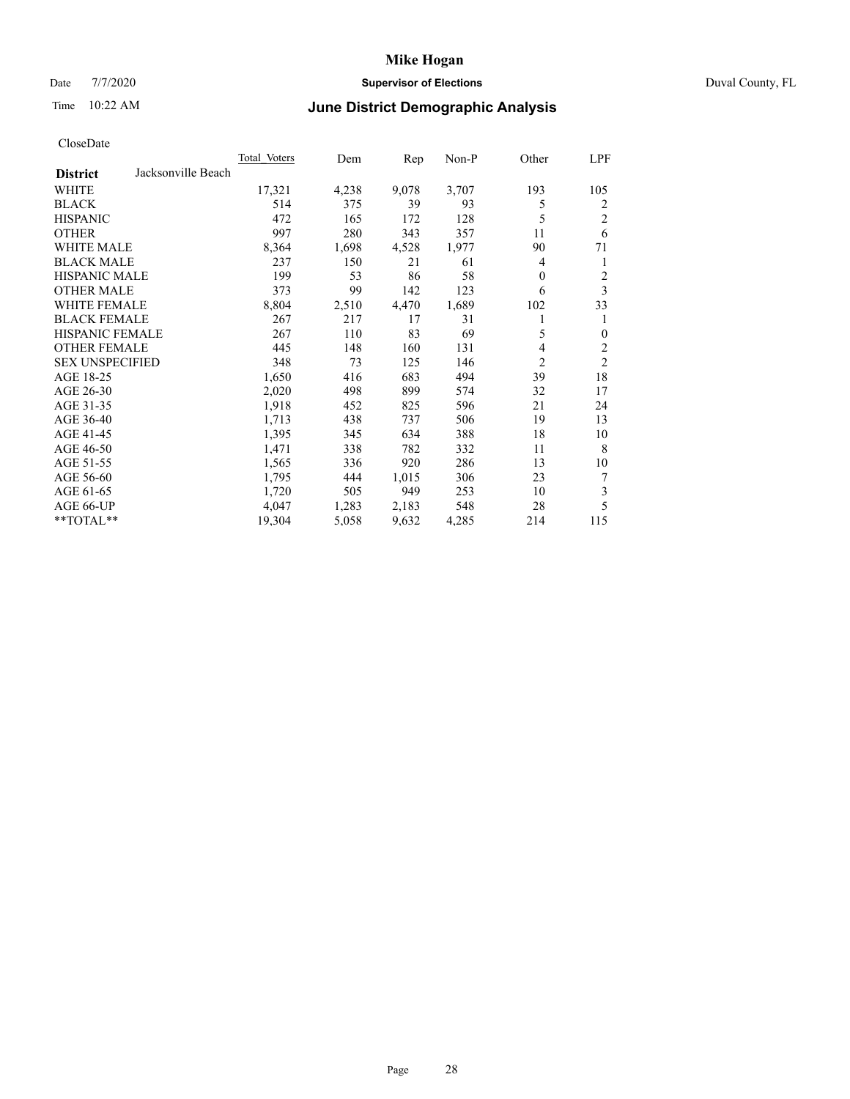# Date 7/7/2020 **Supervisor of Elections** Duval County, FL

# Time 10:22 AM **June District Demographic Analysis**

|                                       | Total Voters | Dem   | Rep   | Non-P | Other    | LPF            |
|---------------------------------------|--------------|-------|-------|-------|----------|----------------|
| Jacksonville Beach<br><b>District</b> |              |       |       |       |          |                |
| WHITE                                 | 17,321       | 4,238 | 9,078 | 3,707 | 193      | 105            |
| <b>BLACK</b>                          | 514          | 375   | 39    | 93    | 5        | 2              |
| <b>HISPANIC</b>                       | 472          | 165   | 172   | 128   | 5        | $\overline{c}$ |
| <b>OTHER</b>                          | 997          | 280   | 343   | 357   | 11       | 6              |
| WHITE MALE                            | 8,364        | 1,698 | 4,528 | 1,977 | 90       | 71             |
| <b>BLACK MALE</b>                     | 237          | 150   | 21    | 61    | 4        | 1              |
| <b>HISPANIC MALE</b>                  | 199          | 53    | 86    | 58    | $\theta$ | 2              |
| <b>OTHER MALE</b>                     | 373          | 99    | 142   | 123   | 6        | 3              |
| WHITE FEMALE                          | 8,804        | 2,510 | 4,470 | 1,689 | 102      | 33             |
| <b>BLACK FEMALE</b>                   | 267          | 217   | 17    | 31    |          | 1              |
| <b>HISPANIC FEMALE</b>                | 267          | 110   | 83    | 69    | 5        | $\mathbf{0}$   |
| <b>OTHER FEMALE</b>                   | 445          | 148   | 160   | 131   | 4        | $\overline{c}$ |
| <b>SEX UNSPECIFIED</b>                | 348          | 73    | 125   | 146   | 2        | $\overline{2}$ |
| AGE 18-25                             | 1,650        | 416   | 683   | 494   | 39       | 18             |
| AGE 26-30                             | 2,020        | 498   | 899   | 574   | 32       | 17             |
| AGE 31-35                             | 1,918        | 452   | 825   | 596   | 21       | 24             |
| AGE 36-40                             | 1,713        | 438   | 737   | 506   | 19       | 13             |
| AGE 41-45                             | 1,395        | 345   | 634   | 388   | 18       | 10             |
| AGE 46-50                             | 1,471        | 338   | 782   | 332   | 11       | 8              |
| AGE 51-55                             | 1,565        | 336   | 920   | 286   | 13       | 10             |
| AGE 56-60                             | 1,795        | 444   | 1,015 | 306   | 23       | 7              |
| AGE 61-65                             | 1,720        | 505   | 949   | 253   | 10       | 3              |
| AGE 66-UP                             | 4,047        | 1,283 | 2,183 | 548   | 28       | 5              |
| **TOTAL**                             | 19,304       | 5,058 | 9,632 | 4,285 | 214      | 115            |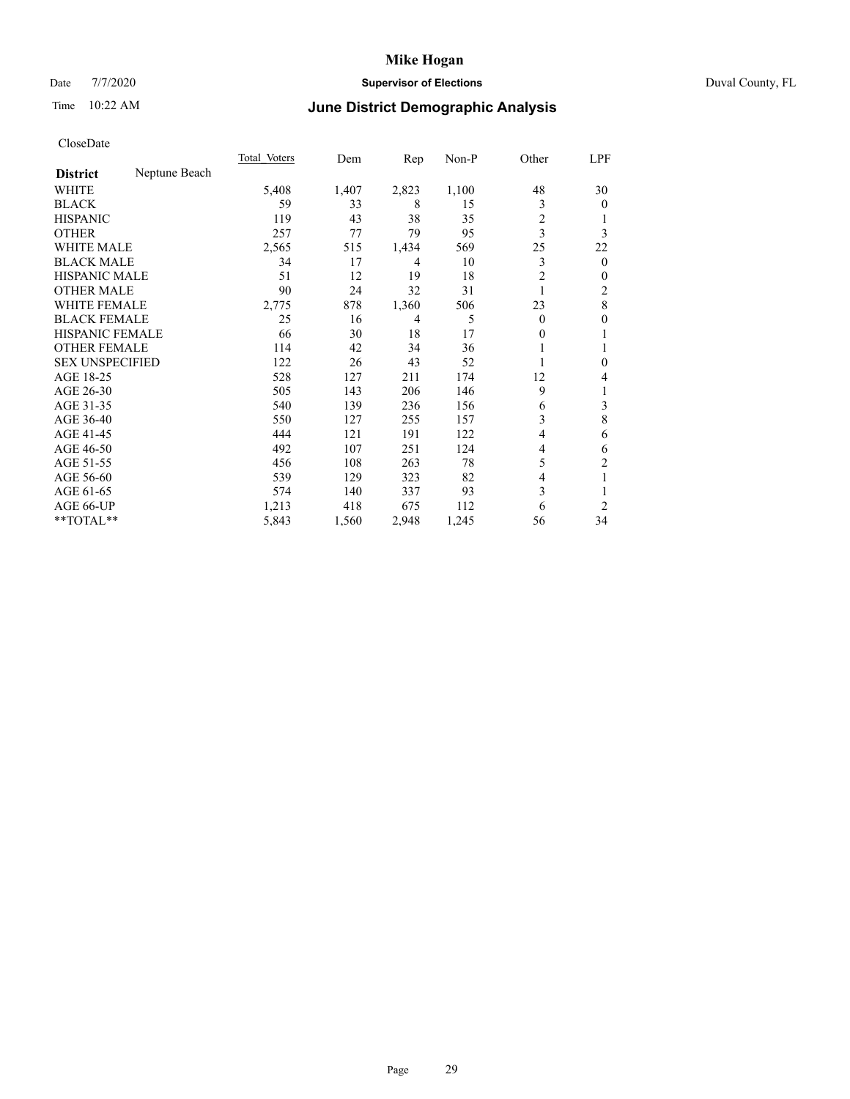# Date 7/7/2020 **Supervisor of Elections** Duval County, FL

# Time 10:22 AM **June District Demographic Analysis**

|                        |               | Total Voters | Dem   | Rep   | Non-P | Other          | LPF            |
|------------------------|---------------|--------------|-------|-------|-------|----------------|----------------|
| <b>District</b>        | Neptune Beach |              |       |       |       |                |                |
| WHITE                  |               | 5,408        | 1,407 | 2,823 | 1,100 | 48             | 30             |
| <b>BLACK</b>           |               | 59           | 33    | 8     | 15    | 3              | $\overline{0}$ |
| <b>HISPANIC</b>        |               | 119          | 43    | 38    | 35    | 2              |                |
| <b>OTHER</b>           |               | 257          | 77    | 79    | 95    | 3              | 3              |
| WHITE MALE             |               | 2,565        | 515   | 1,434 | 569   | 25             | 22             |
| <b>BLACK MALE</b>      |               | 34           | 17    | 4     | 10    | 3              | $\mathbf{0}$   |
| <b>HISPANIC MALE</b>   |               | 51           | 12    | 19    | 18    | $\overline{c}$ | 0              |
| <b>OTHER MALE</b>      |               | 90           | 24    | 32    | 31    | 1              | 2              |
| WHITE FEMALE           |               | 2,775        | 878   | 1,360 | 506   | 23             | 8              |
| <b>BLACK FEMALE</b>    |               | 25           | 16    | 4     | 5     | $\Omega$       | 0              |
| <b>HISPANIC FEMALE</b> |               | 66           | 30    | 18    | 17    | 0              | 1              |
| <b>OTHER FEMALE</b>    |               | 114          | 42    | 34    | 36    |                |                |
| <b>SEX UNSPECIFIED</b> |               | 122          | 26    | 43    | 52    |                | 0              |
| AGE 18-25              |               | 528          | 127   | 211   | 174   | 12             | 4              |
| AGE 26-30              |               | 505          | 143   | 206   | 146   | 9              | 1              |
| AGE 31-35              |               | 540          | 139   | 236   | 156   | 6              | 3              |
| AGE 36-40              |               | 550          | 127   | 255   | 157   | 3              | $\,8\,$        |
| AGE 41-45              |               | 444          | 121   | 191   | 122   | 4              | 6              |
| AGE 46-50              |               | 492          | 107   | 251   | 124   | 4              | 6              |
| AGE 51-55              |               | 456          | 108   | 263   | 78    | 5              | $\overline{c}$ |
| AGE 56-60              |               | 539          | 129   | 323   | 82    | 4              | 1              |
| AGE 61-65              |               | 574          | 140   | 337   | 93    | 3              | 1              |
| AGE 66-UP              |               | 1,213        | 418   | 675   | 112   | 6              | $\overline{2}$ |
| **TOTAL**              |               | 5,843        | 1,560 | 2,948 | 1,245 | 56             | 34             |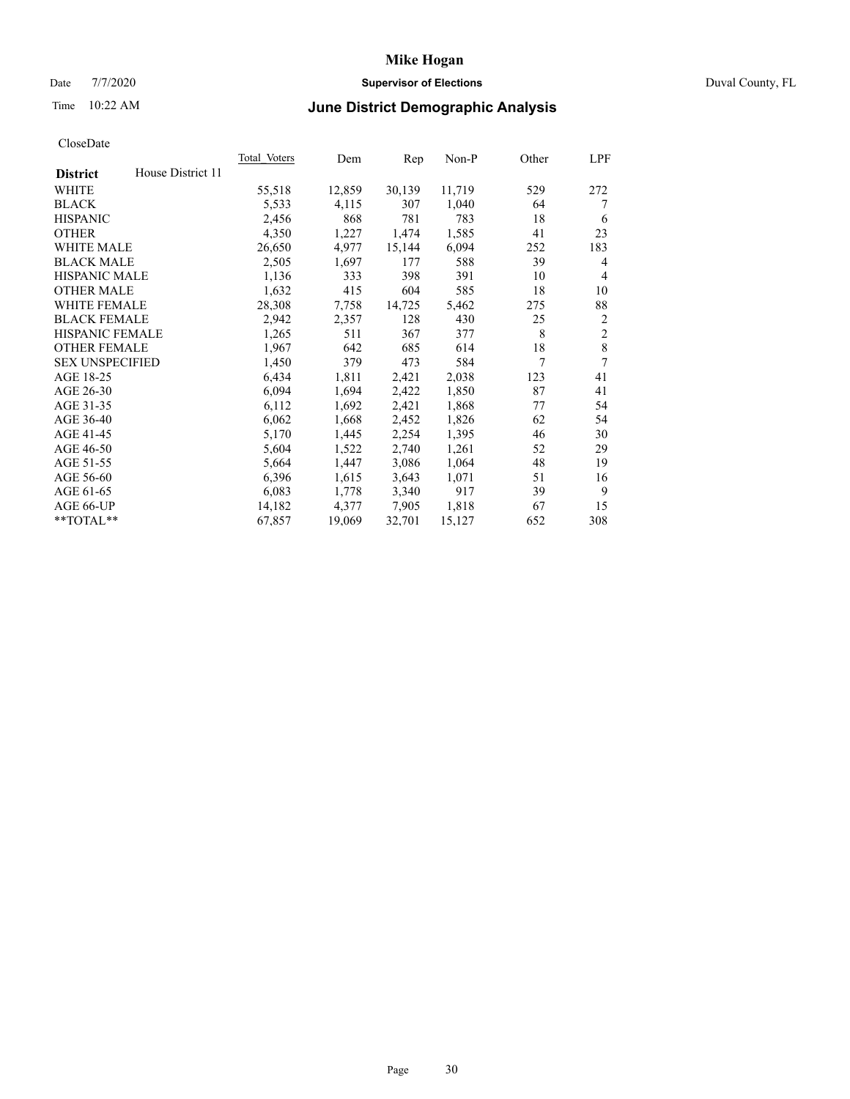# Date 7/7/2020 **Supervisor of Elections** Duval County, FL

# Time 10:22 AM **June District Demographic Analysis**

|                        |                   | Total Voters | Dem    | Rep    | Non-P  | Other | LPF            |
|------------------------|-------------------|--------------|--------|--------|--------|-------|----------------|
| <b>District</b>        | House District 11 |              |        |        |        |       |                |
| WHITE                  |                   | 55,518       | 12,859 | 30,139 | 11,719 | 529   | 272            |
| <b>BLACK</b>           |                   | 5,533        | 4,115  | 307    | 1,040  | 64    | 7              |
| <b>HISPANIC</b>        |                   | 2,456        | 868    | 781    | 783    | 18    | 6              |
| <b>OTHER</b>           |                   | 4,350        | 1,227  | 1,474  | 1,585  | 41    | 23             |
| WHITE MALE             |                   | 26,650       | 4,977  | 15,144 | 6,094  | 252   | 183            |
| <b>BLACK MALE</b>      |                   | 2,505        | 1,697  | 177    | 588    | 39    | 4              |
| <b>HISPANIC MALE</b>   |                   | 1,136        | 333    | 398    | 391    | 10    | 4              |
| <b>OTHER MALE</b>      |                   | 1,632        | 415    | 604    | 585    | 18    | 10             |
| WHITE FEMALE           |                   | 28,308       | 7,758  | 14,725 | 5,462  | 275   | 88             |
| <b>BLACK FEMALE</b>    |                   | 2,942        | 2,357  | 128    | 430    | 25    | 2              |
| <b>HISPANIC FEMALE</b> |                   | 1,265        | 511    | 367    | 377    | 8     | $\overline{2}$ |
| <b>OTHER FEMALE</b>    |                   | 1,967        | 642    | 685    | 614    | 18    | 8              |
| <b>SEX UNSPECIFIED</b> |                   | 1,450        | 379    | 473    | 584    | 7     | 7              |
| AGE 18-25              |                   | 6,434        | 1,811  | 2,421  | 2,038  | 123   | 41             |
| AGE 26-30              |                   | 6,094        | 1,694  | 2,422  | 1,850  | 87    | 41             |
| AGE 31-35              |                   | 6,112        | 1,692  | 2,421  | 1,868  | 77    | 54             |
| AGE 36-40              |                   | 6,062        | 1,668  | 2,452  | 1,826  | 62    | 54             |
| AGE 41-45              |                   | 5,170        | 1,445  | 2,254  | 1,395  | 46    | 30             |
| AGE 46-50              |                   | 5,604        | 1,522  | 2,740  | 1,261  | 52    | 29             |
| AGE 51-55              |                   | 5,664        | 1,447  | 3,086  | 1,064  | 48    | 19             |
| AGE 56-60              |                   | 6,396        | 1,615  | 3,643  | 1,071  | 51    | 16             |
| AGE 61-65              |                   | 6,083        | 1,778  | 3,340  | 917    | 39    | 9              |
| AGE 66-UP              |                   | 14,182       | 4,377  | 7,905  | 1,818  | 67    | 15             |
| $*$ TOTAL $*$          |                   | 67,857       | 19,069 | 32,701 | 15,127 | 652   | 308            |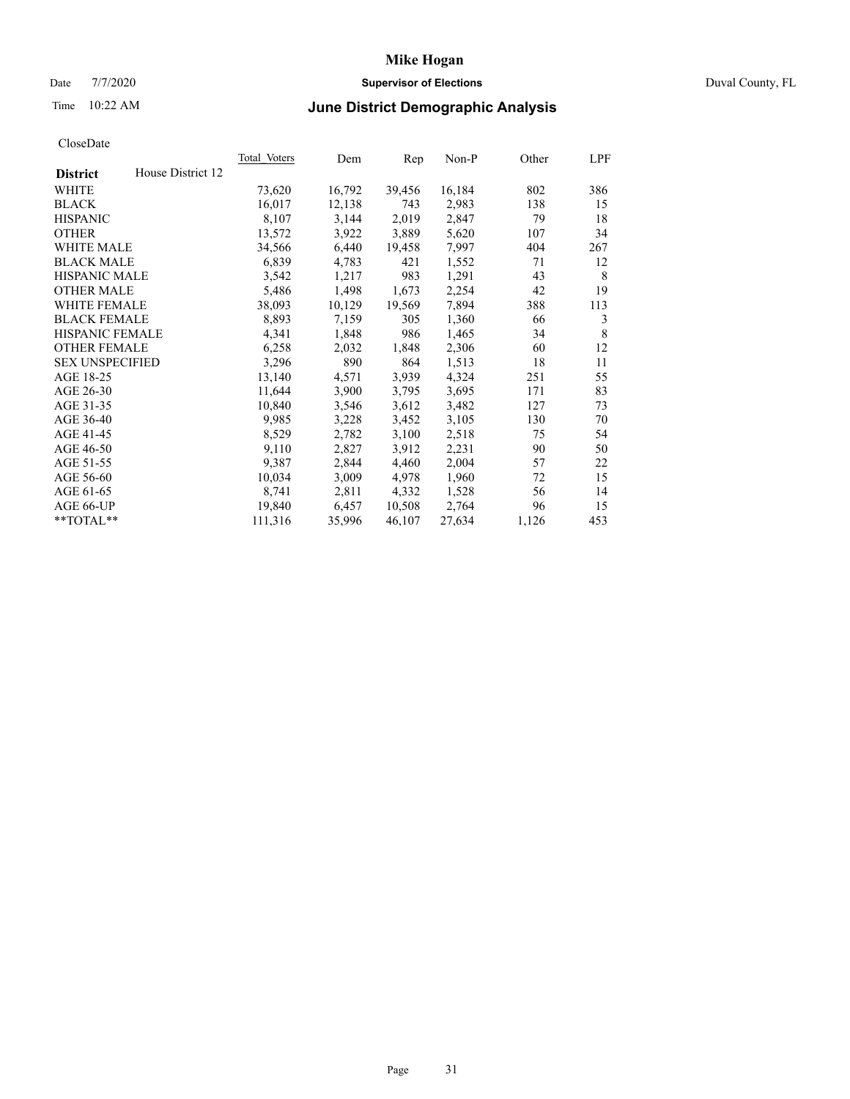# Date 7/7/2020 **Supervisor of Elections** Duval County, FL

# Time 10:22 AM **June District Demographic Analysis**

|                        |                   | Total Voters | Dem    | Rep    | Non-P  | Other | LPF |
|------------------------|-------------------|--------------|--------|--------|--------|-------|-----|
| <b>District</b>        | House District 12 |              |        |        |        |       |     |
| WHITE                  |                   | 73,620       | 16,792 | 39,456 | 16,184 | 802   | 386 |
| <b>BLACK</b>           |                   | 16,017       | 12,138 | 743    | 2,983  | 138   | 15  |
| <b>HISPANIC</b>        |                   | 8,107        | 3,144  | 2,019  | 2,847  | 79    | 18  |
| <b>OTHER</b>           |                   | 13,572       | 3,922  | 3,889  | 5,620  | 107   | 34  |
| WHITE MALE             |                   | 34,566       | 6,440  | 19,458 | 7,997  | 404   | 267 |
| <b>BLACK MALE</b>      |                   | 6,839        | 4,783  | 421    | 1,552  | 71    | 12  |
| <b>HISPANIC MALE</b>   |                   | 3,542        | 1,217  | 983    | 1,291  | 43    | 8   |
| <b>OTHER MALE</b>      |                   | 5,486        | 1,498  | 1,673  | 2,254  | 42    | 19  |
| WHITE FEMALE           |                   | 38,093       | 10,129 | 19,569 | 7,894  | 388   | 113 |
| <b>BLACK FEMALE</b>    |                   | 8,893        | 7,159  | 305    | 1,360  | 66    | 3   |
| <b>HISPANIC FEMALE</b> |                   | 4,341        | 1,848  | 986    | 1,465  | 34    | 8   |
| <b>OTHER FEMALE</b>    |                   | 6,258        | 2,032  | 1,848  | 2,306  | 60    | 12  |
| <b>SEX UNSPECIFIED</b> |                   | 3,296        | 890    | 864    | 1,513  | 18    | 11  |
| AGE 18-25              |                   | 13,140       | 4,571  | 3,939  | 4,324  | 251   | 55  |
| AGE 26-30              |                   | 11,644       | 3,900  | 3,795  | 3,695  | 171   | 83  |
| AGE 31-35              |                   | 10,840       | 3,546  | 3,612  | 3,482  | 127   | 73  |
| AGE 36-40              |                   | 9,985        | 3,228  | 3,452  | 3,105  | 130   | 70  |
| AGE 41-45              |                   | 8,529        | 2,782  | 3,100  | 2,518  | 75    | 54  |
| AGE 46-50              |                   | 9,110        | 2,827  | 3,912  | 2,231  | 90    | 50  |
| AGE 51-55              |                   | 9,387        | 2,844  | 4,460  | 2,004  | 57    | 22  |
| AGE 56-60              |                   | 10,034       | 3,009  | 4,978  | 1,960  | 72    | 15  |
| AGE 61-65              |                   | 8,741        | 2,811  | 4,332  | 1,528  | 56    | 14  |
| AGE 66-UP              |                   | 19,840       | 6,457  | 10,508 | 2,764  | 96    | 15  |
| $*$ TOTAL $*$          |                   | 111,316      | 35,996 | 46,107 | 27,634 | 1,126 | 453 |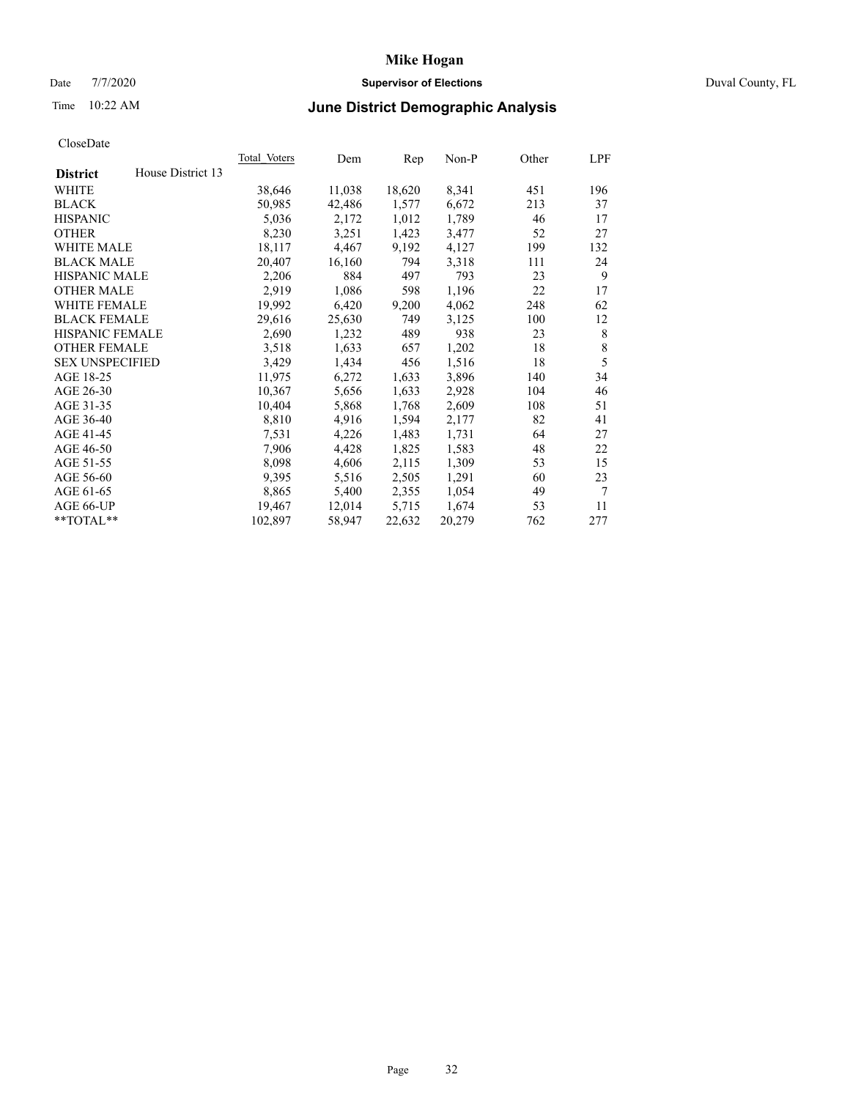# Date 7/7/2020 **Supervisor of Elections** Duval County, FL

# Time 10:22 AM **June District Demographic Analysis**

| <b>Total Voters</b> | Dem    | Rep    | $Non-P$ | Other | LPF         |
|---------------------|--------|--------|---------|-------|-------------|
|                     |        |        |         |       |             |
| 38,646              | 11,038 | 18,620 | 8,341   | 451   | 196         |
| 50,985              | 42,486 | 1,577  | 6,672   | 213   | 37          |
| 5,036               | 2,172  | 1,012  | 1,789   | 46    | 17          |
| 8,230               | 3,251  | 1,423  | 3,477   | 52    | 27          |
| 18,117              | 4,467  | 9,192  | 4,127   | 199   | 132         |
| 20,407              | 16,160 | 794    | 3,318   | 111   | 24          |
| 2,206               | 884    | 497    | 793     | 23    | 9           |
| 2,919               | 1,086  | 598    | 1,196   | 22    | 17          |
| 19,992              | 6,420  | 9,200  | 4,062   | 248   | 62          |
| 29,616              | 25,630 | 749    | 3,125   | 100   | 12          |
| 2,690               | 1,232  | 489    | 938     | 23    | 8           |
| 3,518               | 1,633  | 657    | 1,202   | 18    | $\,$ 8 $\,$ |
| 3,429               | 1,434  | 456    | 1,516   | 18    | 5           |
| 11,975              | 6,272  | 1,633  | 3,896   | 140   | 34          |
| 10,367              | 5,656  | 1,633  | 2,928   | 104   | 46          |
| 10,404              | 5,868  | 1,768  | 2,609   | 108   | 51          |
| 8,810               | 4,916  | 1,594  | 2,177   | 82    | 41          |
| 7,531               | 4,226  | 1,483  | 1,731   | 64    | 27          |
| 7,906               | 4,428  | 1,825  | 1,583   | 48    | 22          |
| 8,098               | 4,606  | 2,115  | 1,309   | 53    | 15          |
| 9,395               | 5,516  | 2,505  | 1,291   | 60    | 23          |
| 8,865               | 5,400  | 2,355  | 1,054   | 49    | 7           |
| 19,467              | 12,014 | 5,715  | 1,674   | 53    | 11          |
| 102,897             | 58,947 | 22,632 | 20,279  | 762   | 277         |
|                     |        |        |         |       |             |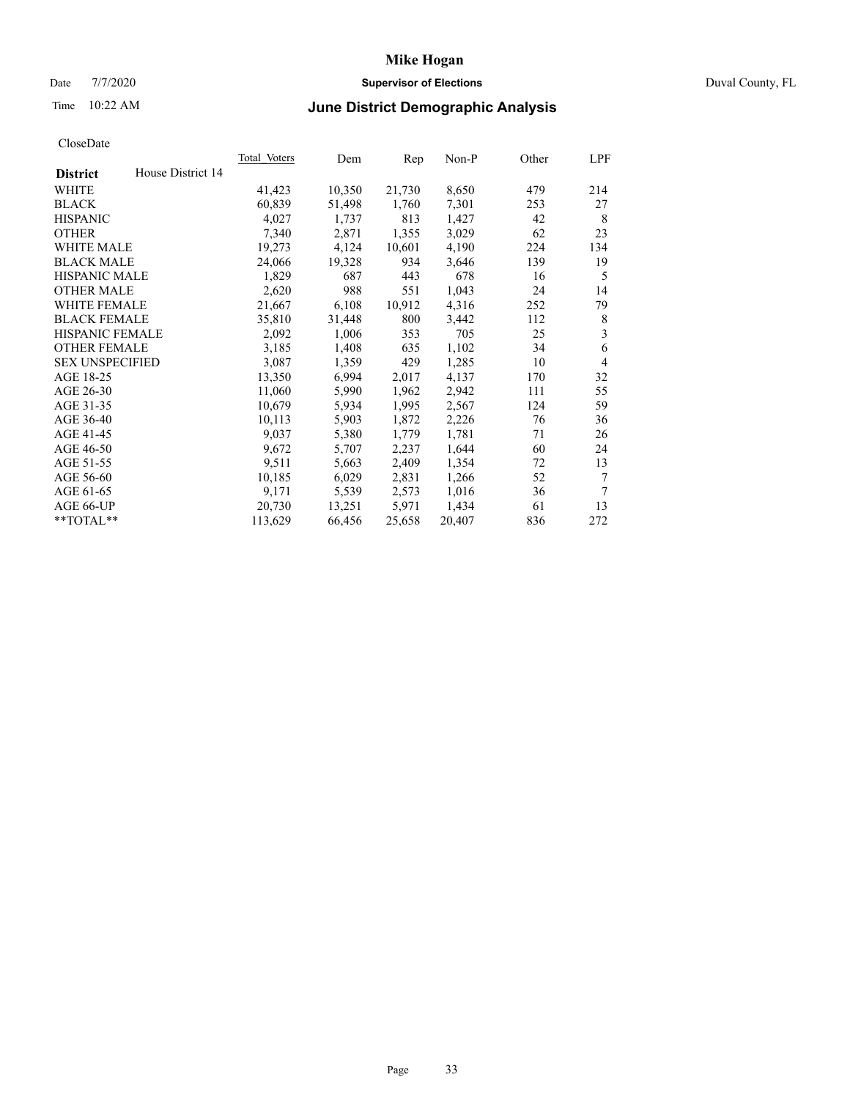# Date 7/7/2020 **Supervisor of Elections** Duval County, FL

# Time 10:22 AM **June District Demographic Analysis**

|                        |                   | Total Voters | Dem    | Rep    | Non-P  | Other | LPF            |
|------------------------|-------------------|--------------|--------|--------|--------|-------|----------------|
| <b>District</b>        | House District 14 |              |        |        |        |       |                |
| WHITE                  |                   | 41,423       | 10,350 | 21,730 | 8,650  | 479   | 214            |
| <b>BLACK</b>           |                   | 60,839       | 51,498 | 1,760  | 7,301  | 253   | 27             |
| <b>HISPANIC</b>        |                   | 4,027        | 1,737  | 813    | 1,427  | 42    | 8              |
| <b>OTHER</b>           |                   | 7,340        | 2,871  | 1,355  | 3,029  | 62    | 23             |
| WHITE MALE             |                   | 19,273       | 4,124  | 10,601 | 4,190  | 224   | 134            |
| <b>BLACK MALE</b>      |                   | 24,066       | 19,328 | 934    | 3,646  | 139   | 19             |
| <b>HISPANIC MALE</b>   |                   | 1,829        | 687    | 443    | 678    | 16    | 5              |
| <b>OTHER MALE</b>      |                   | 2,620        | 988    | 551    | 1,043  | 24    | 14             |
| <b>WHITE FEMALE</b>    |                   | 21,667       | 6,108  | 10,912 | 4,316  | 252   | 79             |
| <b>BLACK FEMALE</b>    |                   | 35,810       | 31,448 | 800    | 3,442  | 112   | 8              |
| <b>HISPANIC FEMALE</b> |                   | 2,092        | 1,006  | 353    | 705    | 25    | 3              |
| <b>OTHER FEMALE</b>    |                   | 3,185        | 1,408  | 635    | 1,102  | 34    | 6              |
| <b>SEX UNSPECIFIED</b> |                   | 3,087        | 1,359  | 429    | 1,285  | 10    | $\overline{4}$ |
| AGE 18-25              |                   | 13,350       | 6,994  | 2,017  | 4,137  | 170   | 32             |
| AGE 26-30              |                   | 11,060       | 5,990  | 1,962  | 2,942  | 111   | 55             |
| AGE 31-35              |                   | 10,679       | 5,934  | 1,995  | 2,567  | 124   | 59             |
| AGE 36-40              |                   | 10,113       | 5,903  | 1,872  | 2,226  | 76    | 36             |
| AGE 41-45              |                   | 9,037        | 5,380  | 1,779  | 1,781  | 71    | 26             |
| AGE 46-50              |                   | 9,672        | 5,707  | 2,237  | 1,644  | 60    | 24             |
| AGE 51-55              |                   | 9,511        | 5,663  | 2,409  | 1,354  | 72    | 13             |
| AGE 56-60              |                   | 10,185       | 6,029  | 2,831  | 1,266  | 52    | 7              |
| AGE 61-65              |                   | 9,171        | 5,539  | 2,573  | 1,016  | 36    | 7              |
| AGE 66-UP              |                   | 20,730       | 13,251 | 5,971  | 1,434  | 61    | 13             |
| $*$ TOTAL $*$          |                   | 113,629      | 66,456 | 25,658 | 20,407 | 836   | 272            |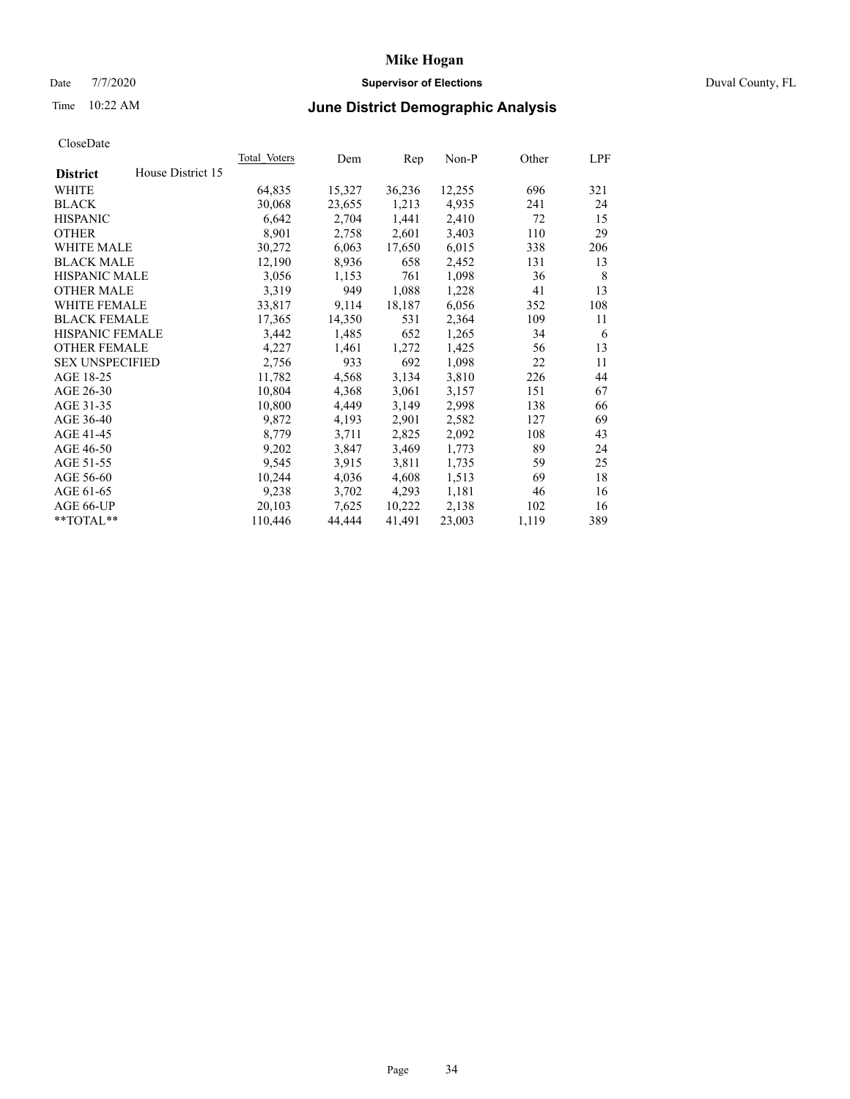# Date 7/7/2020 **Supervisor of Elections** Duval County, FL

# Time 10:22 AM **June District Demographic Analysis**

| Total Voters | Dem    | Rep    | $Non-P$ | Other | LPF |
|--------------|--------|--------|---------|-------|-----|
|              |        |        |         |       |     |
| 64,835       | 15,327 | 36,236 | 12,255  | 696   | 321 |
| 30,068       | 23,655 | 1,213  | 4,935   | 241   | 24  |
| 6,642        | 2,704  | 1,441  | 2,410   | 72    | 15  |
| 8,901        | 2,758  | 2,601  | 3,403   | 110   | 29  |
| 30,272       | 6,063  | 17,650 | 6,015   | 338   | 206 |
| 12,190       | 8,936  | 658    | 2,452   | 131   | 13  |
| 3,056        | 1,153  | 761    | 1,098   | 36    | 8   |
| 3,319        | 949    | 1,088  | 1,228   | 41    | 13  |
| 33,817       | 9,114  | 18,187 | 6,056   | 352   | 108 |
| 17,365       | 14,350 | 531    | 2,364   | 109   | 11  |
| 3,442        | 1,485  | 652    | 1,265   | 34    | 6   |
| 4,227        | 1,461  | 1,272  | 1,425   | 56    | 13  |
| 2,756        | 933    | 692    | 1,098   | 22    | 11  |
| 11,782       | 4,568  | 3,134  | 3,810   | 226   | 44  |
| 10,804       | 4,368  | 3,061  | 3,157   | 151   | 67  |
| 10,800       | 4,449  | 3,149  | 2,998   | 138   | 66  |
| 9,872        | 4,193  | 2,901  | 2,582   | 127   | 69  |
| 8,779        | 3,711  | 2,825  | 2,092   | 108   | 43  |
| 9,202        | 3,847  | 3,469  | 1,773   | 89    | 24  |
| 9,545        | 3,915  | 3,811  | 1,735   | 59    | 25  |
| 10,244       | 4,036  | 4,608  | 1,513   | 69    | 18  |
| 9,238        | 3,702  | 4,293  | 1,181   | 46    | 16  |
| 20,103       | 7,625  | 10,222 | 2,138   | 102   | 16  |
| 110,446      | 44,444 | 41,491 | 23,003  | 1,119 | 389 |
|              |        |        |         |       |     |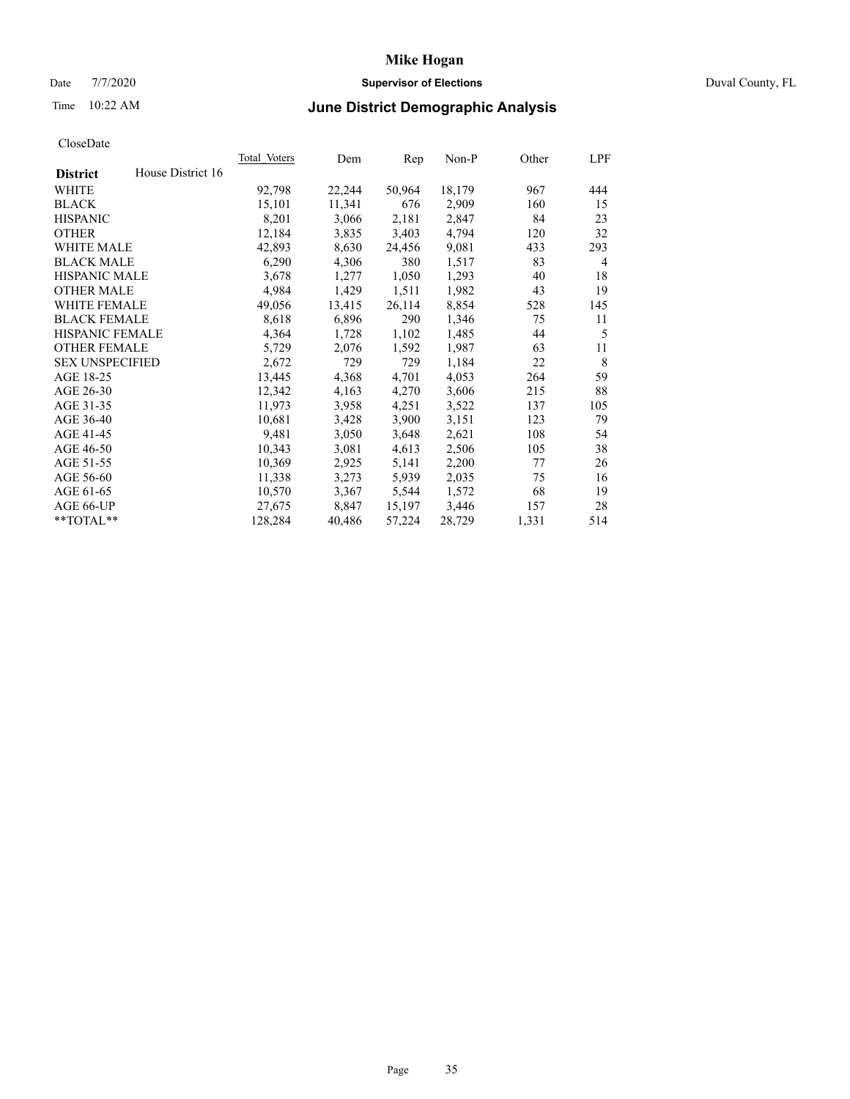# Date 7/7/2020 **Supervisor of Elections** Duval County, FL

# Time 10:22 AM **June District Demographic Analysis**

| <b>Total Voters</b> | Dem    | Rep    | Non-P  | Other | LPF |
|---------------------|--------|--------|--------|-------|-----|
|                     |        |        |        |       |     |
| 92,798              | 22,244 | 50,964 | 18,179 | 967   | 444 |
| 15,101              | 11,341 | 676    | 2,909  | 160   | 15  |
| 8,201               | 3,066  | 2,181  | 2,847  | 84    | 23  |
| 12,184              | 3,835  | 3,403  | 4,794  | 120   | 32  |
| 42,893              | 8,630  | 24,456 | 9,081  | 433   | 293 |
| 6,290               | 4,306  | 380    | 1,517  | 83    | 4   |
| 3,678               | 1,277  | 1,050  | 1,293  | 40    | 18  |
| 4,984               | 1,429  | 1,511  | 1,982  | 43    | 19  |
| 49,056              | 13,415 | 26,114 | 8,854  | 528   | 145 |
| 8,618               | 6,896  | 290    | 1,346  | 75    | 11  |
| 4,364               | 1,728  | 1,102  | 1,485  | 44    | 5   |
| 5,729               | 2,076  | 1,592  | 1,987  | 63    | 11  |
| 2,672               | 729    | 729    | 1,184  | 22    | 8   |
| 13,445              | 4,368  | 4,701  | 4,053  | 264   | 59  |
| 12,342              | 4,163  | 4,270  | 3,606  | 215   | 88  |
| 11,973              | 3,958  | 4,251  | 3,522  | 137   | 105 |
| 10,681              | 3,428  | 3,900  | 3,151  | 123   | 79  |
| 9,481               | 3,050  | 3,648  | 2,621  | 108   | 54  |
| 10,343              | 3,081  | 4,613  | 2,506  | 105   | 38  |
| 10,369              | 2,925  | 5,141  | 2,200  | 77    | 26  |
| 11,338              | 3,273  | 5,939  | 2,035  | 75    | 16  |
| 10,570              | 3,367  | 5,544  | 1,572  | 68    | 19  |
| 27,675              | 8,847  | 15,197 | 3,446  | 157   | 28  |
| 128,284             | 40,486 | 57,224 | 28,729 | 1,331 | 514 |
|                     |        |        |        |       |     |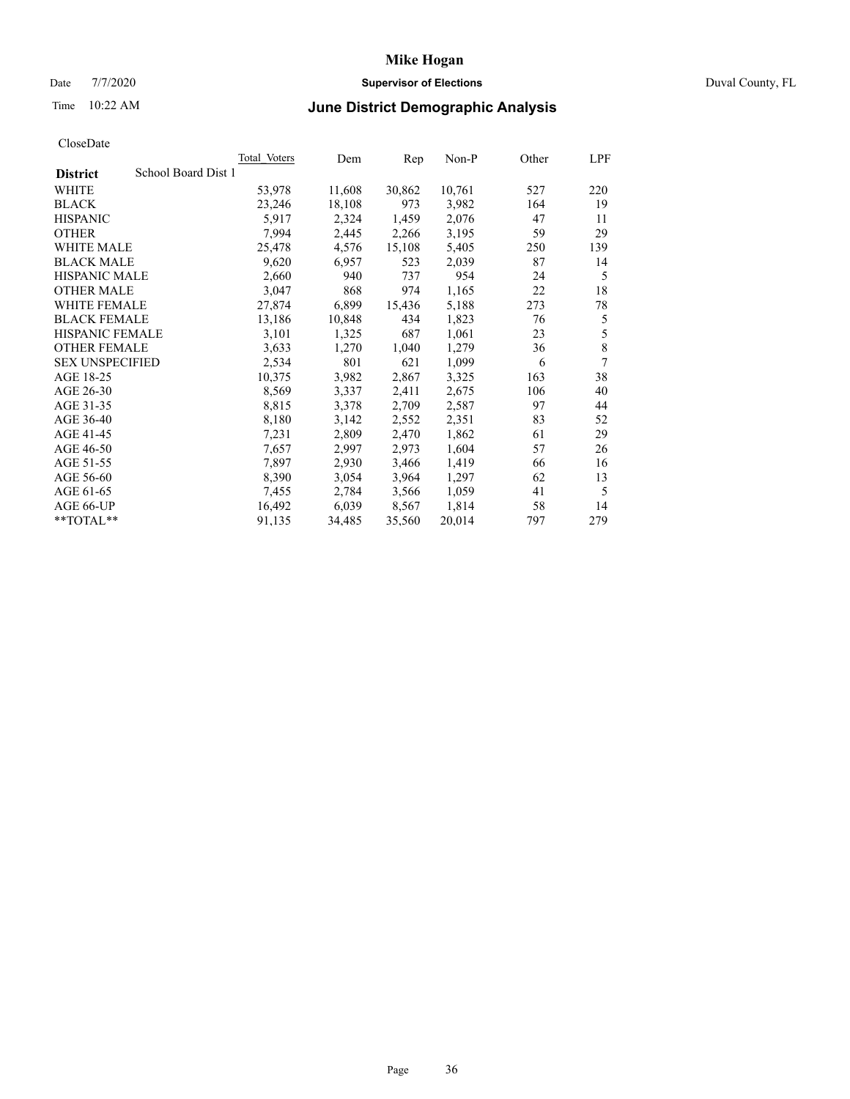# Date 7/7/2020 **Supervisor of Elections** Duval County, FL

# Time 10:22 AM **June District Demographic Analysis**

|                        |                     | Total Voters | Dem    | Rep    | Non-P  | Other | LPF |
|------------------------|---------------------|--------------|--------|--------|--------|-------|-----|
| <b>District</b>        | School Board Dist 1 |              |        |        |        |       |     |
| WHITE                  |                     | 53,978       | 11,608 | 30,862 | 10,761 | 527   | 220 |
| <b>BLACK</b>           |                     | 23,246       | 18,108 | 973    | 3,982  | 164   | 19  |
| <b>HISPANIC</b>        |                     | 5,917        | 2,324  | 1,459  | 2,076  | 47    | 11  |
| <b>OTHER</b>           |                     | 7,994        | 2,445  | 2,266  | 3,195  | 59    | 29  |
| WHITE MALE             |                     | 25,478       | 4,576  | 15,108 | 5,405  | 250   | 139 |
| <b>BLACK MALE</b>      |                     | 9,620        | 6,957  | 523    | 2,039  | 87    | 14  |
| <b>HISPANIC MALE</b>   |                     | 2,660        | 940    | 737    | 954    | 24    | 5   |
| <b>OTHER MALE</b>      |                     | 3,047        | 868    | 974    | 1,165  | 22    | 18  |
| <b>WHITE FEMALE</b>    |                     | 27,874       | 6,899  | 15,436 | 5,188  | 273   | 78  |
| <b>BLACK FEMALE</b>    |                     | 13,186       | 10,848 | 434    | 1,823  | 76    | 5   |
| HISPANIC FEMALE        |                     | 3,101        | 1,325  | 687    | 1,061  | 23    | 5   |
| <b>OTHER FEMALE</b>    |                     | 3,633        | 1,270  | 1,040  | 1,279  | 36    | 8   |
| <b>SEX UNSPECIFIED</b> |                     | 2,534        | 801    | 621    | 1,099  | 6     | 7   |
| AGE 18-25              |                     | 10,375       | 3,982  | 2,867  | 3,325  | 163   | 38  |
| AGE 26-30              |                     | 8,569        | 3,337  | 2,411  | 2,675  | 106   | 40  |
| AGE 31-35              |                     | 8,815        | 3,378  | 2,709  | 2,587  | 97    | 44  |
| AGE 36-40              |                     | 8,180        | 3,142  | 2,552  | 2,351  | 83    | 52  |
| AGE 41-45              |                     | 7,231        | 2,809  | 2,470  | 1,862  | 61    | 29  |
| AGE 46-50              |                     | 7,657        | 2,997  | 2,973  | 1,604  | 57    | 26  |
| AGE 51-55              |                     | 7,897        | 2,930  | 3,466  | 1,419  | 66    | 16  |
| AGE 56-60              |                     | 8,390        | 3,054  | 3,964  | 1,297  | 62    | 13  |
| AGE 61-65              |                     | 7,455        | 2,784  | 3,566  | 1,059  | 41    | 5   |
| AGE 66-UP              |                     | 16,492       | 6,039  | 8,567  | 1,814  | 58    | 14  |
| **TOTAL**              |                     | 91,135       | 34,485 | 35,560 | 20,014 | 797   | 279 |
|                        |                     |              |        |        |        |       |     |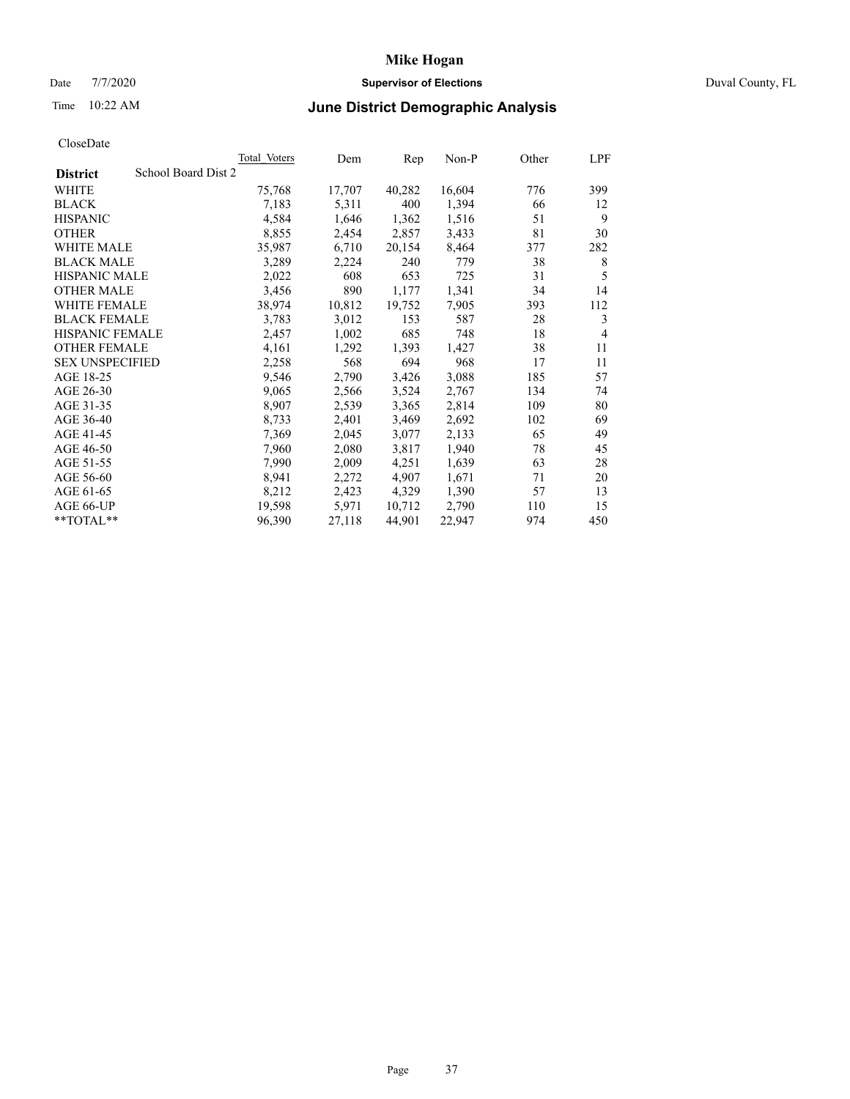# Date 7/7/2020 **Supervisor of Elections** Duval County, FL

# Time 10:22 AM **June District Demographic Analysis**

|                                        | <b>Total Voters</b> | Dem    | Rep    | $Non-P$ | Other | LPF            |
|----------------------------------------|---------------------|--------|--------|---------|-------|----------------|
| School Board Dist 2<br><b>District</b> |                     |        |        |         |       |                |
| WHITE                                  | 75,768              | 17,707 | 40,282 | 16,604  | 776   | 399            |
| <b>BLACK</b>                           | 7,183               | 5,311  | 400    | 1,394   | 66    | 12             |
| <b>HISPANIC</b>                        | 4,584               | 1,646  | 1,362  | 1,516   | 51    | 9              |
| <b>OTHER</b>                           | 8,855               | 2,454  | 2,857  | 3,433   | 81    | 30             |
| WHITE MALE                             | 35,987              | 6,710  | 20,154 | 8,464   | 377   | 282            |
| <b>BLACK MALE</b>                      | 3,289               | 2,224  | 240    | 779     | 38    | 8              |
| <b>HISPANIC MALE</b>                   | 2,022               | 608    | 653    | 725     | 31    | 5              |
| <b>OTHER MALE</b>                      | 3,456               | 890    | 1,177  | 1,341   | 34    | 14             |
| <b>WHITE FEMALE</b>                    | 38,974              | 10,812 | 19,752 | 7,905   | 393   | 112            |
| <b>BLACK FEMALE</b>                    | 3,783               | 3,012  | 153    | 587     | 28    | 3              |
| HISPANIC FEMALE                        | 2,457               | 1,002  | 685    | 748     | 18    | $\overline{4}$ |
| <b>OTHER FEMALE</b>                    | 4,161               | 1,292  | 1,393  | 1,427   | 38    | 11             |
| <b>SEX UNSPECIFIED</b>                 | 2,258               | 568    | 694    | 968     | 17    | 11             |
| AGE 18-25                              | 9,546               | 2,790  | 3,426  | 3,088   | 185   | 57             |
| AGE 26-30                              | 9,065               | 2,566  | 3,524  | 2,767   | 134   | 74             |
| AGE 31-35                              | 8,907               | 2,539  | 3,365  | 2,814   | 109   | 80             |
| AGE 36-40                              | 8,733               | 2,401  | 3,469  | 2,692   | 102   | 69             |
| AGE 41-45                              | 7,369               | 2,045  | 3,077  | 2,133   | 65    | 49             |
| AGE 46-50                              | 7,960               | 2,080  | 3,817  | 1,940   | 78    | 45             |
| AGE 51-55                              | 7,990               | 2,009  | 4,251  | 1,639   | 63    | 28             |
| AGE 56-60                              | 8,941               | 2,272  | 4,907  | 1,671   | 71    | 20             |
| AGE 61-65                              | 8,212               | 2,423  | 4,329  | 1,390   | 57    | 13             |
| AGE 66-UP                              | 19,598              | 5,971  | 10,712 | 2,790   | 110   | 15             |
| **TOTAL**                              | 96,390              | 27,118 | 44,901 | 22,947  | 974   | 450            |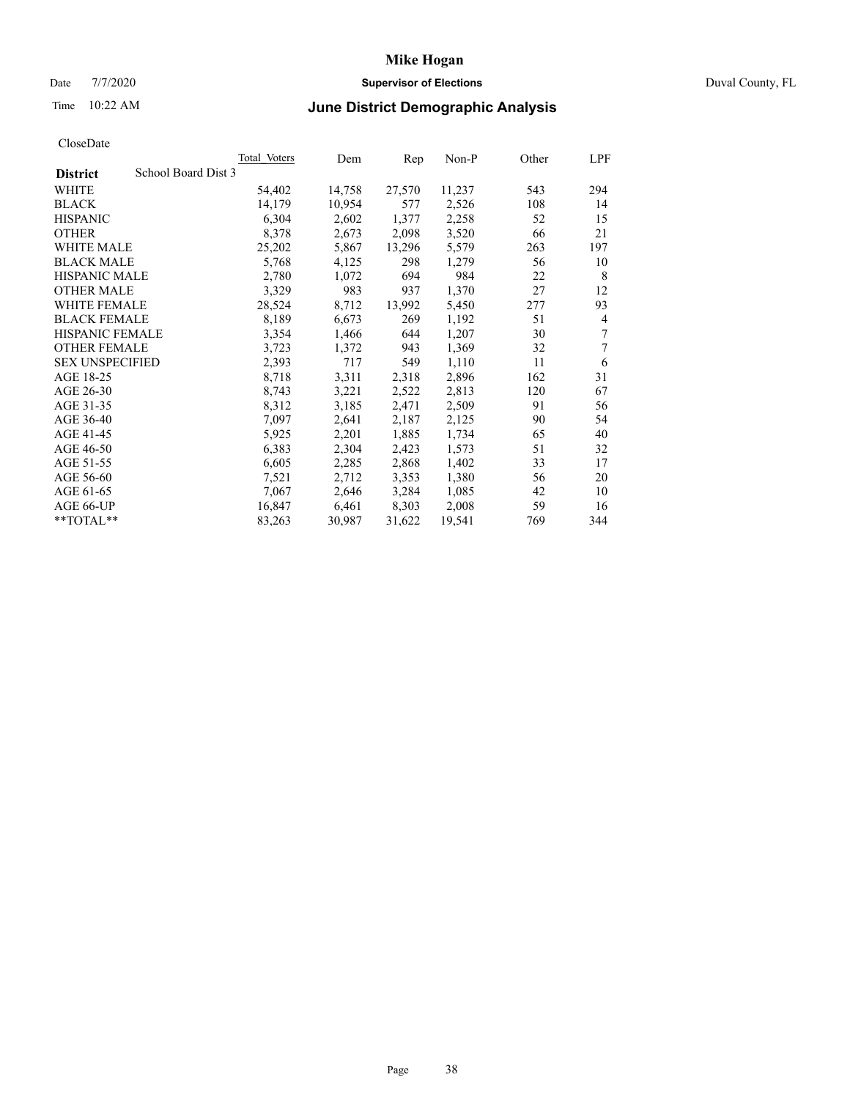# Date 7/7/2020 **Supervisor of Elections** Duval County, FL

# Time 10:22 AM **June District Demographic Analysis**

|                                        | Total Voters | Dem    | Rep    | Non-P  | Other | LPF |
|----------------------------------------|--------------|--------|--------|--------|-------|-----|
| School Board Dist 3<br><b>District</b> |              |        |        |        |       |     |
| WHITE                                  | 54,402       | 14,758 | 27,570 | 11,237 | 543   | 294 |
| <b>BLACK</b>                           | 14,179       | 10,954 | 577    | 2,526  | 108   | 14  |
| <b>HISPANIC</b>                        | 6,304        | 2,602  | 1,377  | 2,258  | 52    | 15  |
| <b>OTHER</b>                           | 8,378        | 2,673  | 2,098  | 3,520  | 66    | 21  |
| WHITE MALE                             | 25,202       | 5,867  | 13,296 | 5,579  | 263   | 197 |
| <b>BLACK MALE</b>                      | 5,768        | 4,125  | 298    | 1,279  | 56    | 10  |
| <b>HISPANIC MALE</b>                   | 2,780        | 1,072  | 694    | 984    | 22    | 8   |
| <b>OTHER MALE</b>                      | 3,329        | 983    | 937    | 1,370  | 27    | 12  |
| WHITE FEMALE                           | 28,524       | 8,712  | 13,992 | 5,450  | 277   | 93  |
| <b>BLACK FEMALE</b>                    | 8,189        | 6,673  | 269    | 1,192  | 51    | 4   |
| HISPANIC FEMALE                        | 3,354        | 1,466  | 644    | 1,207  | 30    | 7   |
| <b>OTHER FEMALE</b>                    | 3,723        | 1,372  | 943    | 1,369  | 32    | 7   |
| <b>SEX UNSPECIFIED</b>                 | 2,393        | 717    | 549    | 1,110  | 11    | 6   |
| AGE 18-25                              | 8,718        | 3,311  | 2,318  | 2,896  | 162   | 31  |
| AGE 26-30                              | 8,743        | 3,221  | 2,522  | 2,813  | 120   | 67  |
| AGE 31-35                              | 8,312        | 3,185  | 2,471  | 2,509  | 91    | 56  |
| AGE 36-40                              | 7,097        | 2,641  | 2,187  | 2,125  | 90    | 54  |
| AGE 41-45                              | 5,925        | 2,201  | 1,885  | 1,734  | 65    | 40  |
| AGE 46-50                              | 6,383        | 2,304  | 2,423  | 1,573  | 51    | 32  |
| AGE 51-55                              | 6,605        | 2,285  | 2,868  | 1,402  | 33    | 17  |
| AGE 56-60                              | 7,521        | 2,712  | 3,353  | 1,380  | 56    | 20  |
| AGE 61-65                              | 7,067        | 2,646  | 3,284  | 1,085  | 42    | 10  |
| AGE 66-UP                              | 16,847       | 6,461  | 8,303  | 2,008  | 59    | 16  |
| **TOTAL**                              | 83,263       | 30,987 | 31,622 | 19,541 | 769   | 344 |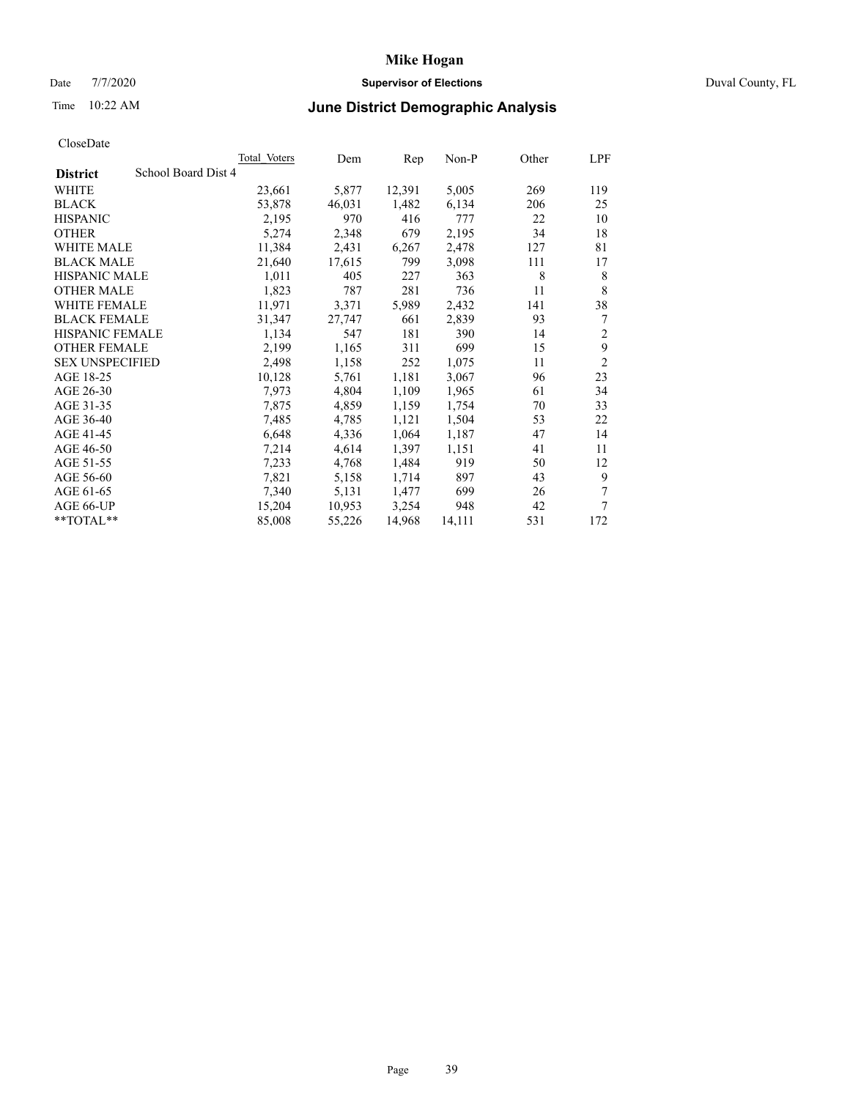# Date 7/7/2020 **Supervisor of Elections** Duval County, FL

# Time 10:22 AM **June District Demographic Analysis**

| <b>Total Voters</b> | Dem    | Rep    | $Non-P$ | Other | LPF            |
|---------------------|--------|--------|---------|-------|----------------|
| School Board Dist 4 |        |        |         |       |                |
| 23,661              | 5,877  | 12,391 | 5,005   | 269   | 119            |
| 53,878              | 46,031 | 1,482  | 6,134   | 206   | 25             |
| 2,195               | 970    | 416    | 777     | 22    | 10             |
| 5,274               | 2,348  | 679    | 2,195   | 34    | 18             |
| 11,384              | 2,431  | 6,267  | 2,478   | 127   | 81             |
| 21,640              | 17,615 | 799    | 3,098   | 111   | 17             |
| 1,011               | 405    | 227    | 363     | 8     | 8              |
| 1,823               | 787    | 281    | 736     | 11    | 8              |
| 11,971              | 3,371  | 5,989  | 2,432   | 141   | 38             |
| 31,347              | 27,747 | 661    | 2,839   | 93    | 7              |
| 1,134               | 547    | 181    | 390     | 14    | 2              |
| 2,199               | 1,165  | 311    | 699     | 15    | 9              |
| 2,498               | 1,158  | 252    | 1,075   | 11    | $\overline{2}$ |
| 10,128              | 5,761  | 1,181  | 3,067   | 96    | 23             |
| 7,973               | 4,804  | 1,109  | 1,965   | 61    | 34             |
| 7,875               | 4,859  | 1,159  | 1,754   | 70    | 33             |
| 7,485               | 4,785  | 1,121  | 1,504   | 53    | 22             |
| 6,648               | 4,336  | 1,064  | 1,187   | 47    | 14             |
| 7,214               | 4,614  | 1,397  | 1,151   | 41    | 11             |
| 7,233               | 4,768  | 1,484  | 919     | 50    | 12             |
| 7,821               | 5,158  | 1,714  | 897     | 43    | 9              |
| 7,340               | 5,131  | 1,477  | 699     | 26    | 7              |
| 15,204              | 10,953 | 3,254  | 948     | 42    | 7              |
| 85,008              | 55,226 | 14,968 | 14,111  | 531   | 172            |
|                     |        |        |         |       |                |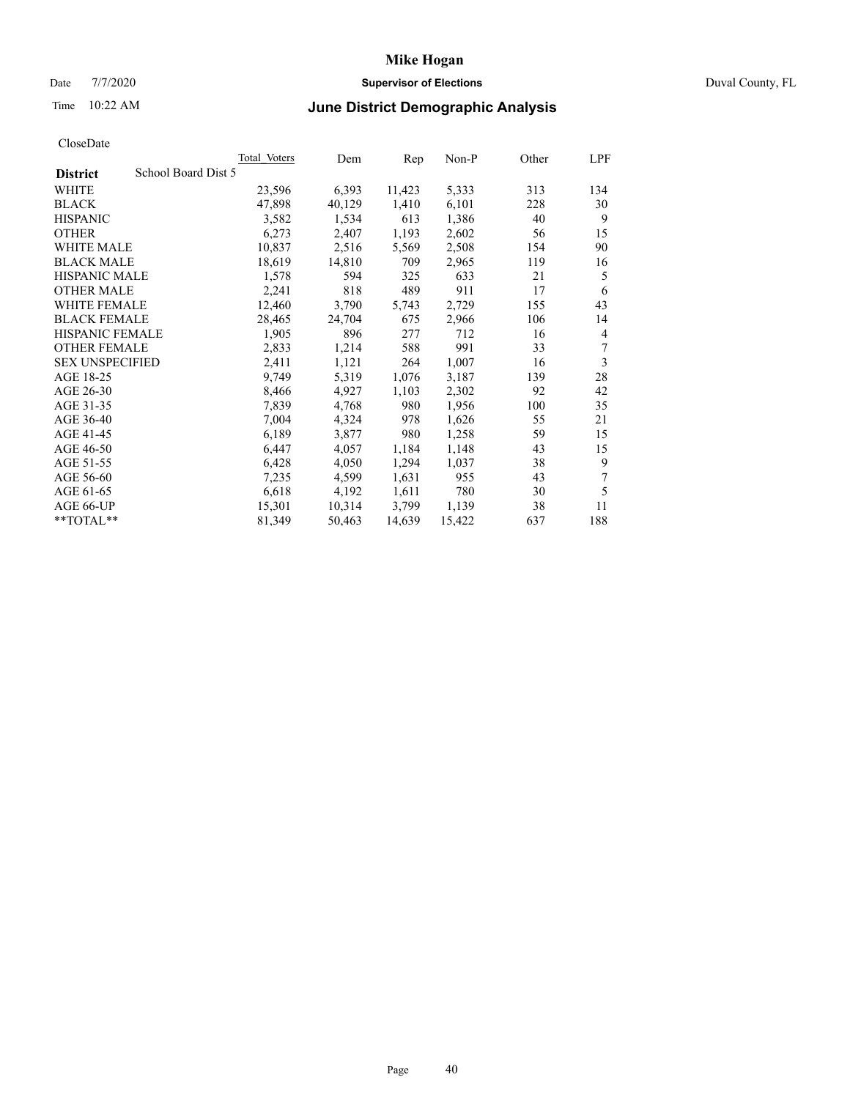# Date 7/7/2020 **Supervisor of Elections** Duval County, FL

# Time 10:22 AM **June District Demographic Analysis**

|                                        | Total Voters | Dem    | Rep    | $Non-P$ | Other | LPF |
|----------------------------------------|--------------|--------|--------|---------|-------|-----|
| School Board Dist 5<br><b>District</b> |              |        |        |         |       |     |
| WHITE                                  | 23,596       | 6,393  | 11,423 | 5,333   | 313   | 134 |
| <b>BLACK</b>                           | 47,898       | 40,129 | 1,410  | 6,101   | 228   | 30  |
| <b>HISPANIC</b>                        | 3,582        | 1,534  | 613    | 1,386   | 40    | 9   |
| <b>OTHER</b>                           | 6,273        | 2,407  | 1,193  | 2,602   | 56    | 15  |
| WHITE MALE                             | 10,837       | 2,516  | 5,569  | 2,508   | 154   | 90  |
| <b>BLACK MALE</b>                      | 18,619       | 14,810 | 709    | 2,965   | 119   | 16  |
| <b>HISPANIC MALE</b>                   | 1,578        | 594    | 325    | 633     | 21    | 5   |
| <b>OTHER MALE</b>                      | 2,241        | 818    | 489    | 911     | 17    | 6   |
| WHITE FEMALE                           | 12,460       | 3,790  | 5,743  | 2,729   | 155   | 43  |
| <b>BLACK FEMALE</b>                    | 28,465       | 24,704 | 675    | 2,966   | 106   | 14  |
| HISPANIC FEMALE                        | 1,905        | 896    | 277    | 712     | 16    | 4   |
| <b>OTHER FEMALE</b>                    | 2,833        | 1,214  | 588    | 991     | 33    | 7   |
| <b>SEX UNSPECIFIED</b>                 | 2,411        | 1,121  | 264    | 1,007   | 16    | 3   |
| AGE 18-25                              | 9,749        | 5,319  | 1,076  | 3,187   | 139   | 28  |
| AGE 26-30                              | 8,466        | 4,927  | 1,103  | 2,302   | 92    | 42  |
| AGE 31-35                              | 7,839        | 4,768  | 980    | 1,956   | 100   | 35  |
| AGE 36-40                              | 7,004        | 4,324  | 978    | 1,626   | 55    | 21  |
| AGE 41-45                              | 6,189        | 3,877  | 980    | 1,258   | 59    | 15  |
| AGE 46-50                              | 6,447        | 4,057  | 1,184  | 1,148   | 43    | 15  |
| AGE 51-55                              | 6,428        | 4,050  | 1,294  | 1,037   | 38    | 9   |
| AGE 56-60                              | 7,235        | 4,599  | 1,631  | 955     | 43    | 7   |
| AGE 61-65                              | 6,618        | 4,192  | 1,611  | 780     | 30    | 5   |
| AGE 66-UP                              | 15,301       | 10,314 | 3,799  | 1,139   | 38    | 11  |
| **TOTAL**                              | 81,349       | 50,463 | 14,639 | 15,422  | 637   | 188 |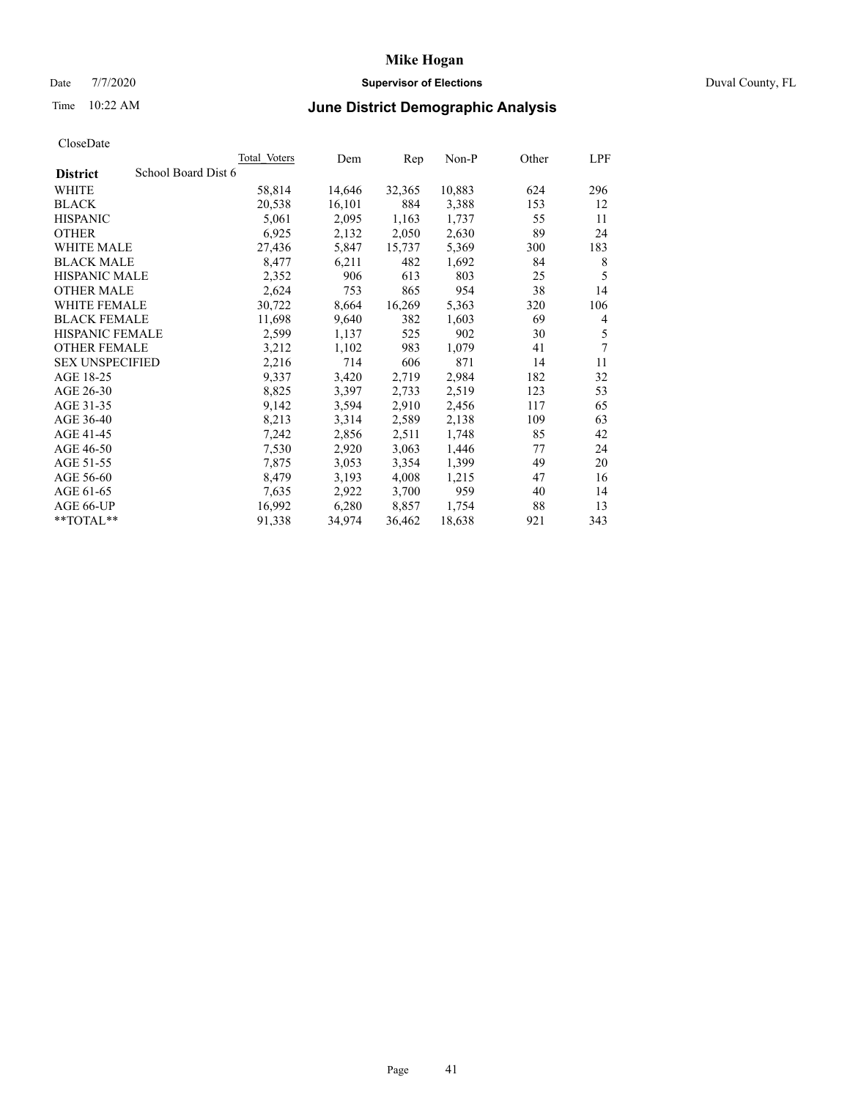# Date 7/7/2020 **Supervisor of Elections** Duval County, FL

# Time 10:22 AM **June District Demographic Analysis**

|                                        | <b>Total Voters</b> | Dem    | Rep    | $Non-P$ | Other | LPF |
|----------------------------------------|---------------------|--------|--------|---------|-------|-----|
| School Board Dist 6<br><b>District</b> |                     |        |        |         |       |     |
| WHITE                                  | 58,814              | 14,646 | 32,365 | 10,883  | 624   | 296 |
| <b>BLACK</b>                           | 20,538              | 16,101 | 884    | 3,388   | 153   | 12  |
| <b>HISPANIC</b>                        | 5,061               | 2,095  | 1,163  | 1,737   | 55    | 11  |
| <b>OTHER</b>                           | 6,925               | 2,132  | 2,050  | 2,630   | 89    | 24  |
| WHITE MALE                             | 27,436              | 5,847  | 15,737 | 5,369   | 300   | 183 |
| <b>BLACK MALE</b>                      | 8,477               | 6,211  | 482    | 1,692   | 84    | 8   |
| <b>HISPANIC MALE</b>                   | 2,352               | 906    | 613    | 803     | 25    | 5   |
| <b>OTHER MALE</b>                      | 2,624               | 753    | 865    | 954     | 38    | 14  |
| <b>WHITE FEMALE</b>                    | 30,722              | 8,664  | 16,269 | 5,363   | 320   | 106 |
| <b>BLACK FEMALE</b>                    | 11,698              | 9,640  | 382    | 1,603   | 69    | 4   |
| HISPANIC FEMALE                        | 2,599               | 1,137  | 525    | 902     | 30    | 5   |
| <b>OTHER FEMALE</b>                    | 3,212               | 1,102  | 983    | 1,079   | 41    | 7   |
| <b>SEX UNSPECIFIED</b>                 | 2,216               | 714    | 606    | 871     | 14    | 11  |
| AGE 18-25                              | 9,337               | 3,420  | 2,719  | 2,984   | 182   | 32  |
| AGE 26-30                              | 8,825               | 3,397  | 2,733  | 2,519   | 123   | 53  |
| AGE 31-35                              | 9,142               | 3,594  | 2,910  | 2,456   | 117   | 65  |
| AGE 36-40                              | 8,213               | 3,314  | 2,589  | 2,138   | 109   | 63  |
| AGE 41-45                              | 7,242               | 2,856  | 2,511  | 1,748   | 85    | 42  |
| AGE 46-50                              | 7,530               | 2,920  | 3,063  | 1,446   | 77    | 24  |
| AGE 51-55                              | 7,875               | 3,053  | 3,354  | 1,399   | 49    | 20  |
| AGE 56-60                              | 8,479               | 3,193  | 4,008  | 1,215   | 47    | 16  |
| AGE 61-65                              | 7,635               | 2,922  | 3,700  | 959     | 40    | 14  |
| AGE 66-UP                              | 16,992              | 6,280  | 8,857  | 1,754   | 88    | 13  |
| **TOTAL**                              | 91,338              | 34,974 | 36,462 | 18,638  | 921   | 343 |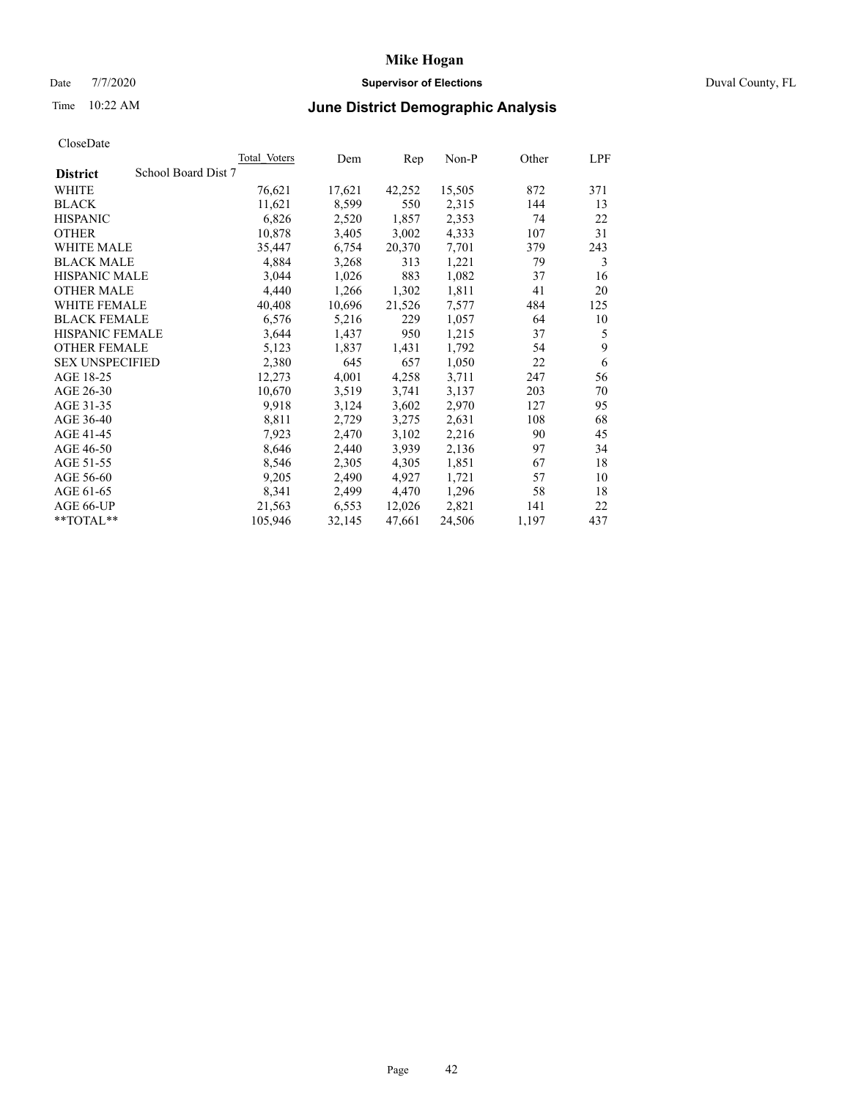# Date 7/7/2020 **Supervisor of Elections** Duval County, FL

# Time 10:22 AM **June District Demographic Analysis**

| <b>Total Voters</b> | Dem    | Rep    | $Non-P$ | Other | LPF |
|---------------------|--------|--------|---------|-------|-----|
| School Board Dist 7 |        |        |         |       |     |
| 76,621              | 17,621 | 42,252 | 15,505  | 872   | 371 |
| 11,621              | 8,599  | 550    | 2,315   | 144   | 13  |
| 6,826               | 2,520  | 1,857  | 2,353   | 74    | 22  |
| 10,878              | 3,405  | 3,002  | 4,333   | 107   | 31  |
| 35,447              | 6,754  | 20,370 | 7,701   | 379   | 243 |
| 4,884               | 3,268  | 313    | 1,221   | 79    | 3   |
| 3,044               | 1,026  | 883    | 1,082   | 37    | 16  |
| 4,440               | 1,266  | 1,302  | 1,811   | 41    | 20  |
| 40,408              | 10,696 | 21,526 | 7,577   | 484   | 125 |
| 6,576               | 5,216  | 229    | 1,057   | 64    | 10  |
| 3,644               | 1,437  | 950    | 1,215   | 37    | 5   |
| 5,123               | 1,837  | 1,431  | 1,792   | 54    | 9   |
| 2,380               | 645    | 657    | 1,050   | 22    | 6   |
| 12,273              | 4,001  | 4,258  | 3,711   | 247   | 56  |
| 10,670              | 3,519  | 3,741  | 3,137   | 203   | 70  |
| 9,918               | 3,124  | 3,602  | 2,970   | 127   | 95  |
| 8,811               | 2,729  | 3,275  | 2,631   | 108   | 68  |
| 7,923               | 2,470  | 3,102  | 2,216   | 90    | 45  |
| 8,646               | 2,440  | 3,939  | 2,136   | 97    | 34  |
| 8,546               | 2,305  | 4,305  | 1,851   | 67    | 18  |
| 9,205               | 2,490  | 4,927  | 1,721   | 57    | 10  |
| 8,341               | 2,499  | 4,470  | 1,296   | 58    | 18  |
| 21,563              | 6,553  | 12,026 | 2,821   | 141   | 22  |
| 105,946             | 32,145 | 47,661 | 24,506  | 1,197 | 437 |
|                     |        |        |         |       |     |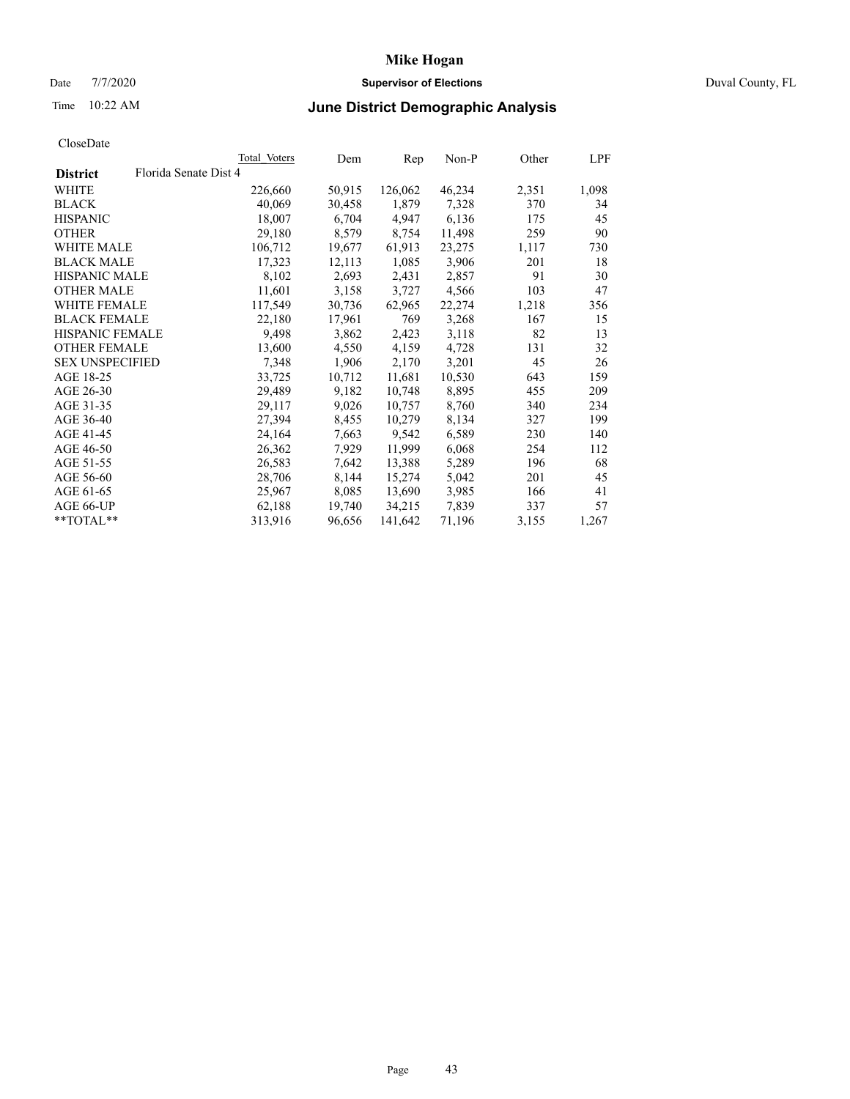# Date 7/7/2020 **Supervisor of Elections** Duval County, FL

# Time 10:22 AM **June District Demographic Analysis**

|                                          | Total Voters | Dem    | Rep     | $Non-P$ | Other | LPF   |
|------------------------------------------|--------------|--------|---------|---------|-------|-------|
| Florida Senate Dist 4<br><b>District</b> |              |        |         |         |       |       |
| WHITE                                    | 226,660      | 50,915 | 126,062 | 46,234  | 2,351 | 1,098 |
| <b>BLACK</b>                             | 40,069       | 30,458 | 1,879   | 7,328   | 370   | 34    |
| <b>HISPANIC</b>                          | 18,007       | 6,704  | 4,947   | 6,136   | 175   | 45    |
| <b>OTHER</b>                             | 29,180       | 8,579  | 8,754   | 11,498  | 259   | 90    |
| WHITE MALE                               | 106,712      | 19,677 | 61,913  | 23,275  | 1,117 | 730   |
| <b>BLACK MALE</b>                        | 17,323       | 12,113 | 1,085   | 3,906   | 201   | 18    |
| <b>HISPANIC MALE</b>                     | 8,102        | 2,693  | 2,431   | 2,857   | 91    | 30    |
| <b>OTHER MALE</b>                        | 11,601       | 3,158  | 3,727   | 4,566   | 103   | 47    |
| <b>WHITE FEMALE</b>                      | 117,549      | 30,736 | 62,965  | 22,274  | 1,218 | 356   |
| <b>BLACK FEMALE</b>                      | 22,180       | 17,961 | 769     | 3,268   | 167   | 15    |
| <b>HISPANIC FEMALE</b>                   | 9,498        | 3,862  | 2,423   | 3,118   | 82    | 13    |
| <b>OTHER FEMALE</b>                      | 13,600       | 4,550  | 4,159   | 4,728   | 131   | 32    |
| <b>SEX UNSPECIFIED</b>                   | 7,348        | 1,906  | 2,170   | 3,201   | 45    | 26    |
| AGE 18-25                                | 33,725       | 10,712 | 11,681  | 10,530  | 643   | 159   |
| AGE 26-30                                | 29,489       | 9,182  | 10,748  | 8,895   | 455   | 209   |
| AGE 31-35                                | 29,117       | 9,026  | 10,757  | 8,760   | 340   | 234   |
| AGE 36-40                                | 27,394       | 8,455  | 10,279  | 8,134   | 327   | 199   |
| AGE 41-45                                | 24,164       | 7,663  | 9,542   | 6,589   | 230   | 140   |
| AGE 46-50                                | 26,362       | 7,929  | 11,999  | 6,068   | 254   | 112   |
| AGE 51-55                                | 26,583       | 7,642  | 13,388  | 5,289   | 196   | 68    |
| AGE 56-60                                | 28,706       | 8,144  | 15,274  | 5,042   | 201   | 45    |
| AGE 61-65                                | 25,967       | 8,085  | 13,690  | 3,985   | 166   | 41    |
| AGE 66-UP                                | 62,188       | 19,740 | 34,215  | 7,839   | 337   | 57    |
| $*$ $TOTAL**$                            | 313,916      | 96,656 | 141,642 | 71,196  | 3,155 | 1,267 |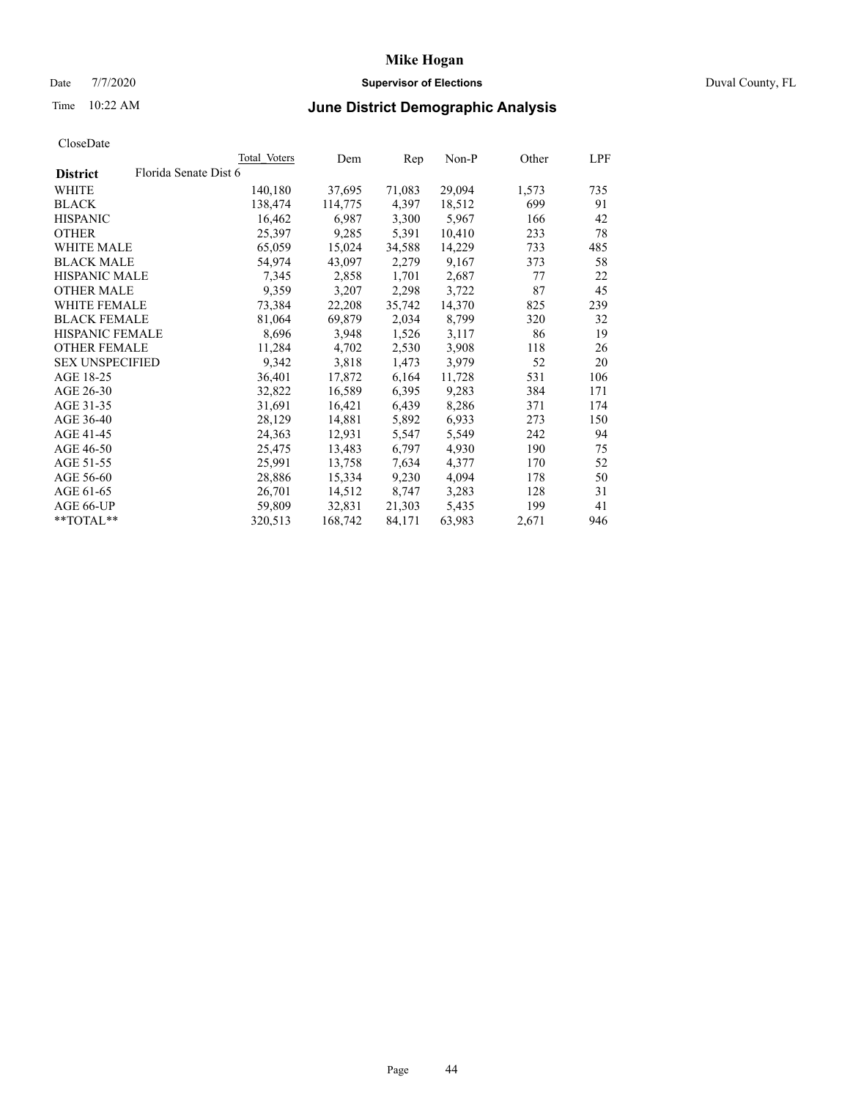# Date 7/7/2020 **Supervisor of Elections** Duval County, FL

# Time 10:22 AM **June District Demographic Analysis**

|                        |                       | Total Voters | Dem     | Rep    | Non-P  | Other | LPF |
|------------------------|-----------------------|--------------|---------|--------|--------|-------|-----|
| <b>District</b>        | Florida Senate Dist 6 |              |         |        |        |       |     |
| WHITE                  |                       | 140,180      | 37,695  | 71,083 | 29,094 | 1,573 | 735 |
| <b>BLACK</b>           |                       | 138,474      | 114,775 | 4,397  | 18,512 | 699   | 91  |
| <b>HISPANIC</b>        |                       | 16,462       | 6,987   | 3,300  | 5,967  | 166   | 42  |
| <b>OTHER</b>           |                       | 25,397       | 9,285   | 5,391  | 10,410 | 233   | 78  |
| WHITE MALE             |                       | 65,059       | 15,024  | 34,588 | 14,229 | 733   | 485 |
| <b>BLACK MALE</b>      |                       | 54,974       | 43,097  | 2,279  | 9,167  | 373   | 58  |
| <b>HISPANIC MALE</b>   |                       | 7,345        | 2,858   | 1,701  | 2,687  | 77    | 22  |
| <b>OTHER MALE</b>      |                       | 9,359        | 3,207   | 2,298  | 3,722  | 87    | 45  |
| <b>WHITE FEMALE</b>    |                       | 73,384       | 22,208  | 35,742 | 14,370 | 825   | 239 |
| <b>BLACK FEMALE</b>    |                       | 81,064       | 69,879  | 2,034  | 8,799  | 320   | 32  |
| <b>HISPANIC FEMALE</b> |                       | 8,696        | 3,948   | 1,526  | 3,117  | 86    | 19  |
| <b>OTHER FEMALE</b>    |                       | 11,284       | 4,702   | 2,530  | 3,908  | 118   | 26  |
| <b>SEX UNSPECIFIED</b> |                       | 9,342        | 3,818   | 1,473  | 3,979  | 52    | 20  |
| AGE 18-25              |                       | 36,401       | 17,872  | 6,164  | 11,728 | 531   | 106 |
| AGE 26-30              |                       | 32,822       | 16,589  | 6,395  | 9,283  | 384   | 171 |
| AGE 31-35              |                       | 31,691       | 16,421  | 6,439  | 8,286  | 371   | 174 |
| AGE 36-40              |                       | 28,129       | 14,881  | 5,892  | 6,933  | 273   | 150 |
| AGE 41-45              |                       | 24,363       | 12,931  | 5,547  | 5,549  | 242   | 94  |
| AGE 46-50              |                       | 25,475       | 13,483  | 6,797  | 4,930  | 190   | 75  |
| AGE 51-55              |                       | 25,991       | 13,758  | 7,634  | 4,377  | 170   | 52  |
| AGE 56-60              |                       | 28,886       | 15,334  | 9,230  | 4,094  | 178   | 50  |
| AGE 61-65              |                       | 26,701       | 14,512  | 8,747  | 3,283  | 128   | 31  |
| AGE 66-UP              |                       | 59,809       | 32,831  | 21,303 | 5,435  | 199   | 41  |
| $*$ TOTAL $*$          |                       | 320,513      | 168,742 | 84,171 | 63,983 | 2,671 | 946 |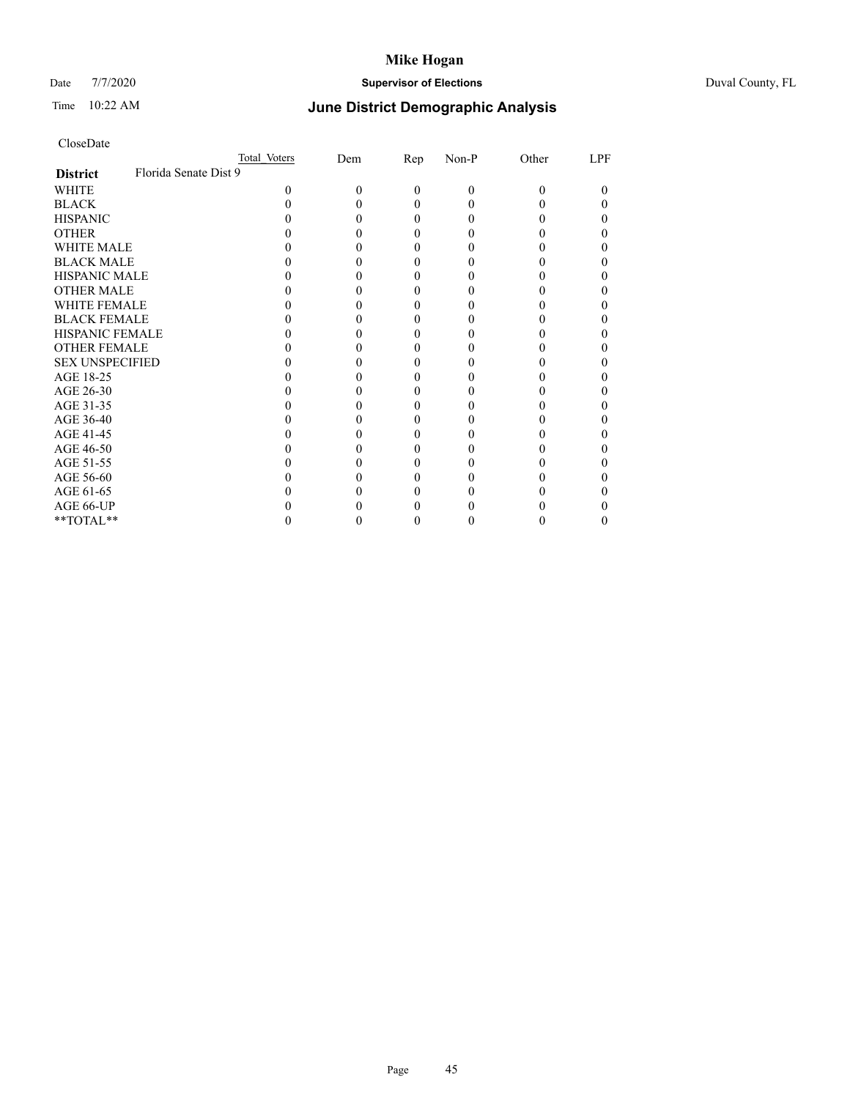# Date 7/7/2020 **Supervisor of Elections** Duval County, FL

# Time 10:22 AM **June District Demographic Analysis**

|                        | Total Voters          | Dem | Rep      | Non-P    | Other    | LPF |
|------------------------|-----------------------|-----|----------|----------|----------|-----|
| <b>District</b>        | Florida Senate Dist 9 |     |          |          |          |     |
| WHITE                  | $\theta$              | 0   | $\theta$ | $\theta$ | $\Omega$ | 0   |
| <b>BLACK</b>           |                       |     | $\Omega$ | 0        |          |     |
| <b>HISPANIC</b>        |                       |     | 0        | $\theta$ |          |     |
| <b>OTHER</b>           |                       |     |          |          |          |     |
| <b>WHITE MALE</b>      |                       |     | $_{0}$   |          |          |     |
| <b>BLACK MALE</b>      |                       |     | 0        |          |          |     |
| <b>HISPANIC MALE</b>   |                       |     |          |          |          |     |
| <b>OTHER MALE</b>      |                       |     | 0        | 0        |          |     |
| <b>WHITE FEMALE</b>    |                       |     | 0        |          |          |     |
| <b>BLACK FEMALE</b>    |                       |     | 0        | 0        |          |     |
| <b>HISPANIC FEMALE</b> |                       |     |          |          |          |     |
| <b>OTHER FEMALE</b>    |                       |     | $_{0}$   |          |          |     |
| <b>SEX UNSPECIFIED</b> |                       |     | 0        |          |          |     |
| AGE 18-25              |                       |     |          |          |          |     |
| AGE 26-30              |                       |     | 0        | 0        |          |     |
| AGE 31-35              |                       |     |          |          |          |     |
| AGE 36-40              |                       |     | 0        | 0        |          | 0   |
| AGE 41-45              |                       |     |          |          |          |     |
| AGE 46-50              |                       |     | $_{0}$   |          |          |     |
| AGE 51-55              |                       |     | 0        |          |          |     |
| AGE 56-60              |                       |     |          |          |          |     |
| AGE 61-65              |                       |     | 0        | 0        |          |     |
| AGE 66-UP              |                       |     |          |          |          |     |
| **TOTAL**              |                       | 0   | $_{0}$   | 0        | 0        | 0   |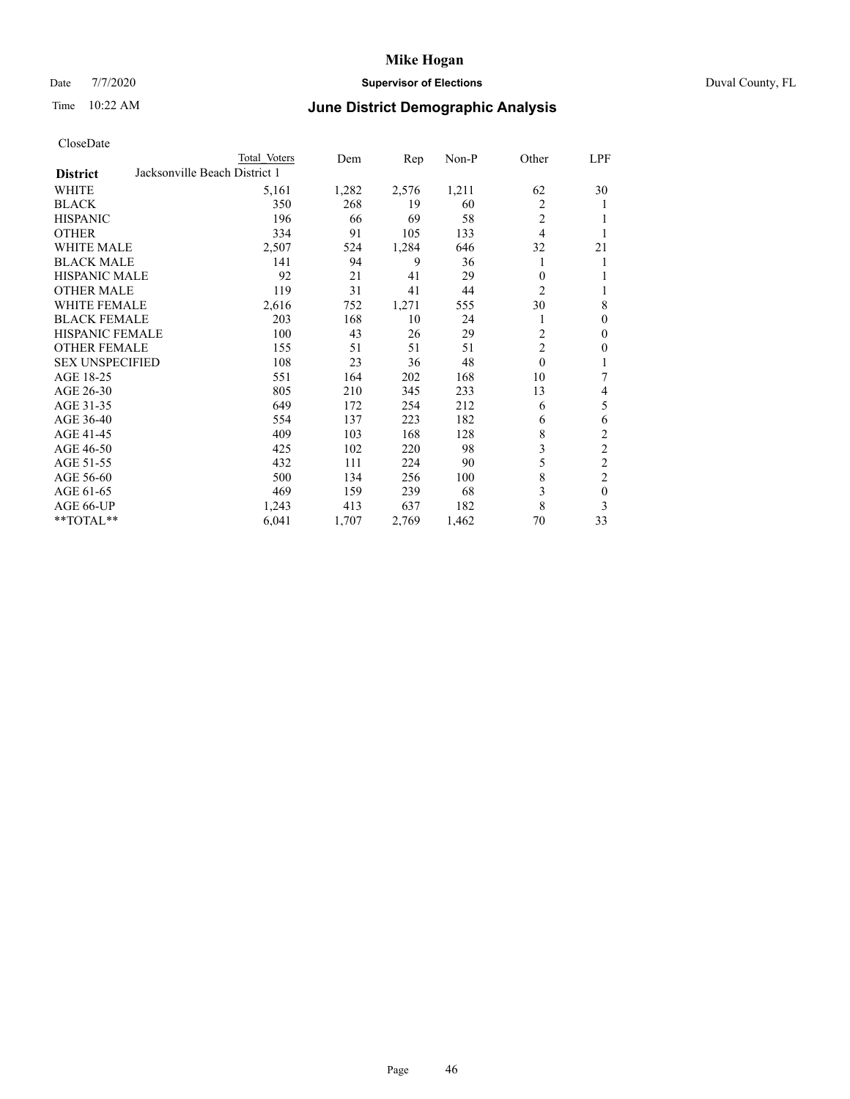# Date 7/7/2020 **Supervisor of Elections** Duval County, FL

# Time 10:22 AM **June District Demographic Analysis**

| Total Voters | Dem                           | Rep   | $Non-P$ | Other          | LPF            |
|--------------|-------------------------------|-------|---------|----------------|----------------|
|              |                               |       |         |                |                |
| 5,161        | 1,282                         | 2,576 | 1,211   | 62             | 30             |
| 350          | 268                           | 19    | 60      | $\overline{2}$ | 1              |
| 196          | 66                            | 69    | 58      | $\overline{2}$ |                |
| 334          | 91                            | 105   | 133     | $\overline{4}$ |                |
| 2,507        | 524                           | 1,284 | 646     | 32             | 21             |
| 141          | 94                            | 9     | 36      | 1              | 1              |
| 92           | 21                            | 41    | 29      | 0              |                |
| 119          | 31                            | 41    | 44      | $\overline{c}$ | 1              |
| 2,616        | 752                           | 1,271 | 555     | 30             | 8              |
| 203          | 168                           | 10    | 24      | 1              | $\mathbf{0}$   |
| 100          | 43                            | 26    | 29      | 2              | $\mathbf{0}$   |
| 155          | 51                            | 51    | 51      | $\overline{2}$ | $\theta$       |
| 108          | 23                            | 36    | 48      | $\theta$       |                |
| 551          | 164                           | 202   | 168     | 10             | 7              |
| 805          | 210                           | 345   | 233     | 13             | 4              |
| 649          | 172                           | 254   | 212     | 6              | 5              |
| 554          | 137                           | 223   | 182     | 6              | 6              |
| 409          | 103                           | 168   | 128     | 8              | $\overline{c}$ |
| 425          | 102                           | 220   | 98      | 3              | $\overline{c}$ |
| 432          | 111                           | 224   | 90      | 5              | $\overline{c}$ |
| 500          | 134                           | 256   | 100     | 8              | $\overline{c}$ |
| 469          | 159                           | 239   | 68      | 3              | $\mathbf{0}$   |
| 1,243        | 413                           | 637   | 182     | 8              | 3              |
| 6,041        | 1,707                         | 2,769 | 1,462   | 70             | 33             |
|              | Jacksonville Beach District 1 |       |         |                |                |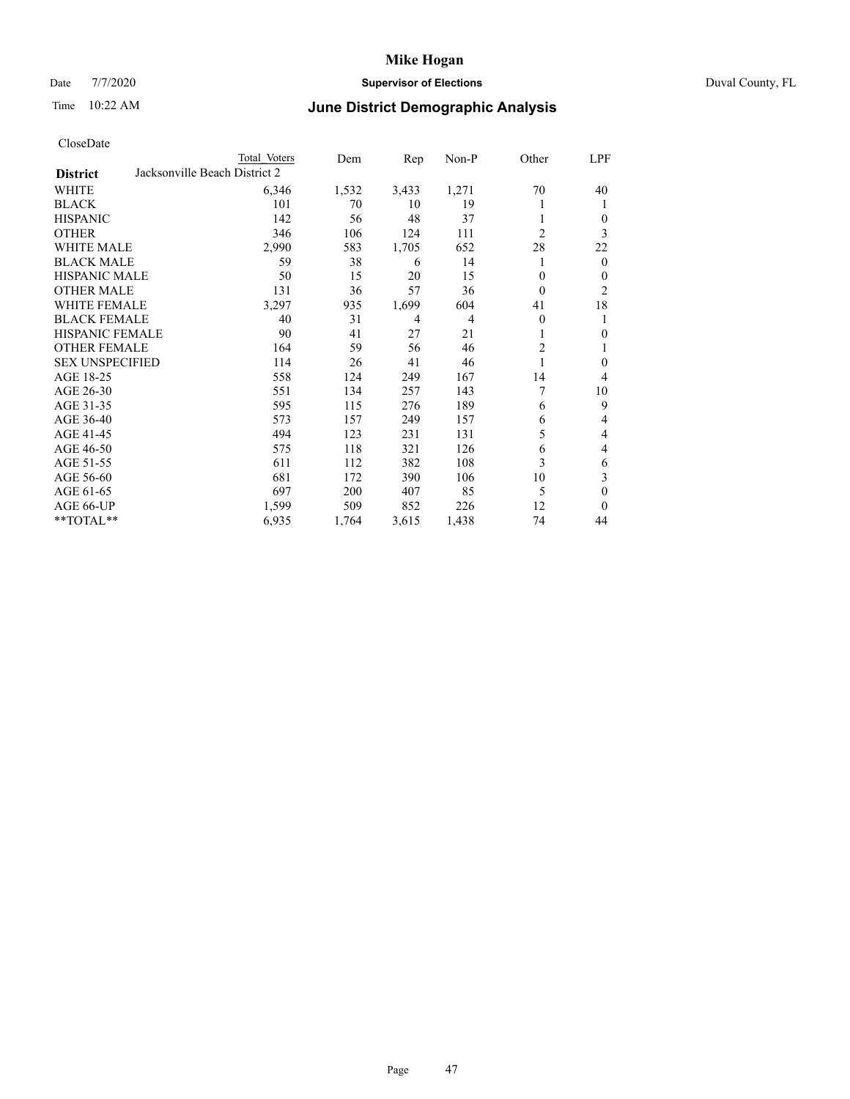# Date 7/7/2020 **Supervisor of Elections** Duval County, FL

# Time 10:22 AM **June District Demographic Analysis**

|                        |                               | Total Voters | Dem   | Rep   | Non-P          | Other          | LPF              |
|------------------------|-------------------------------|--------------|-------|-------|----------------|----------------|------------------|
| <b>District</b>        | Jacksonville Beach District 2 |              |       |       |                |                |                  |
| WHITE                  |                               | 6,346        | 1,532 | 3,433 | 1,271          | 70             | 40               |
| <b>BLACK</b>           |                               | 101          | 70    | 10    | 19             |                | 1                |
| <b>HISPANIC</b>        |                               | 142          | 56    | 48    | 37             |                | 0                |
| <b>OTHER</b>           |                               | 346          | 106   | 124   | 111            | $\overline{2}$ | 3                |
| <b>WHITE MALE</b>      |                               | 2,990        | 583   | 1,705 | 652            | 28             | 22               |
| <b>BLACK MALE</b>      |                               | 59           | 38    | 6     | 14             |                | $\mathbf{0}$     |
| <b>HISPANIC MALE</b>   |                               | 50           | 15    | 20    | 15             | 0              | 0                |
| <b>OTHER MALE</b>      |                               | 131          | 36    | 57    | 36             | 0              | 2                |
| <b>WHITE FEMALE</b>    |                               | 3,297        | 935   | 1,699 | 604            | 41             | 18               |
| <b>BLACK FEMALE</b>    |                               | 40           | 31    | 4     | $\overline{4}$ | 0              | 1                |
| <b>HISPANIC FEMALE</b> |                               | 90           | 41    | 27    | 21             |                | 0                |
| <b>OTHER FEMALE</b>    |                               | 164          | 59    | 56    | 46             | $\overline{c}$ | 1                |
| <b>SEX UNSPECIFIED</b> |                               | 114          | 26    | 41    | 46             |                | $\boldsymbol{0}$ |
| AGE 18-25              |                               | 558          | 124   | 249   | 167            | 14             | 4                |
| AGE 26-30              |                               | 551          | 134   | 257   | 143            | 7              | 10               |
| AGE 31-35              |                               | 595          | 115   | 276   | 189            | 6              | 9                |
| AGE 36-40              |                               | 573          | 157   | 249   | 157            | 6              | 4                |
| AGE 41-45              |                               | 494          | 123   | 231   | 131            | 5              | 4                |
| AGE 46-50              |                               | 575          | 118   | 321   | 126            | 6              | 4                |
| AGE 51-55              |                               | 611          | 112   | 382   | 108            | 3              | 6                |
| AGE 56-60              |                               | 681          | 172   | 390   | 106            | 10             | 3                |
| AGE 61-65              |                               | 697          | 200   | 407   | 85             | 5              | $\theta$         |
| AGE 66-UP              |                               | 1,599        | 509   | 852   | 226            | 12             | $\Omega$         |
| **TOTAL**              |                               | 6,935        | 1,764 | 3,615 | 1,438          | 74             | 44               |